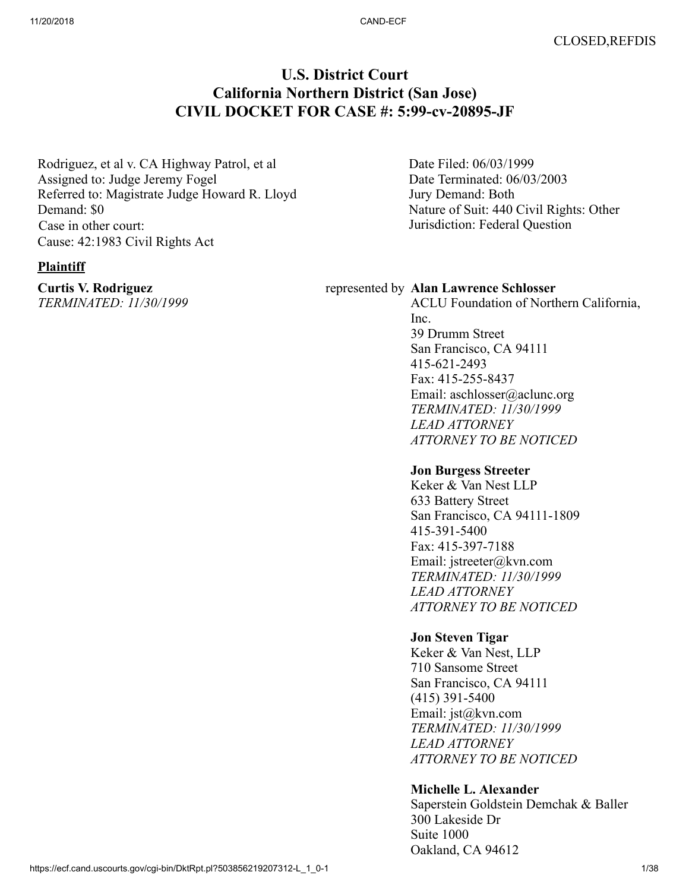# **U.S. District Court California Northern District (San Jose) CIVIL DOCKET FOR CASE #: 5:99-cv-20895-JF**

Rodriguez, et al v. CA Highway Patrol, et al Assigned to: Judge Jeremy Fogel Referred to: Magistrate Judge Howard R. Lloyd Demand: \$0 Case in other court: Cause: 42:1983 Civil Rights Act

#### **Plaintiff**

**Curtis V. Rodriguez** *TERMINATED: 11/30/1999* Date Filed: 06/03/1999 Date Terminated: 06/03/2003 Jury Demand: Both Nature of Suit: 440 Civil Rights: Other Jurisdiction: Federal Question

#### represented by **Alan Lawrence Schlosser**

ACLU Foundation of Northern California, Inc. 39 Drumm Street San Francisco, CA 94111 415-621-2493 Fax: 415-255-8437 Email: aschlosser@aclunc.org *TERMINATED: 11/30/1999 LEAD ATTORNEY ATTORNEY TO BE NOTICED*

#### **Jon Burgess Streeter**

Keker & Van Nest LLP 633 Battery Street San Francisco, CA 94111-1809 415-391-5400 Fax: 415-397-7188 Email: jstreeter@kvn.com *TERMINATED: 11/30/1999 LEAD ATTORNEY ATTORNEY TO BE NOTICED*

# **Jon Steven Tigar**

Keker & Van Nest, LLP 710 Sansome Street San Francisco, CA 94111 (415) 391-5400 Email: jst@kvn.com *TERMINATED: 11/30/1999 LEAD ATTORNEY ATTORNEY TO BE NOTICED*

#### **Michelle L. Alexander**

Saperstein Goldstein Demchak & Baller 300 Lakeside Dr Suite 1000 Oakland, CA 94612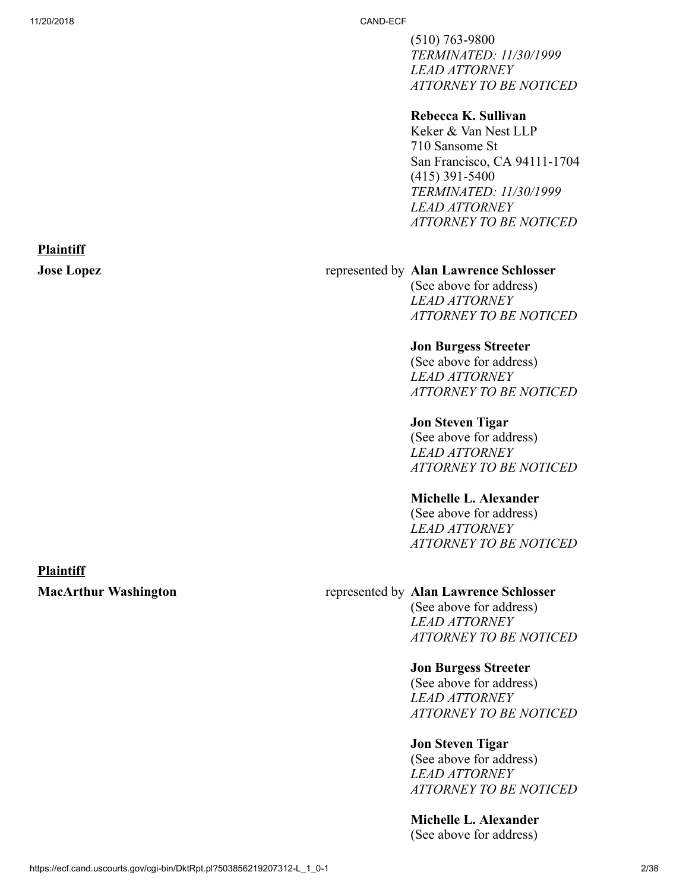**Plaintiff**

11/20/2018 CAND-ECF

(510) 763-9800 *TERMINATED: 11/30/1999 LEAD ATTORNEY ATTORNEY TO BE NOTICED*

#### **Rebecca K. Sullivan**

Keker & Van Nest LLP 710 Sansome St San Francisco, CA 94111-1704 (415) 391-5400 *TERMINATED: 11/30/1999 LEAD ATTORNEY ATTORNEY TO BE NOTICED*

#### **Jose Lopez** represented by **Alan Lawrence Schlosser**

(See above for address) *LEAD ATTORNEY ATTORNEY TO BE NOTICED*

#### **Jon Burgess Streeter**

(See above for address) *LEAD ATTORNEY ATTORNEY TO BE NOTICED*

#### **Jon Steven Tigar**

(See above for address) *LEAD ATTORNEY ATTORNEY TO BE NOTICED*

#### **Michelle L. Alexander**

(See above for address) *LEAD ATTORNEY ATTORNEY TO BE NOTICED*

#### **Plaintiff**

#### **MacArthur Washington** represented by **Alan Lawrence Schlosser**

(See above for address) *LEAD ATTORNEY ATTORNEY TO BE NOTICED*

#### **Jon Burgess Streeter**

(See above for address) *LEAD ATTORNEY ATTORNEY TO BE NOTICED*

#### **Jon Steven Tigar**

(See above for address) *LEAD ATTORNEY ATTORNEY TO BE NOTICED*

#### **Michelle L. Alexander**  (See above for address)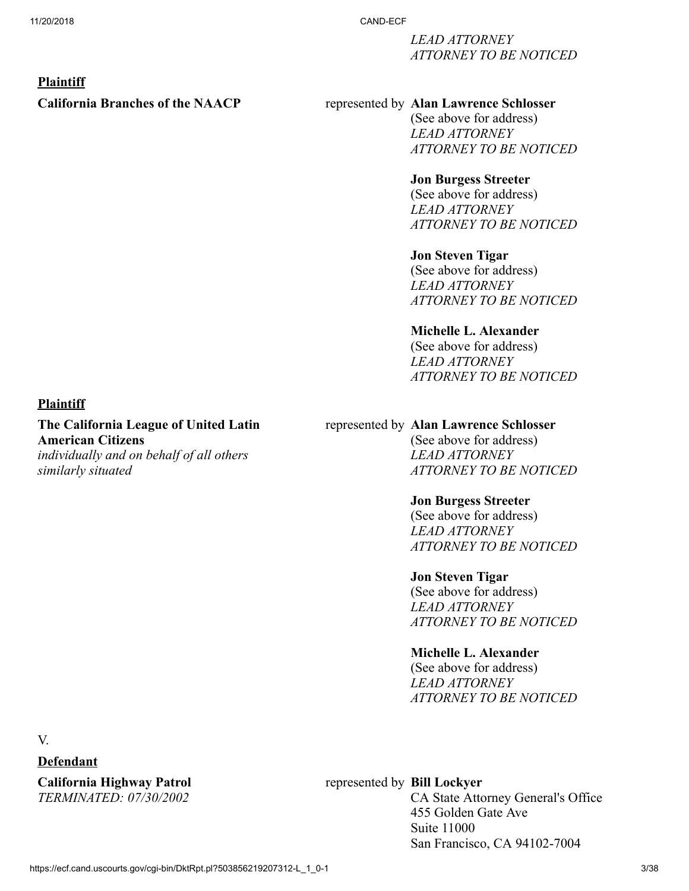*LEAD ATTORNEY ATTORNEY TO BE NOTICED*

#### **Plaintiff**

## **California Branches of the NAACP** represented by **Alan Lawrence Schlosser**

(See above for address) *LEAD ATTORNEY ATTORNEY TO BE NOTICED*

#### **Jon Burgess Streeter**

(See above for address) *LEAD ATTORNEY ATTORNEY TO BE NOTICED*

# **Jon Steven Tigar**

(See above for address) *LEAD ATTORNEY ATTORNEY TO BE NOTICED*

#### **Michelle L. Alexander**

(See above for address) *LEAD ATTORNEY ATTORNEY TO BE NOTICED*

#### **Plaintiff**

**The California League of United Latin American Citizens** *individually and on behalf of all others similarly situated*

#### represented by **Alan Lawrence Schlosser**

(See above for address) *LEAD ATTORNEY ATTORNEY TO BE NOTICED*

#### **Jon Burgess Streeter**

(See above for address) *LEAD ATTORNEY ATTORNEY TO BE NOTICED*

#### **Jon Steven Tigar**

(See above for address) *LEAD ATTORNEY ATTORNEY TO BE NOTICED*

## **Michelle L. Alexander**

(See above for address) *LEAD ATTORNEY ATTORNEY TO BE NOTICED*

V.

### **Defendant**

**California Highway Patrol** *TERMINATED: 07/30/2002*

# represented by **Bill Lockyer**

CA State Attorney General's Office 455 Golden Gate Ave Suite 11000 San Francisco, CA 94102-7004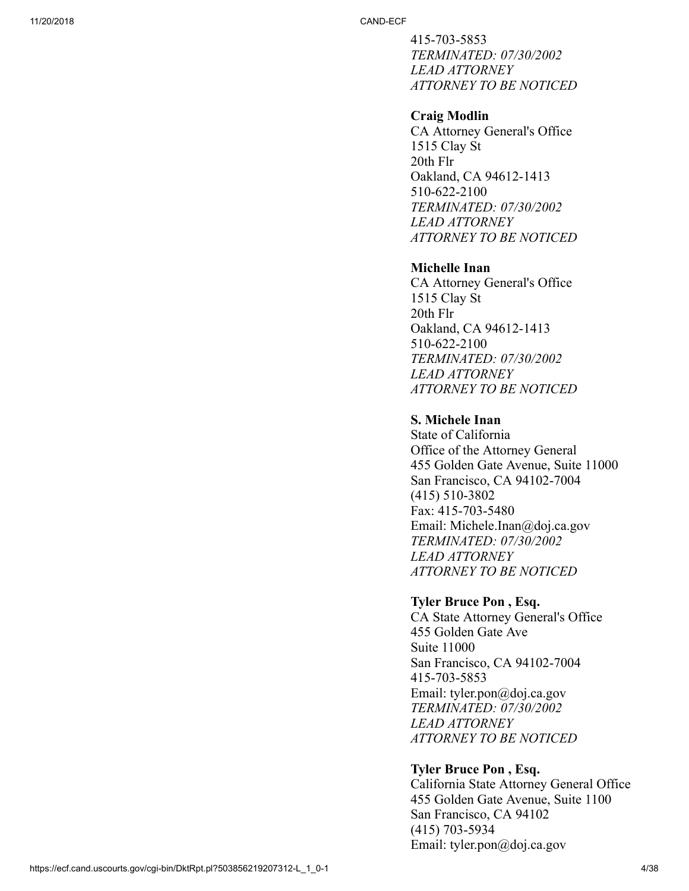415-703-5853 *TERMINATED: 07/30/2002 LEAD ATTORNEY ATTORNEY TO BE NOTICED*

#### **Craig Modlin**

CA Attorney General's Office 1515 Clay St 20th Flr Oakland, CA 94612-1413 510-622-2100 *TERMINATED: 07/30/2002 LEAD ATTORNEY ATTORNEY TO BE NOTICED*

# **Michelle Inan**

CA Attorney General's Office 1515 Clay St 20th Flr Oakland, CA 94612-1413 510-622-2100 *TERMINATED: 07/30/2002 LEAD ATTORNEY ATTORNEY TO BE NOTICED*

# **S. Michele Inan**

State of California Office of the Attorney General 455 Golden Gate Avenue, Suite 11000 San Francisco, CA 94102-7004 (415) 510-3802 Fax: 415-703-5480 Email: Michele.Inan@doj.ca.gov *TERMINATED: 07/30/2002 LEAD ATTORNEY ATTORNEY TO BE NOTICED*

#### **Tyler Bruce Pon , Esq.**

CA State Attorney General's Office 455 Golden Gate Ave Suite 11000 San Francisco, CA 94102-7004 415-703-5853 Email: tyler.pon@doj.ca.gov *TERMINATED: 07/30/2002 LEAD ATTORNEY ATTORNEY TO BE NOTICED*

#### **Tyler Bruce Pon , Esq.**

California State Attorney General Office 455 Golden Gate Avenue, Suite 1100 San Francisco, CA 94102 (415) 703-5934 Email: tyler.pon@doj.ca.gov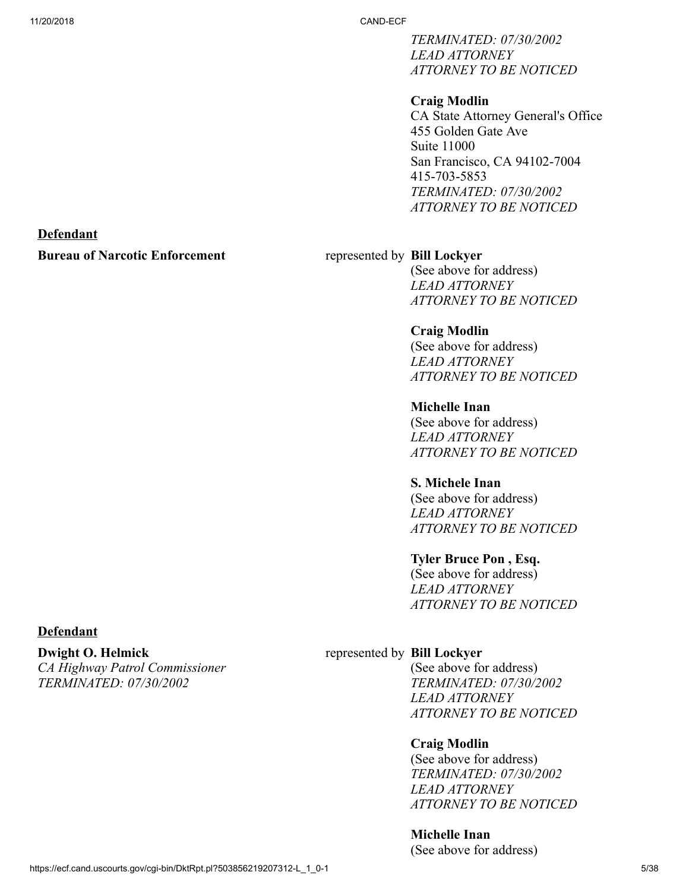**Defendant**

11/20/2018 CAND-ECF

*TERMINATED: 07/30/2002 LEAD ATTORNEY ATTORNEY TO BE NOTICED*

### **Craig Modlin**

CA State Attorney General's Office 455 Golden Gate Ave Suite 11000 San Francisco, CA 94102-7004 415-703-5853 *TERMINATED: 07/30/2002 ATTORNEY TO BE NOTICED*

# **Bureau of Narcotic Enforcement** represented by **Bill Lockyer**

(See above for address) *LEAD ATTORNEY ATTORNEY TO BE NOTICED*

# **Craig Modlin**

(See above for address) *LEAD ATTORNEY ATTORNEY TO BE NOTICED*

#### **Michelle Inan**  (See above for address) *LEAD ATTORNEY*

*ATTORNEY TO BE NOTICED*

# **S. Michele Inan**

(See above for address) *LEAD ATTORNEY ATTORNEY TO BE NOTICED*

#### **Tyler Bruce Pon , Esq.**

(See above for address) *LEAD ATTORNEY ATTORNEY TO BE NOTICED*

# **Defendant**

**Dwight O. Helmick** *CA Highway Patrol Commissioner TERMINATED: 07/30/2002*

# represented by **Bill Lockyer**

(See above for address) *TERMINATED: 07/30/2002 LEAD ATTORNEY ATTORNEY TO BE NOTICED*

#### **Craig Modlin**

(See above for address) *TERMINATED: 07/30/2002 LEAD ATTORNEY ATTORNEY TO BE NOTICED*

# **Michelle Inan**

(See above for address)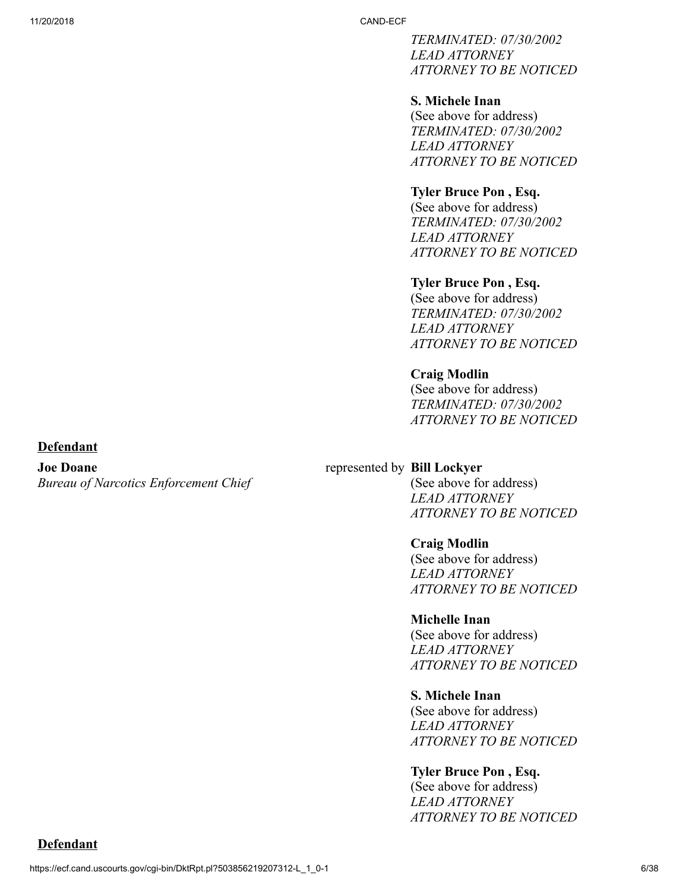*TERMINATED: 07/30/2002 LEAD ATTORNEY ATTORNEY TO BE NOTICED*

#### **S. Michele Inan**

(See above for address) *TERMINATED: 07/30/2002 LEAD ATTORNEY ATTORNEY TO BE NOTICED*

#### **Tyler Bruce Pon , Esq.**

(See above for address) *TERMINATED: 07/30/2002 LEAD ATTORNEY ATTORNEY TO BE NOTICED*

#### **Tyler Bruce Pon , Esq.**

(See above for address) *TERMINATED: 07/30/2002 LEAD ATTORNEY ATTORNEY TO BE NOTICED*

#### **Craig Modlin**

(See above for address) *TERMINATED: 07/30/2002 ATTORNEY TO BE NOTICED*

#### **Defendant**

**Joe Doane** *Bureau of Narcotics Enforcement Chief*

### represented by **Bill Lockyer**

(See above for address) *LEAD ATTORNEY ATTORNEY TO BE NOTICED*

#### **Craig Modlin**

(See above for address) *LEAD ATTORNEY ATTORNEY TO BE NOTICED*

#### **Michelle Inan**

(See above for address) *LEAD ATTORNEY ATTORNEY TO BE NOTICED*

#### **S. Michele Inan**

(See above for address) *LEAD ATTORNEY ATTORNEY TO BE NOTICED*

#### **Tyler Bruce Pon , Esq.**

(See above for address) *LEAD ATTORNEY ATTORNEY TO BE NOTICED*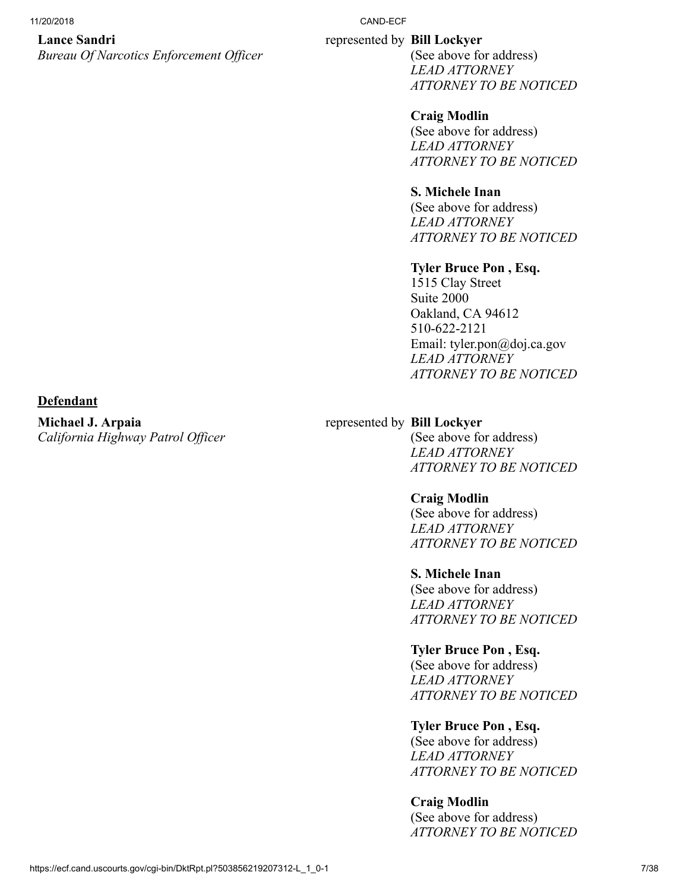#### **Lance Sandri**

*Bureau Of Narcotics Enforcement Officer*

#### 11/20/2018 CAND-ECF

#### represented by **Bill Lockyer**

(See above for address) *LEAD ATTORNEY ATTORNEY TO BE NOTICED*

# **Craig Modlin**

(See above for address) *LEAD ATTORNEY ATTORNEY TO BE NOTICED*

# **S. Michele Inan**

(See above for address) *LEAD ATTORNEY ATTORNEY TO BE NOTICED*

# **Tyler Bruce Pon , Esq.**

1515 Clay Street Suite 2000 Oakland, CA 94612 510-622-2121 Email: tyler.pon@doj.ca.gov *LEAD ATTORNEY ATTORNEY TO BE NOTICED*

#### **Defendant**

**Michael J. Arpaia** *California Highway Patrol Officer*

#### represented by **Bill Lockyer**

(See above for address) *LEAD ATTORNEY ATTORNEY TO BE NOTICED*

# **Craig Modlin**

(See above for address) *LEAD ATTORNEY ATTORNEY TO BE NOTICED*

#### **S. Michele Inan**

(See above for address) *LEAD ATTORNEY ATTORNEY TO BE NOTICED*

# **Tyler Bruce Pon , Esq.**

(See above for address) *LEAD ATTORNEY ATTORNEY TO BE NOTICED*

# **Tyler Bruce Pon , Esq.**

(See above for address) *LEAD ATTORNEY ATTORNEY TO BE NOTICED*

# **Craig Modlin**

(See above for address) *ATTORNEY TO BE NOTICED*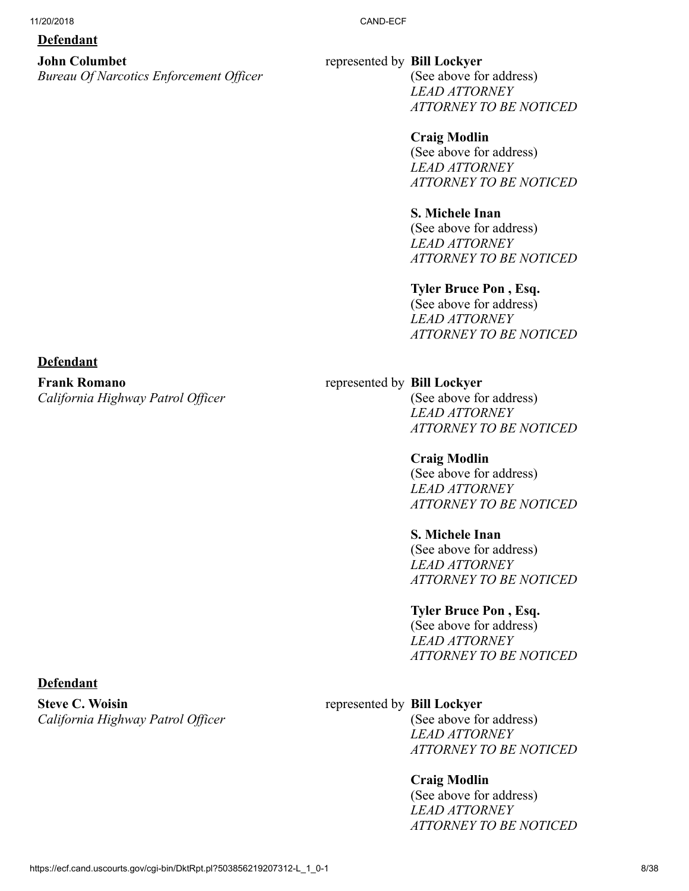#### **Defendant**

**Defendant**

**Frank Romano**

*California Highway Patrol Officer*

# **John Columbet**

*Bureau Of Narcotics Enforcement Officer*

#### represented by **Bill Lockyer**

(See above for address) *LEAD ATTORNEY ATTORNEY TO BE NOTICED*

## **Craig Modlin**

(See above for address) *LEAD ATTORNEY ATTORNEY TO BE NOTICED*

# **S. Michele Inan**

(See above for address) *LEAD ATTORNEY ATTORNEY TO BE NOTICED*

#### **Tyler Bruce Pon , Esq.**

(See above for address) *LEAD ATTORNEY ATTORNEY TO BE NOTICED*

#### represented by **Bill Lockyer**

(See above for address) *LEAD ATTORNEY ATTORNEY TO BE NOTICED*

## **Craig Modlin**  (See above for address) *LEAD ATTORNEY*

*ATTORNEY TO BE NOTICED*

# **S. Michele Inan**

(See above for address) *LEAD ATTORNEY ATTORNEY TO BE NOTICED*

#### **Tyler Bruce Pon , Esq.**

(See above for address) *LEAD ATTORNEY ATTORNEY TO BE NOTICED*

## **Defendant**

**Steve C. Woisin** *California Highway Patrol Officer*

#### represented by **Bill Lockyer**

(See above for address) *LEAD ATTORNEY ATTORNEY TO BE NOTICED*

#### **Craig Modlin**

(See above for address) *LEAD ATTORNEY ATTORNEY TO BE NOTICED*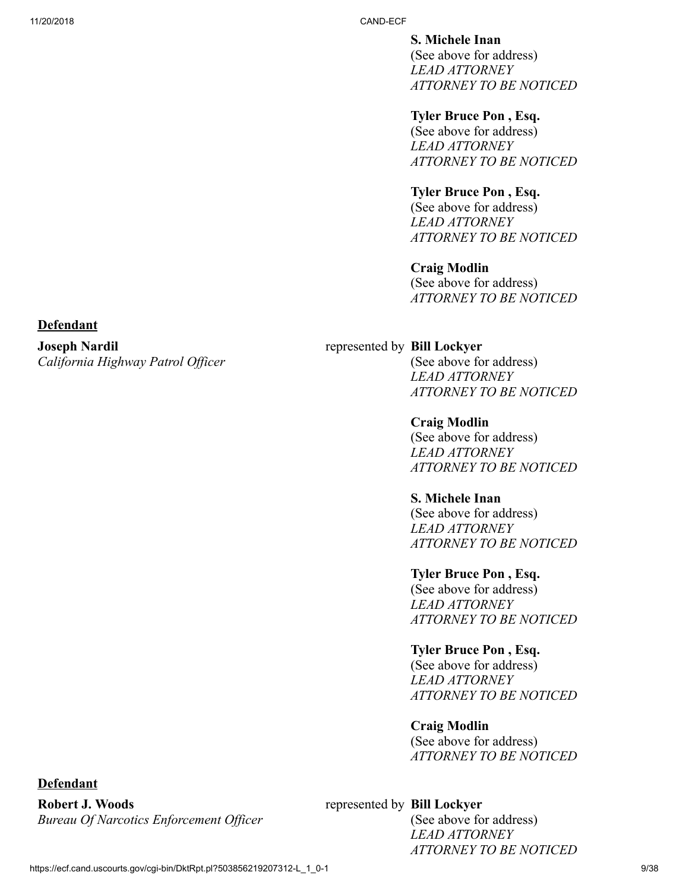**S. Michele Inan** 

(See above for address) *LEAD ATTORNEY ATTORNEY TO BE NOTICED*

# **Tyler Bruce Pon , Esq.**

(See above for address) *LEAD ATTORNEY ATTORNEY TO BE NOTICED*

# **Tyler Bruce Pon , Esq.**

(See above for address) *LEAD ATTORNEY ATTORNEY TO BE NOTICED*

# **Craig Modlin**

(See above for address) *ATTORNEY TO BE NOTICED*

#### **Defendant**

#### **Joseph Nardil** *California Highway Patrol Officer*

# represented by **Bill Lockyer**

(See above for address) *LEAD ATTORNEY ATTORNEY TO BE NOTICED*

# **Craig Modlin**

(See above for address) *LEAD ATTORNEY ATTORNEY TO BE NOTICED*

# **S. Michele Inan**

(See above for address) *LEAD ATTORNEY ATTORNEY TO BE NOTICED*

# **Tyler Bruce Pon , Esq.**

(See above for address) *LEAD ATTORNEY ATTORNEY TO BE NOTICED*

# **Tyler Bruce Pon , Esq.**

(See above for address) *LEAD ATTORNEY ATTORNEY TO BE NOTICED*

# **Craig Modlin**

(See above for address) *ATTORNEY TO BE NOTICED*

# represented by **Bill Lockyer**

(See above for address) *LEAD ATTORNEY ATTORNEY TO BE NOTICED*

# **Defendant**

**Robert J. Woods** *Bureau Of Narcotics Enforcement Officer*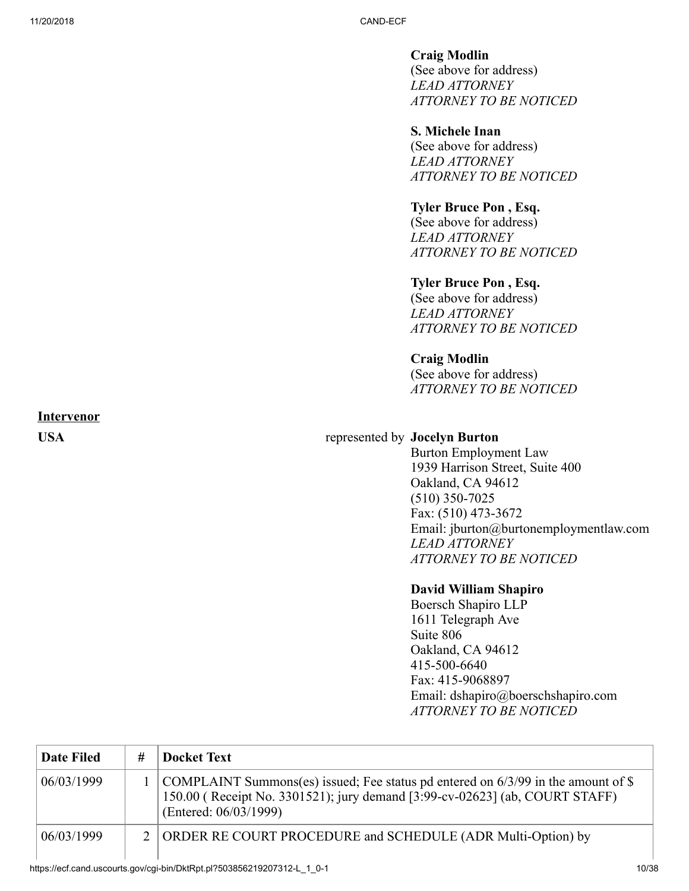**Craig Modlin**  (See above for address) *LEAD ATTORNEY ATTORNEY TO BE NOTICED*

# **S. Michele Inan**

(See above for address) *LEAD ATTORNEY ATTORNEY TO BE NOTICED*

# **Tyler Bruce Pon , Esq.**

(See above for address) *LEAD ATTORNEY ATTORNEY TO BE NOTICED*

# **Tyler Bruce Pon , Esq.**

(See above for address) *LEAD ATTORNEY ATTORNEY TO BE NOTICED*

# **Craig Modlin**

(See above for address) *ATTORNEY TO BE NOTICED*

# **Intervenor**

# **USA** represented by **Jocelyn Burton**

Burton Employment Law 1939 Harrison Street, Suite 400 Oakland, CA 94612 (510) 350-7025 Fax: (510) 473-3672 Email: jburton@burtonemploymentlaw.com *LEAD ATTORNEY ATTORNEY TO BE NOTICED*

#### **David William Shapiro**

Boersch Shapiro LLP 1611 Telegraph Ave Suite 806 Oakland, CA 94612 415-500-6640 Fax: 415-9068897 Email: dshapiro@boerschshapiro.com *ATTORNEY TO BE NOTICED*

| <b>Date Filed</b> | # | <b>Docket Text</b>                                                                                                                                                                        |
|-------------------|---|-------------------------------------------------------------------------------------------------------------------------------------------------------------------------------------------|
| 06/03/1999        |   | COMPLAINT Summons(es) issued; Fee status pd entered on 6/3/99 in the amount of \$<br>150.00 (Receipt No. 3301521); jury demand [3:99-cv-02623] (ab, COURT STAFF)<br>(Entered: 06/03/1999) |
| 06/03/1999        |   | 2 ORDER RE COURT PROCEDURE and SCHEDULE (ADR Multi-Option) by                                                                                                                             |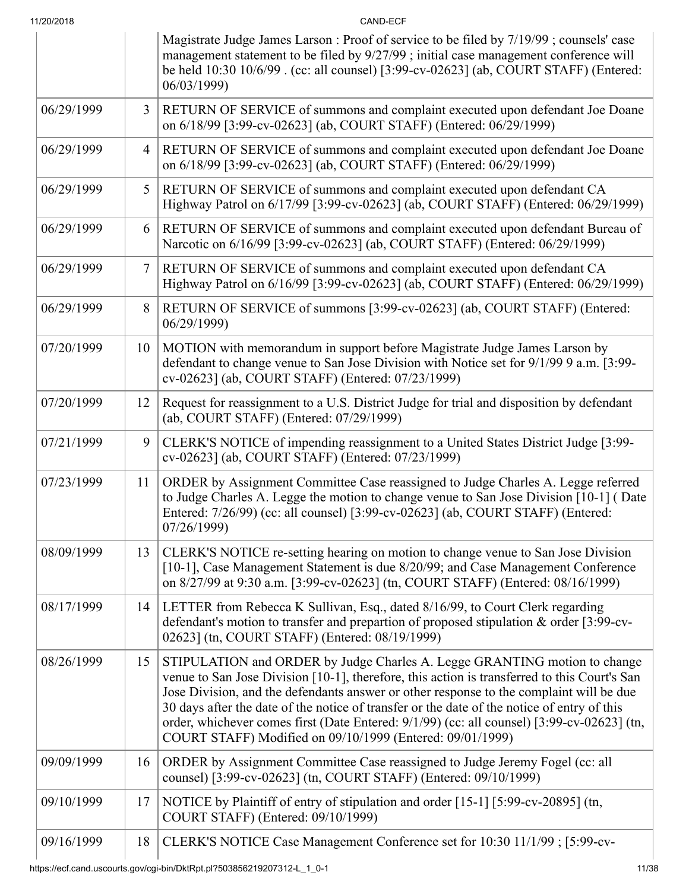| 11/20/2018 |  |
|------------|--|
|            |  |

11/20/2018 CAND-ECF Magistrate Judge James Larson : Proof of service to be filed by 7/19/99 ; counsels' case management statement to be filed by 9/27/99 ; initial case management conference will be held 10:30 10/6/99 . (cc: all counsel) [3:99-cv-02623] (ab, COURT STAFF) (Entered: 06/03/1999) 06/29/1999 **3 RETURN OF SERVICE** of summons and complaint executed upon defendant Joe Doane on 6/18/99 [3:99-cv-02623] (ab, COURT STAFF) (Entered: 06/29/1999) 06/29/1999 | 4 RETURN OF SERVICE of summons and complaint executed upon defendant Joe Doane on 6/18/99 [3:99-cv-02623] (ab, COURT STAFF) (Entered: 06/29/1999) 06/29/1999 **5 RETURN OF SERVICE** of summons and complaint executed upon defendant CA Highway Patrol on 6/17/99 [3:99-cv-02623] (ab, COURT STAFF) (Entered: 06/29/1999) 06/29/1999 **6 RETURN OF SERVICE** of summons and complaint executed upon defendant Bureau of Narcotic on 6/16/99 [3:99-cv-02623] (ab, COURT STAFF) (Entered: 06/29/1999) 06/29/1999 7 RETURN OF SERVICE of summons and complaint executed upon defendant CA Highway Patrol on 6/16/99 [3:99-cv-02623] (ab, COURT STAFF) (Entered: 06/29/1999)  $06/29/1999$  | 8 RETURN OF SERVICE of summons [3:99-cv-02623] (ab, COURT STAFF) (Entered: 06/29/1999)  $07/20/1999$  10 MOTION with memorandum in support before Magistrate Judge James Larson by defendant to change venue to San Jose Division with Notice set for 9/1/99 9 a.m. [3:99 cv-02623] (ab, COURT STAFF) (Entered: 07/23/1999) 07/20/1999 12 Request for reassignment to a U.S. District Judge for trial and disposition by defendant (ab, COURT STAFF) (Entered: 07/29/1999) 07/21/1999 9 CLERK'S NOTICE of impending reassignment to a United States District Judge [3:99cv-02623] (ab, COURT STAFF) (Entered: 07/23/1999) 07/23/1999 | 11 | ORDER by Assignment Committee Case reassigned to Judge Charles A. Legge referred to Judge Charles A. Legge the motion to change venue to San Jose Division [10-1] ( Date Entered: 7/26/99) (cc: all counsel) [3:99-cv-02623] (ab, COURT STAFF) (Entered: 07/26/1999) 08/09/1999 13 CLERK'S NOTICE re-setting hearing on motion to change venue to San Jose Division [10-1], Case Management Statement is due 8/20/99; and Case Management Conference on 8/27/99 at 9:30 a.m. [3:99-cv-02623] (tn, COURT STAFF) (Entered: 08/16/1999) 08/17/1999 14 LETTER from Rebecca K Sullivan, Esq., dated 8/16/99, to Court Clerk regarding defendant's motion to transfer and prepartion of proposed stipulation & order [3:99-cv-02623] (tn, COURT STAFF) (Entered: 08/19/1999) 08/26/1999 15 STIPULATION and ORDER by Judge Charles A. Legge GRANTING motion to change venue to San Jose Division [10-1], therefore, this action is transferred to this Court's San Jose Division, and the defendants answer or other response to the complaint will be due 30 days after the date of the notice of transfer or the date of the notice of entry of this order, whichever comes first (Date Entered: 9/1/99) (cc: all counsel) [3:99-cv-02623] (tn, COURT STAFF) Modified on 09/10/1999 (Entered: 09/01/1999) 09/09/1999 16 ORDER by Assignment Committee Case reassigned to Judge Jeremy Fogel (cc: all counsel) [3:99-cv-02623] (tn, COURT STAFF) (Entered: 09/10/1999) 09/10/1999 17 NOTICE by Plaintiff of entry of stipulation and order  $[15-1]$  [5:99-cv-20895] (tn, COURT STAFF) (Entered: 09/10/1999) 09/16/1999 | 18 | CLERK'S NOTICE Case Management Conference set for 10:30 11/1/99 ; [5:99-cv-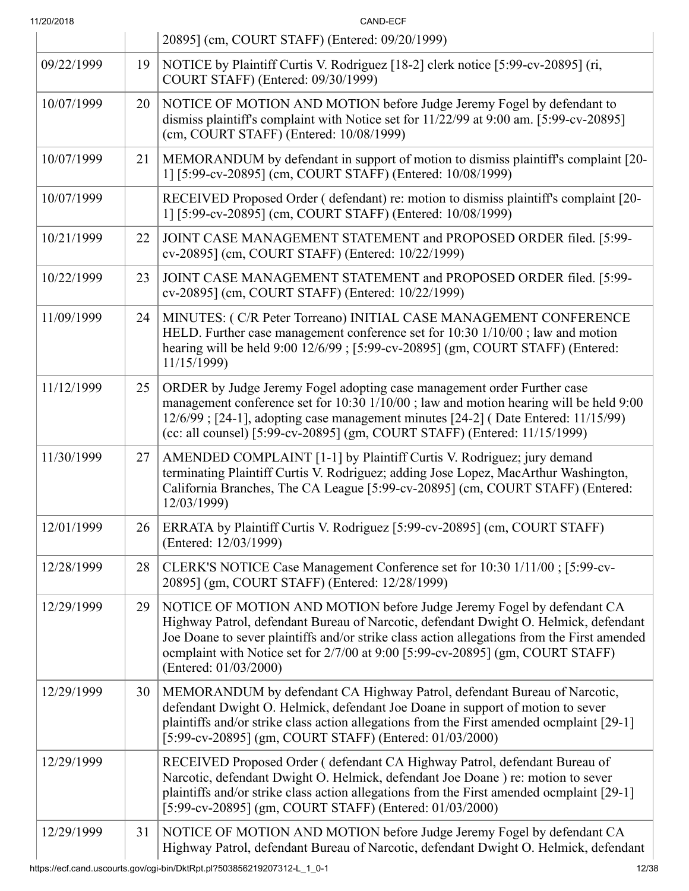| 11/20/2018 |    | CAND-ECF                                                                                                                                                                                                                                                                                                                                                                |
|------------|----|-------------------------------------------------------------------------------------------------------------------------------------------------------------------------------------------------------------------------------------------------------------------------------------------------------------------------------------------------------------------------|
|            |    | 20895] (cm, COURT STAFF) (Entered: 09/20/1999)                                                                                                                                                                                                                                                                                                                          |
| 09/22/1999 | 19 | NOTICE by Plaintiff Curtis V. Rodriguez [18-2] clerk notice [5:99-cv-20895] (ri,<br>COURT STAFF) (Entered: 09/30/1999)                                                                                                                                                                                                                                                  |
| 10/07/1999 | 20 | NOTICE OF MOTION AND MOTION before Judge Jeremy Fogel by defendant to<br>dismiss plaintiff's complaint with Notice set for 11/22/99 at 9:00 am. [5:99-cv-20895]<br>(cm, COURT STAFF) (Entered: 10/08/1999)                                                                                                                                                              |
| 10/07/1999 | 21 | MEMORANDUM by defendant in support of motion to dismiss plaintiff's complaint [20-<br>1] [5:99-cv-20895] (cm, COURT STAFF) (Entered: 10/08/1999)                                                                                                                                                                                                                        |
| 10/07/1999 |    | RECEIVED Proposed Order (defendant) re: motion to dismiss plaintiff's complaint [20-<br>1] [5:99-cv-20895] (cm, COURT STAFF) (Entered: 10/08/1999)                                                                                                                                                                                                                      |
| 10/21/1999 | 22 | JOINT CASE MANAGEMENT STATEMENT and PROPOSED ORDER filed. [5:99-<br>cv-20895] (cm, COURT STAFF) (Entered: 10/22/1999)                                                                                                                                                                                                                                                   |
| 10/22/1999 | 23 | JOINT CASE MANAGEMENT STATEMENT and PROPOSED ORDER filed. [5:99-<br>cv-20895] (cm, COURT STAFF) (Entered: 10/22/1999)                                                                                                                                                                                                                                                   |
| 11/09/1999 | 24 | MINUTES: (C/R Peter Torreano) INITIAL CASE MANAGEMENT CONFERENCE<br>HELD. Further case management conference set for 10:30 1/10/00; law and motion<br>hearing will be held 9:00 12/6/99; [5:99-cv-20895] (gm, COURT STAFF) (Entered:<br>11/15/1999)                                                                                                                     |
| 11/12/1999 | 25 | ORDER by Judge Jeremy Fogel adopting case management order Further case<br>management conference set for 10:30 1/10/00; law and motion hearing will be held 9:00<br>12/6/99; [24-1], adopting case management minutes [24-2] (Date Entered: 11/15/99)<br>(cc: all counsel) [5:99-cv-20895] (gm, COURT STAFF) (Entered: 11/15/1999)                                      |
| 11/30/1999 | 27 | AMENDED COMPLAINT [1-1] by Plaintiff Curtis V. Rodriguez; jury demand<br>terminating Plaintiff Curtis V. Rodriguez; adding Jose Lopez, MacArthur Washington,<br>California Branches, The CA League [5:99-cv-20895] (cm, COURT STAFF) (Entered:<br>12/03/1999)                                                                                                           |
| 12/01/1999 | 26 | ERRATA by Plaintiff Curtis V. Rodriguez [5:99-cv-20895] (cm, COURT STAFF)<br>(Entered: 12/03/1999)                                                                                                                                                                                                                                                                      |
| 12/28/1999 | 28 | CLERK'S NOTICE Case Management Conference set for 10:30 1/11/00; [5:99-cv-<br>20895] (gm, COURT STAFF) (Entered: 12/28/1999)                                                                                                                                                                                                                                            |
| 12/29/1999 | 29 | NOTICE OF MOTION AND MOTION before Judge Jeremy Fogel by defendant CA<br>Highway Patrol, defendant Bureau of Narcotic, defendant Dwight O. Helmick, defendant<br>Joe Doane to sever plaintiffs and/or strike class action allegations from the First amended<br>ocmplaint with Notice set for 2/7/00 at 9:00 [5:99-cv-20895] (gm, COURT STAFF)<br>(Entered: 01/03/2000) |
| 12/29/1999 | 30 | MEMORANDUM by defendant CA Highway Patrol, defendant Bureau of Narcotic,<br>defendant Dwight O. Helmick, defendant Joe Doane in support of motion to sever<br>plaintiffs and/or strike class action allegations from the First amended ocmplaint [29-1]<br>[5:99-cv-20895] (gm, COURT STAFF) (Entered: 01/03/2000)                                                      |
| 12/29/1999 |    | RECEIVED Proposed Order (defendant CA Highway Patrol, defendant Bureau of<br>Narcotic, defendant Dwight O. Helmick, defendant Joe Doane) re: motion to sever<br>plaintiffs and/or strike class action allegations from the First amended ocmplaint [29-1]<br>[5:99-cv-20895] (gm, COURT STAFF) (Entered: 01/03/2000)                                                    |
| 12/29/1999 | 31 | NOTICE OF MOTION AND MOTION before Judge Jeremy Fogel by defendant CA<br>Highway Patrol, defendant Bureau of Narcotic, defendant Dwight O. Helmick, defendant                                                                                                                                                                                                           |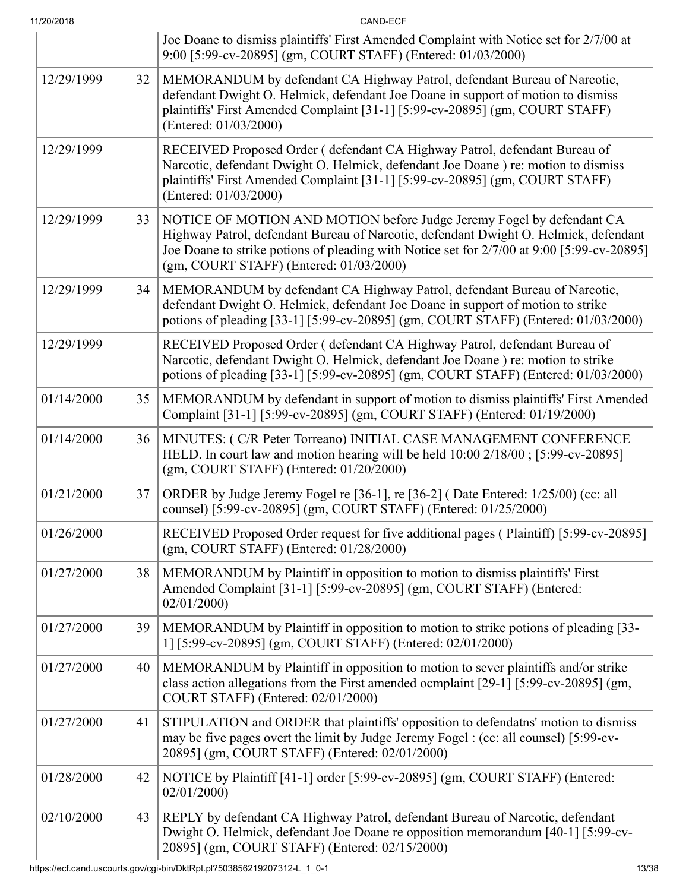| 11/20/2018 |    | CAND-ECF                                                                                                                                                                                                                                                                                                           |
|------------|----|--------------------------------------------------------------------------------------------------------------------------------------------------------------------------------------------------------------------------------------------------------------------------------------------------------------------|
|            |    | Joe Doane to dismiss plaintiffs' First Amended Complaint with Notice set for 2/7/00 at<br>9:00 [5:99-cv-20895] (gm, COURT STAFF) (Entered: 01/03/2000)                                                                                                                                                             |
| 12/29/1999 | 32 | MEMORANDUM by defendant CA Highway Patrol, defendant Bureau of Narcotic,<br>defendant Dwight O. Helmick, defendant Joe Doane in support of motion to dismiss<br>plaintiffs' First Amended Complaint [31-1] [5:99-cv-20895] (gm, COURT STAFF)<br>(Entered: 01/03/2000)                                              |
| 12/29/1999 |    | RECEIVED Proposed Order (defendant CA Highway Patrol, defendant Bureau of<br>Narcotic, defendant Dwight O. Helmick, defendant Joe Doane) re: motion to dismiss<br>plaintiffs' First Amended Complaint [31-1] [5:99-cv-20895] (gm, COURT STAFF)<br>(Entered: 01/03/2000)                                            |
| 12/29/1999 | 33 | NOTICE OF MOTION AND MOTION before Judge Jeremy Fogel by defendant CA<br>Highway Patrol, defendant Bureau of Narcotic, defendant Dwight O. Helmick, defendant<br>Joe Doane to strike potions of pleading with Notice set for 2/7/00 at 9:00 [5:99-cv-20895]<br>$(gm, \text{COURT STATE})$ (Entered: $01/03/2000$ ) |
| 12/29/1999 | 34 | MEMORANDUM by defendant CA Highway Patrol, defendant Bureau of Narcotic,<br>defendant Dwight O. Helmick, defendant Joe Doane in support of motion to strike<br>potions of pleading [33-1] [5:99-cv-20895] (gm, COURT STAFF) (Entered: 01/03/2000)                                                                  |
| 12/29/1999 |    | RECEIVED Proposed Order (defendant CA Highway Patrol, defendant Bureau of<br>Narcotic, defendant Dwight O. Helmick, defendant Joe Doane ) re: motion to strike<br>potions of pleading [33-1] [5:99-cv-20895] (gm, COURT STAFF) (Entered: 01/03/2000)                                                               |
| 01/14/2000 | 35 | MEMORANDUM by defendant in support of motion to dismiss plaintiffs' First Amended<br>Complaint [31-1] [5:99-cv-20895] (gm, COURT STAFF) (Entered: 01/19/2000)                                                                                                                                                      |
| 01/14/2000 | 36 | MINUTES: (C/R Peter Torreano) INITIAL CASE MANAGEMENT CONFERENCE<br>HELD. In court law and motion hearing will be held 10:00 2/18/00; [5:99-cv-20895]<br>$(gm, \text{COURT STATE})$ (Entered: $01/20/2000$ )                                                                                                       |
| 01/21/2000 | 37 | ORDER by Judge Jeremy Fogel re [36-1], re [36-2] (Date Entered: 1/25/00) (cc: all<br>counsel) [5:99-cv-20895] (gm, COURT STAFF) (Entered: 01/25/2000)                                                                                                                                                              |
| 01/26/2000 |    | RECEIVED Proposed Order request for five additional pages (Plaintiff) [5:99-cv-20895]<br>$(gm, \text{COURT STATE})$ (Entered: $01/28/2000$ )                                                                                                                                                                       |
| 01/27/2000 | 38 | MEMORANDUM by Plaintiff in opposition to motion to dismiss plaintiffs' First<br>Amended Complaint [31-1] [5:99-cv-20895] (gm, COURT STAFF) (Entered:<br>02/01/2000                                                                                                                                                 |
| 01/27/2000 | 39 | MEMORANDUM by Plaintiff in opposition to motion to strike potions of pleading [33-<br>1] [5:99-cv-20895] (gm, COURT STAFF) (Entered: 02/01/2000)                                                                                                                                                                   |
| 01/27/2000 | 40 | MEMORANDUM by Plaintiff in opposition to motion to sever plaintiffs and/or strike<br>class action allegations from the First amended ocmplaint [29-1] [5:99-cv-20895] (gm,<br>COURT STAFF) (Entered: 02/01/2000)                                                                                                   |
| 01/27/2000 | 41 | STIPULATION and ORDER that plaintiffs' opposition to defendatns' motion to dismiss<br>may be five pages overt the limit by Judge Jeremy Fogel : (cc: all counsel) [5:99-cv-<br>20895] (gm, COURT STAFF) (Entered: 02/01/2000)                                                                                      |
| 01/28/2000 | 42 | NOTICE by Plaintiff [41-1] order [5:99-cv-20895] (gm, COURT STAFF) (Entered:<br>02/01/2000                                                                                                                                                                                                                         |
| 02/10/2000 | 43 | REPLY by defendant CA Highway Patrol, defendant Bureau of Narcotic, defendant<br>Dwight O. Helmick, defendant Joe Doane re opposition memorandum [40-1] [5:99-cv-<br>20895] (gm, COURT STAFF) (Entered: 02/15/2000)                                                                                                |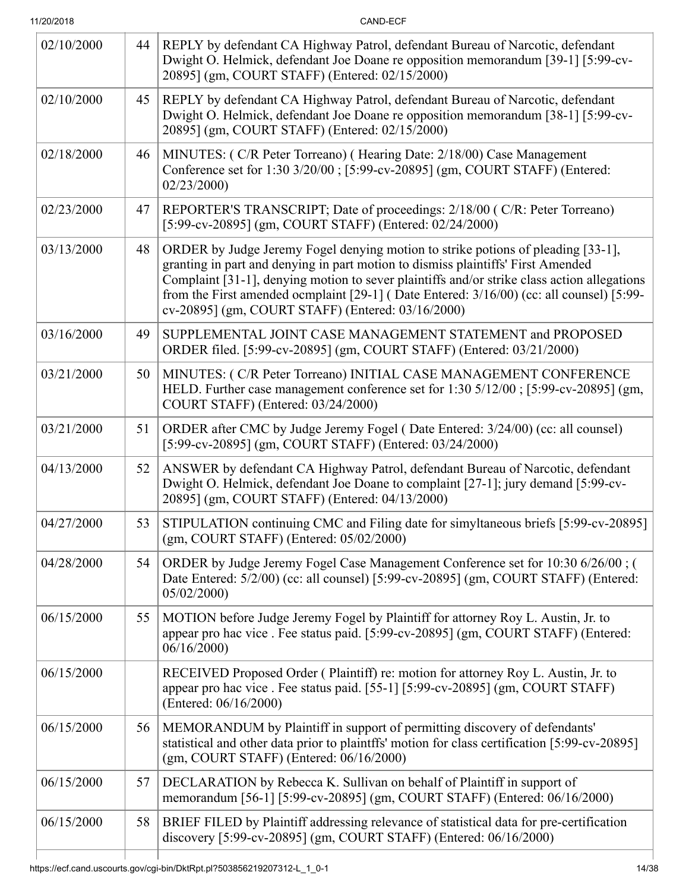CAND-ECF

| 02/10/2000 | 44 | REPLY by defendant CA Highway Patrol, defendant Bureau of Narcotic, defendant<br>Dwight O. Helmick, defendant Joe Doane re opposition memorandum [39-1] [5:99-cv-<br>20895] (gm, COURT STAFF) (Entered: 02/15/2000)                                                                                                                                                                                                  |
|------------|----|----------------------------------------------------------------------------------------------------------------------------------------------------------------------------------------------------------------------------------------------------------------------------------------------------------------------------------------------------------------------------------------------------------------------|
| 02/10/2000 | 45 | REPLY by defendant CA Highway Patrol, defendant Bureau of Narcotic, defendant<br>Dwight O. Helmick, defendant Joe Doane re opposition memorandum [38-1] [5:99-cv-<br>20895] (gm, COURT STAFF) (Entered: 02/15/2000)                                                                                                                                                                                                  |
| 02/18/2000 | 46 | MINUTES: (C/R Peter Torreano) (Hearing Date: 2/18/00) Case Management<br>Conference set for 1:30 3/20/00 ; [5:99-cv-20895] (gm, COURT STAFF) (Entered:<br>02/23/2000                                                                                                                                                                                                                                                 |
| 02/23/2000 | 47 | REPORTER'S TRANSCRIPT; Date of proceedings: 2/18/00 (C/R: Peter Torreano)<br>[5:99-cv-20895] (gm, COURT STAFF) (Entered: 02/24/2000)                                                                                                                                                                                                                                                                                 |
| 03/13/2000 | 48 | ORDER by Judge Jeremy Fogel denying motion to strike potions of pleading [33-1],<br>granting in part and denying in part motion to dismiss plaintiffs' First Amended<br>Complaint [31-1], denying motion to sever plaintiffs and/or strike class action allegations<br>from the First amended ocmplaint [29-1] (Date Entered: 3/16/00) (cc: all counsel) [5:99-<br>cv-20895] (gm, COURT STAFF) (Entered: 03/16/2000) |
| 03/16/2000 | 49 | SUPPLEMENTAL JOINT CASE MANAGEMENT STATEMENT and PROPOSED<br>ORDER filed. [5:99-cv-20895] (gm, COURT STAFF) (Entered: 03/21/2000)                                                                                                                                                                                                                                                                                    |
| 03/21/2000 | 50 | MINUTES: (C/R Peter Torreano) INITIAL CASE MANAGEMENT CONFERENCE<br>HELD. Further case management conference set for 1:30 5/12/00; [5:99-cv-20895] (gm,<br>COURT STAFF) (Entered: 03/24/2000)                                                                                                                                                                                                                        |
| 03/21/2000 | 51 | ORDER after CMC by Judge Jeremy Fogel (Date Entered: 3/24/00) (cc: all counsel)<br>[5:99-cv-20895] (gm, COURT STAFF) (Entered: 03/24/2000)                                                                                                                                                                                                                                                                           |
| 04/13/2000 | 52 | ANSWER by defendant CA Highway Patrol, defendant Bureau of Narcotic, defendant<br>Dwight O. Helmick, defendant Joe Doane to complaint [27-1]; jury demand [5:99-cv-<br>20895] (gm, COURT STAFF) (Entered: 04/13/2000)                                                                                                                                                                                                |
| 04/27/2000 | 53 | STIPULATION continuing CMC and Filing date for simyltaneous briefs [5:99-cv-20895]<br>$(gm, \text{COURT STATE})$ (Entered: $05/02/2000$ )                                                                                                                                                                                                                                                                            |
| 04/28/2000 | 54 | ORDER by Judge Jeremy Fogel Case Management Conference set for 10:30 6/26/00; (<br>Date Entered: 5/2/00) (cc: all counsel) [5:99-cv-20895] (gm, COURT STAFF) (Entered:<br>05/02/2000                                                                                                                                                                                                                                 |
| 06/15/2000 | 55 | MOTION before Judge Jeremy Fogel by Plaintiff for attorney Roy L. Austin, Jr. to<br>appear pro hac vice . Fee status paid. [5:99-cv-20895] (gm, COURT STAFF) (Entered:<br>06/16/2000                                                                                                                                                                                                                                 |
| 06/15/2000 |    | RECEIVED Proposed Order (Plaintiff) re: motion for attorney Roy L. Austin, Jr. to<br>appear pro hac vice. Fee status paid. [55-1] [5:99-cv-20895] (gm, COURT STAFF)<br>(Entered: 06/16/2000)                                                                                                                                                                                                                         |
| 06/15/2000 | 56 | MEMORANDUM by Plaintiff in support of permitting discovery of defendants'<br>statistical and other data prior to plaintffs' motion for class certification [5:99-cv-20895]<br>$(gm, \text{COURT STATE})$ (Entered: $06/16/2000$ )                                                                                                                                                                                    |
| 06/15/2000 | 57 | DECLARATION by Rebecca K. Sullivan on behalf of Plaintiff in support of<br>memorandum [56-1] [5:99-cv-20895] (gm, COURT STAFF) (Entered: 06/16/2000)                                                                                                                                                                                                                                                                 |
| 06/15/2000 | 58 | BRIEF FILED by Plaintiff addressing relevance of statistical data for pre-certification<br>discovery [5:99-cv-20895] (gm, COURT STAFF) (Entered: 06/16/2000)                                                                                                                                                                                                                                                         |
|            |    |                                                                                                                                                                                                                                                                                                                                                                                                                      |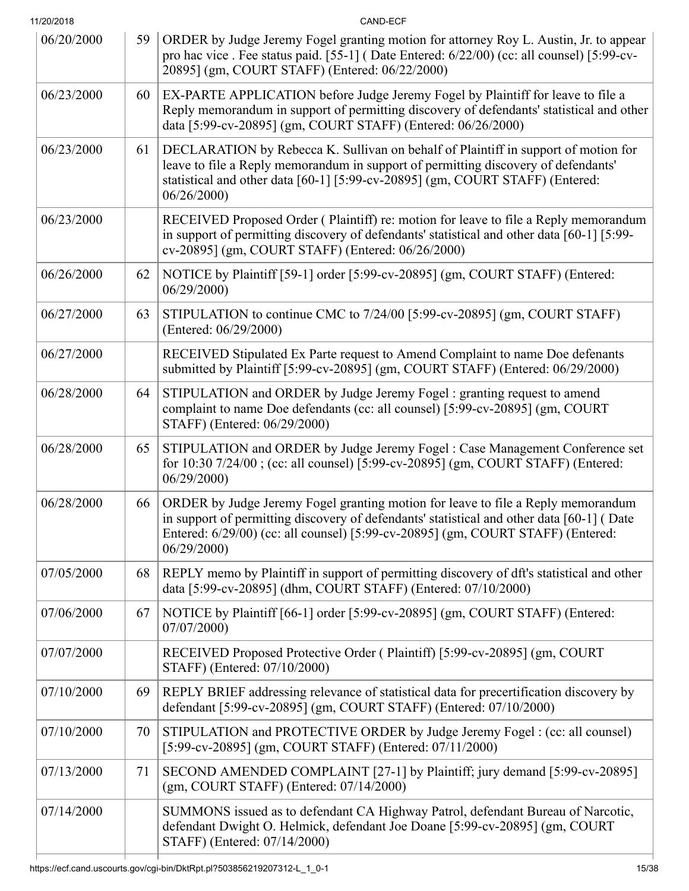| 11/20/2018 |    | CAND-ECF                                                                                                                                                                                                                                                                       |
|------------|----|--------------------------------------------------------------------------------------------------------------------------------------------------------------------------------------------------------------------------------------------------------------------------------|
| 06/20/2000 | 59 | ORDER by Judge Jeremy Fogel granting motion for attorney Roy L. Austin, Jr. to appear<br>pro hac vice. Fee status paid. [55-1] (Date Entered: 6/22/00) (cc: all counsel) [5:99-cv-<br>20895] (gm, COURT STAFF) (Entered: 06/22/2000)                                           |
| 06/23/2000 | 60 | EX-PARTE APPLICATION before Judge Jeremy Fogel by Plaintiff for leave to file a<br>Reply memorandum in support of permitting discovery of defendants' statistical and other<br>data [5:99-cv-20895] (gm, COURT STAFF) (Entered: 06/26/2000)                                    |
| 06/23/2000 | 61 | DECLARATION by Rebecca K. Sullivan on behalf of Plaintiff in support of motion for<br>leave to file a Reply memorandum in support of permitting discovery of defendants'<br>statistical and other data [60-1] [5:99-cv-20895] (gm, COURT STAFF) (Entered:<br>06/26/2000        |
| 06/23/2000 |    | RECEIVED Proposed Order (Plaintiff) re: motion for leave to file a Reply memorandum<br>in support of permitting discovery of defendants' statistical and other data [60-1] [5:99-<br>cv-20895] (gm, COURT STAFF) (Entered: 06/26/2000)                                         |
| 06/26/2000 | 62 | NOTICE by Plaintiff [59-1] order [5:99-cv-20895] (gm, COURT STAFF) (Entered:<br>06/29/2000                                                                                                                                                                                     |
| 06/27/2000 | 63 | STIPULATION to continue CMC to 7/24/00 [5:99-cv-20895] (gm, COURT STAFF)<br>(Entered: 06/29/2000)                                                                                                                                                                              |
| 06/27/2000 |    | RECEIVED Stipulated Ex Parte request to Amend Complaint to name Doe defenants<br>submitted by Plaintiff [5:99-cv-20895] (gm, COURT STAFF) (Entered: 06/29/2000)                                                                                                                |
| 06/28/2000 | 64 | STIPULATION and ORDER by Judge Jeremy Fogel : granting request to amend<br>complaint to name Doe defendants (cc: all counsel) [5:99-cv-20895] (gm, COURT<br>STAFF) (Entered: 06/29/2000)                                                                                       |
| 06/28/2000 | 65 | STIPULATION and ORDER by Judge Jeremy Fogel : Case Management Conference set<br>for 10:30 7/24/00; (cc: all counsel) [5:99-cv-20895] (gm, COURT STAFF) (Entered:<br>06/29/2000                                                                                                 |
| 06/28/2000 | 66 | ORDER by Judge Jeremy Fogel granting motion for leave to file a Reply memorandum<br>in support of permitting discovery of defendants' statistical and other data [60-1] (Date<br>Entered: 6/29/00) (cc: all counsel) [5:99-cv-20895] (gm, COURT STAFF) (Entered:<br>06/29/2000 |
| 07/05/2000 | 68 | REPLY memo by Plaintiff in support of permitting discovery of dft's statistical and other<br>data [5:99-cv-20895] (dhm, COURT STAFF) (Entered: 07/10/2000)                                                                                                                     |
| 07/06/2000 | 67 | NOTICE by Plaintiff [66-1] order [5:99-cv-20895] (gm, COURT STAFF) (Entered:<br>07/07/2000                                                                                                                                                                                     |
| 07/07/2000 |    | RECEIVED Proposed Protective Order (Plaintiff) [5:99-cv-20895] (gm, COURT<br>STAFF) (Entered: 07/10/2000)                                                                                                                                                                      |
| 07/10/2000 | 69 | REPLY BRIEF addressing relevance of statistical data for precertification discovery by<br>defendant [5:99-cv-20895] (gm, COURT STAFF) (Entered: 07/10/2000)                                                                                                                    |
| 07/10/2000 | 70 | STIPULATION and PROTECTIVE ORDER by Judge Jeremy Fogel : (cc: all counsel)<br>[5:99-cv-20895] (gm, COURT STAFF) (Entered: 07/11/2000)                                                                                                                                          |
| 07/13/2000 | 71 | SECOND AMENDED COMPLAINT [27-1] by Plaintiff; jury demand [5:99-cv-20895]<br>$(gm, \text{COURT STATE})$ (Entered: $07/14/2000$ )                                                                                                                                               |
| 07/14/2000 |    | SUMMONS issued as to defendant CA Highway Patrol, defendant Bureau of Narcotic,<br>defendant Dwight O. Helmick, defendant Joe Doane [5:99-cv-20895] (gm, COURT<br>STAFF) (Entered: 07/14/2000)                                                                                 |
|            |    |                                                                                                                                                                                                                                                                                |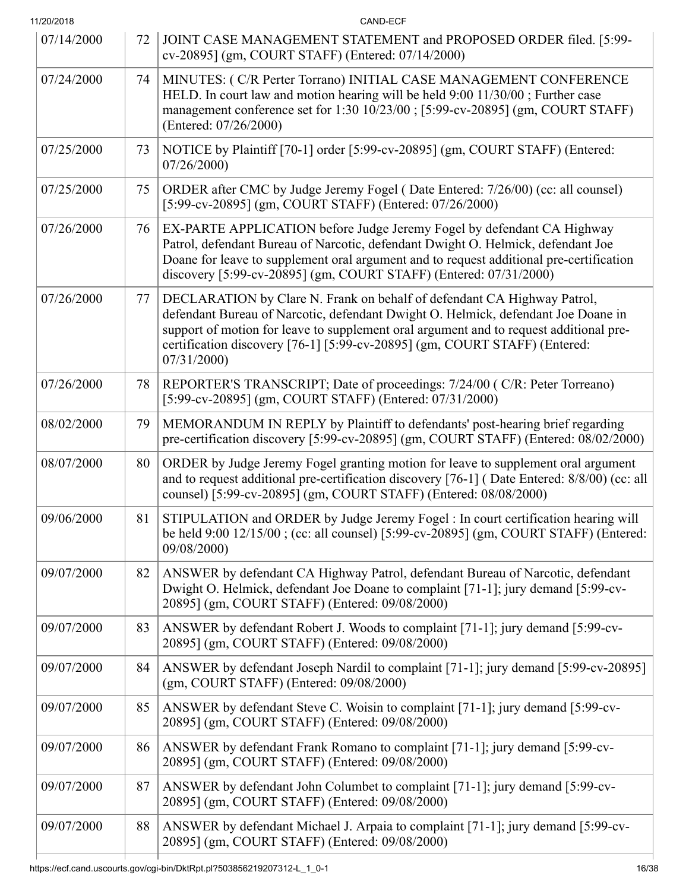| 11/20/2018 |    | CAND-ECF                                                                                                                                                                                                                                                                                                                                           |
|------------|----|----------------------------------------------------------------------------------------------------------------------------------------------------------------------------------------------------------------------------------------------------------------------------------------------------------------------------------------------------|
| 07/14/2000 | 72 | JOINT CASE MANAGEMENT STATEMENT and PROPOSED ORDER filed. [5:99-<br>cv-20895] (gm, COURT STAFF) (Entered: 07/14/2000)                                                                                                                                                                                                                              |
| 07/24/2000 | 74 | MINUTES: (C/R Perter Torrano) INITIAL CASE MANAGEMENT CONFERENCE<br>HELD. In court law and motion hearing will be held 9:00 11/30/00; Further case<br>management conference set for 1:30 10/23/00 ; [5:99-cv-20895] (gm, COURT STAFF)<br>(Entered: 07/26/2000)                                                                                     |
| 07/25/2000 | 73 | NOTICE by Plaintiff [70-1] order [5:99-cv-20895] (gm, COURT STAFF) (Entered:<br>07/26/2000                                                                                                                                                                                                                                                         |
| 07/25/2000 | 75 | ORDER after CMC by Judge Jeremy Fogel (Date Entered: 7/26/00) (cc: all counsel)<br>[5:99-cv-20895] (gm, COURT STAFF) (Entered: 07/26/2000)                                                                                                                                                                                                         |
| 07/26/2000 | 76 | EX-PARTE APPLICATION before Judge Jeremy Fogel by defendant CA Highway<br>Patrol, defendant Bureau of Narcotic, defendant Dwight O. Helmick, defendant Joe<br>Doane for leave to supplement oral argument and to request additional pre-certification<br>discovery [5:99-cv-20895] (gm, COURT STAFF) (Entered: 07/31/2000)                         |
| 07/26/2000 | 77 | DECLARATION by Clare N. Frank on behalf of defendant CA Highway Patrol,<br>defendant Bureau of Narcotic, defendant Dwight O. Helmick, defendant Joe Doane in<br>support of motion for leave to supplement oral argument and to request additional pre-<br>certification discovery [76-1] [5:99-cv-20895] (gm, COURT STAFF) (Entered:<br>07/31/2000 |
| 07/26/2000 | 78 | REPORTER'S TRANSCRIPT; Date of proceedings: 7/24/00 (C/R: Peter Torreano)<br>[5:99-cv-20895] (gm, COURT STAFF) (Entered: 07/31/2000)                                                                                                                                                                                                               |
| 08/02/2000 | 79 | MEMORANDUM IN REPLY by Plaintiff to defendants' post-hearing brief regarding<br>pre-certification discovery [5:99-cv-20895] (gm, COURT STAFF) (Entered: 08/02/2000)                                                                                                                                                                                |
| 08/07/2000 | 80 | ORDER by Judge Jeremy Fogel granting motion for leave to supplement oral argument<br>and to request additional pre-certification discovery [76-1] (Date Entered: 8/8/00) (cc: all<br>counsel) [5:99-cv-20895] (gm, COURT STAFF) (Entered: 08/08/2000)                                                                                              |
| 09/06/2000 | 81 | STIPULATION and ORDER by Judge Jeremy Fogel : In court certification hearing will<br>be held 9:00 12/15/00; (cc: all counsel) [5:99-cv-20895] (gm, COURT STAFF) (Entered:<br>09/08/2000)                                                                                                                                                           |
| 09/07/2000 | 82 | ANSWER by defendant CA Highway Patrol, defendant Bureau of Narcotic, defendant<br>Dwight O. Helmick, defendant Joe Doane to complaint [71-1]; jury demand [5:99-cv-<br>20895] (gm, COURT STAFF) (Entered: 09/08/2000)                                                                                                                              |
| 09/07/2000 | 83 | ANSWER by defendant Robert J. Woods to complaint [71-1]; jury demand [5:99-cv-<br>20895] (gm, COURT STAFF) (Entered: 09/08/2000)                                                                                                                                                                                                                   |
| 09/07/2000 | 84 | ANSWER by defendant Joseph Nardil to complaint [71-1]; jury demand [5:99-cv-20895]<br>$(gm, COURT STATE)$ (Entered: $09/08/2000$ )                                                                                                                                                                                                                 |
| 09/07/2000 | 85 | ANSWER by defendant Steve C. Woisin to complaint [71-1]; jury demand [5:99-cv-<br>20895] (gm, COURT STAFF) (Entered: 09/08/2000)                                                                                                                                                                                                                   |
| 09/07/2000 | 86 | ANSWER by defendant Frank Romano to complaint [71-1]; jury demand [5:99-cv-<br>20895] (gm, COURT STAFF) (Entered: 09/08/2000)                                                                                                                                                                                                                      |
| 09/07/2000 | 87 | ANSWER by defendant John Columbet to complaint [71-1]; jury demand [5:99-cv-<br>20895] (gm, COURT STAFF) (Entered: 09/08/2000)                                                                                                                                                                                                                     |
| 09/07/2000 | 88 | ANSWER by defendant Michael J. Arpaia to complaint [71-1]; jury demand [5:99-cv-<br>20895] (gm, COURT STAFF) (Entered: 09/08/2000)                                                                                                                                                                                                                 |
|            |    |                                                                                                                                                                                                                                                                                                                                                    |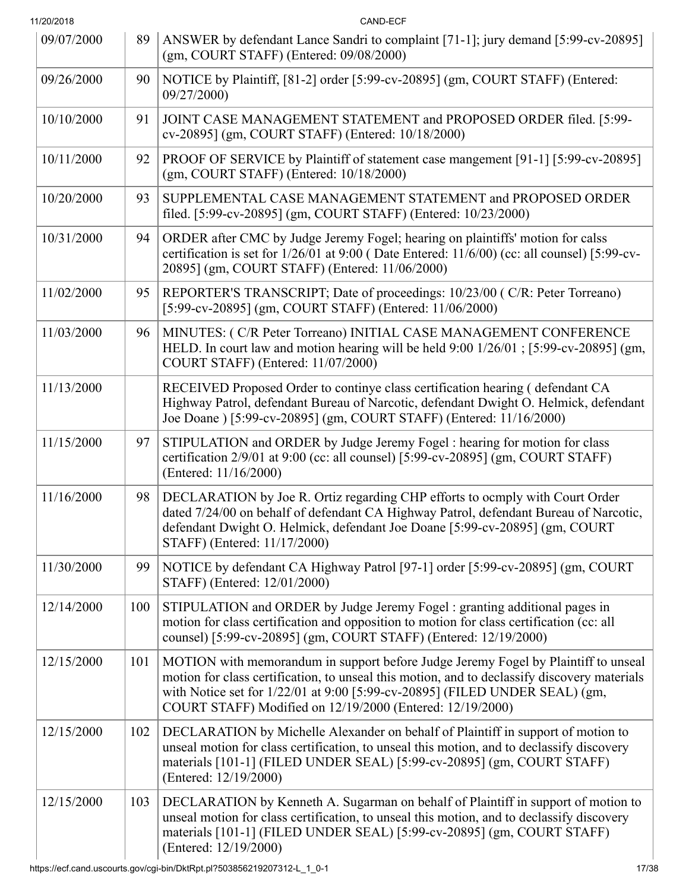| 11/20/2018 |     | CAND-ECF                                                                                                                                                                                                                                                                                                                       |
|------------|-----|--------------------------------------------------------------------------------------------------------------------------------------------------------------------------------------------------------------------------------------------------------------------------------------------------------------------------------|
| 09/07/2000 | 89  | ANSWER by defendant Lance Sandri to complaint [71-1]; jury demand [5:99-cv-20895]<br>$(gm, COURT STATE)$ (Entered: $09/08/2000$ )                                                                                                                                                                                              |
| 09/26/2000 | 90  | NOTICE by Plaintiff, [81-2] order [5:99-cv-20895] (gm, COURT STAFF) (Entered:<br>09/27/2000)                                                                                                                                                                                                                                   |
| 10/10/2000 | 91  | JOINT CASE MANAGEMENT STATEMENT and PROPOSED ORDER filed. [5:99-<br>cv-20895] (gm, COURT STAFF) (Entered: 10/18/2000)                                                                                                                                                                                                          |
| 10/11/2000 | 92  | PROOF OF SERVICE by Plaintiff of statement case mangement [91-1] [5:99-cv-20895]<br>$(gm, \text{COURT STATE})$ (Entered: $10/18/2000$ )                                                                                                                                                                                        |
| 10/20/2000 | 93  | SUPPLEMENTAL CASE MANAGEMENT STATEMENT and PROPOSED ORDER<br>filed. [5:99-cv-20895] (gm, COURT STAFF) (Entered: 10/23/2000)                                                                                                                                                                                                    |
| 10/31/2000 | 94  | ORDER after CMC by Judge Jeremy Fogel; hearing on plaintiffs' motion for calss<br>certification is set for 1/26/01 at 9:00 (Date Entered: 11/6/00) (cc: all counsel) [5:99-cv-<br>20895] (gm, COURT STAFF) (Entered: 11/06/2000)                                                                                               |
| 11/02/2000 | 95  | REPORTER'S TRANSCRIPT; Date of proceedings: 10/23/00 (C/R: Peter Torreano)<br>[5:99-cv-20895] (gm, COURT STAFF) (Entered: 11/06/2000)                                                                                                                                                                                          |
| 11/03/2000 | 96  | MINUTES: (C/R Peter Torreano) INITIAL CASE MANAGEMENT CONFERENCE<br>HELD. In court law and motion hearing will be held 9:00 1/26/01; [5:99-cv-20895] (gm,<br>COURT STAFF) (Entered: 11/07/2000)                                                                                                                                |
| 11/13/2000 |     | RECEIVED Proposed Order to continye class certification hearing (defendant CA<br>Highway Patrol, defendant Bureau of Narcotic, defendant Dwight O. Helmick, defendant<br>Joe Doane ) [5:99-cv-20895] (gm, COURT STAFF) (Entered: 11/16/2000)                                                                                   |
| 11/15/2000 | 97  | STIPULATION and ORDER by Judge Jeremy Fogel : hearing for motion for class<br>certification 2/9/01 at 9:00 (cc: all counsel) [5:99-cv-20895] (gm, COURT STAFF)<br>(Entered: 11/16/2000)                                                                                                                                        |
| 11/16/2000 | 98  | DECLARATION by Joe R. Ortiz regarding CHP efforts to ocmply with Court Order<br>dated 7/24/00 on behalf of defendant CA Highway Patrol, defendant Bureau of Narcotic,<br>defendant Dwight O. Helmick, defendant Joe Doane [5:99-cv-20895] (gm, COURT<br>STAFF) (Entered: 11/17/2000)                                           |
| 11/30/2000 | 99  | NOTICE by defendant CA Highway Patrol [97-1] order [5:99-cv-20895] (gm, COURT<br>STAFF) (Entered: 12/01/2000)                                                                                                                                                                                                                  |
| 12/14/2000 | 100 | STIPULATION and ORDER by Judge Jeremy Fogel : granting additional pages in<br>motion for class certification and opposition to motion for class certification (cc: all<br>counsel) [5:99-cv-20895] (gm, COURT STAFF) (Entered: 12/19/2000)                                                                                     |
| 12/15/2000 | 101 | MOTION with memorandum in support before Judge Jeremy Fogel by Plaintiff to unseal<br>motion for class certification, to unseal this motion, and to declassify discovery materials<br>with Notice set for 1/22/01 at 9:00 [5:99-cv-20895] (FILED UNDER SEAL) (gm,<br>COURT STAFF) Modified on 12/19/2000 (Entered: 12/19/2000) |
| 12/15/2000 | 102 | DECLARATION by Michelle Alexander on behalf of Plaintiff in support of motion to<br>unseal motion for class certification, to unseal this motion, and to declassify discovery<br>materials [101-1] (FILED UNDER SEAL) [5:99-cv-20895] (gm, COURT STAFF)<br>(Entered: 12/19/2000)                                               |
| 12/15/2000 | 103 | DECLARATION by Kenneth A. Sugarman on behalf of Plaintiff in support of motion to<br>unseal motion for class certification, to unseal this motion, and to declassify discovery<br>materials [101-1] (FILED UNDER SEAL) [5:99-cv-20895] (gm, COURT STAFF)<br>(Entered: 12/19/2000)                                              |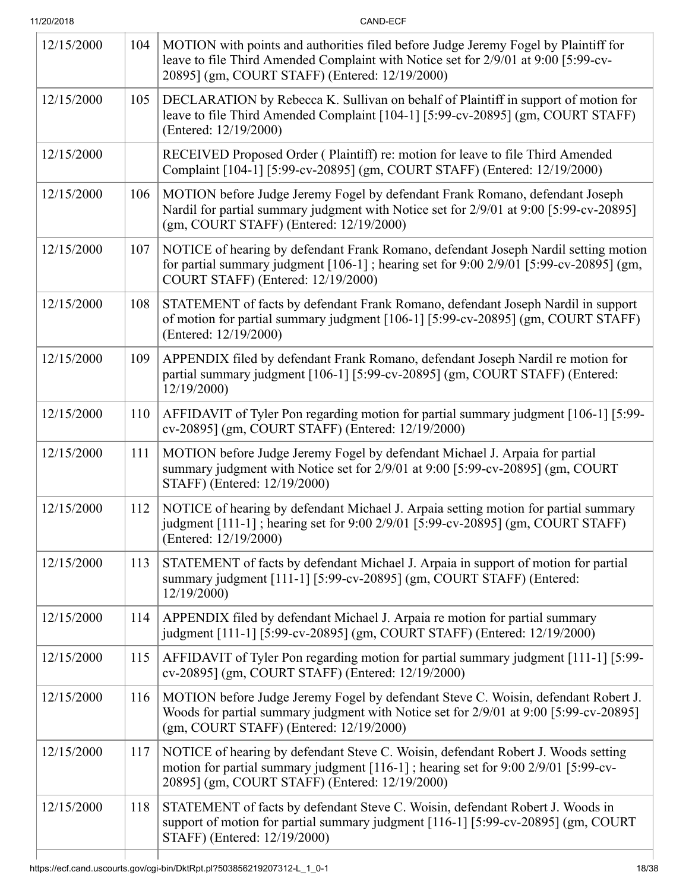| 12/15/2000 | 104 | MOTION with points and authorities filed before Judge Jeremy Fogel by Plaintiff for<br>leave to file Third Amended Complaint with Notice set for 2/9/01 at 9:00 [5:99-cv-<br>20895] (gm, COURT STAFF) (Entered: 12/19/2000) |
|------------|-----|-----------------------------------------------------------------------------------------------------------------------------------------------------------------------------------------------------------------------------|
| 12/15/2000 | 105 | DECLARATION by Rebecca K. Sullivan on behalf of Plaintiff in support of motion for<br>leave to file Third Amended Complaint [104-1] [5:99-cv-20895] (gm, COURT STAFF)<br>(Entered: 12/19/2000)                              |
| 12/15/2000 |     | RECEIVED Proposed Order (Plaintiff) re: motion for leave to file Third Amended<br>Complaint [104-1] [5:99-cv-20895] (gm, COURT STAFF) (Entered: 12/19/2000)                                                                 |
| 12/15/2000 | 106 | MOTION before Judge Jeremy Fogel by defendant Frank Romano, defendant Joseph<br>Nardil for partial summary judgment with Notice set for 2/9/01 at 9:00 [5:99-cv-20895]<br>(gm, COURT STAFF) (Entered: 12/19/2000)           |
| 12/15/2000 | 107 | NOTICE of hearing by defendant Frank Romano, defendant Joseph Nardil setting motion<br>for partial summary judgment $[106-1]$ ; hearing set for 9:00 2/9/01 [5:99-cv-20895] (gm,<br>COURT STAFF) (Entered: 12/19/2000)      |
| 12/15/2000 | 108 | STATEMENT of facts by defendant Frank Romano, defendant Joseph Nardil in support<br>of motion for partial summary judgment [106-1] [5:99-cv-20895] (gm, COURT STAFF)<br>(Entered: 12/19/2000)                               |
| 12/15/2000 | 109 | APPENDIX filed by defendant Frank Romano, defendant Joseph Nardil re motion for<br>partial summary judgment [106-1] [5:99-cv-20895] (gm, COURT STAFF) (Entered:<br>12/19/2000)                                              |
| 12/15/2000 | 110 | AFFIDAVIT of Tyler Pon regarding motion for partial summary judgment [106-1] [5:99-<br>cv-20895] (gm, COURT STAFF) (Entered: 12/19/2000)                                                                                    |
| 12/15/2000 | 111 | MOTION before Judge Jeremy Fogel by defendant Michael J. Arpaia for partial<br>summary judgment with Notice set for 2/9/01 at 9:00 [5:99-cv-20895] (gm, COURT<br>STAFF) (Entered: 12/19/2000)                               |
| 12/15/2000 | 112 | NOTICE of hearing by defendant Michael J. Arpaia setting motion for partial summary<br>judgment [111-1]; hearing set for 9:00 2/9/01 [5:99-cv-20895] (gm, COURT STAFF)<br>(Entered: 12/19/2000)                             |
| 12/15/2000 | 113 | STATEMENT of facts by defendant Michael J. Arpaia in support of motion for partial<br>summary judgment [111-1] [5:99-cv-20895] (gm, COURT STAFF) (Entered:<br>12/19/2000                                                    |
| 12/15/2000 | 114 | APPENDIX filed by defendant Michael J. Arpaia re motion for partial summary<br>judgment [111-1] [5:99-cv-20895] (gm, COURT STAFF) (Entered: 12/19/2000)                                                                     |
| 12/15/2000 | 115 | AFFIDAVIT of Tyler Pon regarding motion for partial summary judgment [111-1] [5:99-<br>cv-20895] (gm, COURT STAFF) (Entered: 12/19/2000)                                                                                    |
| 12/15/2000 | 116 | MOTION before Judge Jeremy Fogel by defendant Steve C. Woisin, defendant Robert J.<br>Woods for partial summary judgment with Notice set for 2/9/01 at 9:00 [5:99-cv-20895]<br>(gm, COURT STAFF) (Entered: 12/19/2000)      |
| 12/15/2000 | 117 | NOTICE of hearing by defendant Steve C. Woisin, defendant Robert J. Woods setting<br>motion for partial summary judgment [116-1]; hearing set for 9:00 2/9/01 [5:99-cv-<br>20895] (gm, COURT STAFF) (Entered: 12/19/2000)   |
| 12/15/2000 | 118 | STATEMENT of facts by defendant Steve C. Woisin, defendant Robert J. Woods in<br>support of motion for partial summary judgment [116-1] [5:99-cv-20895] (gm, COURT<br>STAFF) (Entered: 12/19/2000)                          |
|            |     |                                                                                                                                                                                                                             |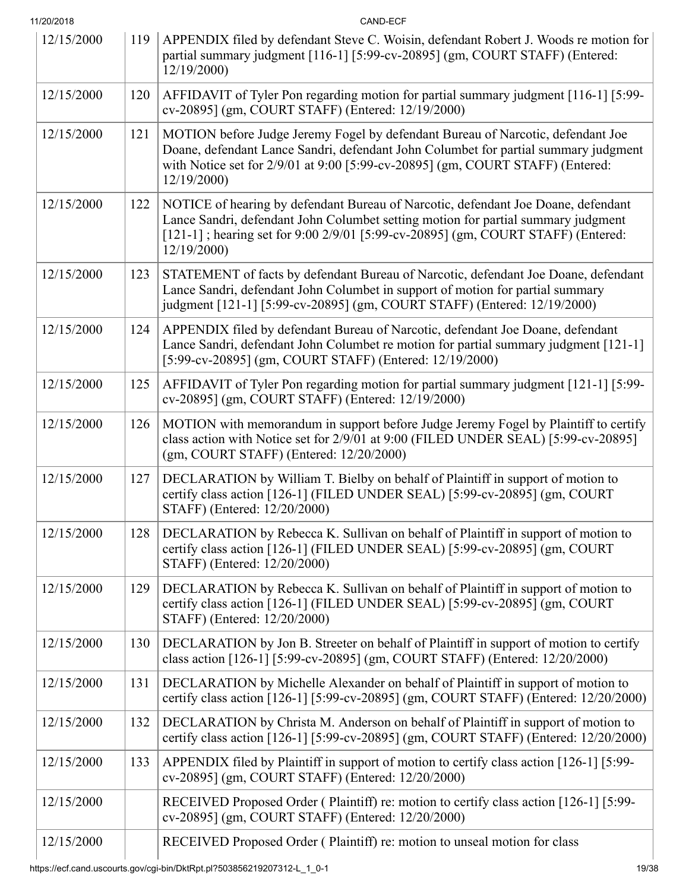| 11/20/2018 |     | CAND-ECF                                                                                                                                                                                                                                                                  |
|------------|-----|---------------------------------------------------------------------------------------------------------------------------------------------------------------------------------------------------------------------------------------------------------------------------|
| 12/15/2000 | 119 | APPENDIX filed by defendant Steve C. Woisin, defendant Robert J. Woods re motion for<br>partial summary judgment [116-1] [5:99-cv-20895] (gm, COURT STAFF) (Entered:<br>12/19/2000                                                                                        |
| 12/15/2000 | 120 | AFFIDAVIT of Tyler Pon regarding motion for partial summary judgment [116-1] [5:99-<br>cv-20895] (gm, COURT STAFF) (Entered: 12/19/2000)                                                                                                                                  |
| 12/15/2000 | 121 | MOTION before Judge Jeremy Fogel by defendant Bureau of Narcotic, defendant Joe<br>Doane, defendant Lance Sandri, defendant John Columbet for partial summary judgment<br>with Notice set for 2/9/01 at 9:00 [5:99-cv-20895] (gm, COURT STAFF) (Entered:<br>12/19/2000)   |
| 12/15/2000 | 122 | NOTICE of hearing by defendant Bureau of Narcotic, defendant Joe Doane, defendant<br>Lance Sandri, defendant John Columbet setting motion for partial summary judgment<br>[121-1]; hearing set for 9:00 2/9/01 [5:99-cv-20895] (gm, COURT STAFF) (Entered:<br>12/19/2000) |
| 12/15/2000 | 123 | STATEMENT of facts by defendant Bureau of Narcotic, defendant Joe Doane, defendant<br>Lance Sandri, defendant John Columbet in support of motion for partial summary<br>judgment [121-1] [5:99-cv-20895] (gm, COURT STAFF) (Entered: 12/19/2000)                          |
| 12/15/2000 | 124 | APPENDIX filed by defendant Bureau of Narcotic, defendant Joe Doane, defendant<br>Lance Sandri, defendant John Columbet re motion for partial summary judgment [121-1]<br>[5:99-cv-20895] (gm, COURT STAFF) (Entered: 12/19/2000)                                         |
| 12/15/2000 | 125 | AFFIDAVIT of Tyler Pon regarding motion for partial summary judgment [121-1] [5:99-<br>cv-20895] (gm, COURT STAFF) (Entered: 12/19/2000)                                                                                                                                  |
| 12/15/2000 | 126 | MOTION with memorandum in support before Judge Jeremy Fogel by Plaintiff to certify<br>class action with Notice set for 2/9/01 at 9:00 (FILED UNDER SEAL) [5:99-cv-20895]<br>(gm, COURT STAFF) (Entered: 12/20/2000)                                                      |
| 12/15/2000 | 127 | DECLARATION by William T. Bielby on behalf of Plaintiff in support of motion to<br>certify class action [126-1] (FILED UNDER SEAL) [5:99-cv-20895] (gm, COURT<br>STAFF) (Entered: 12/20/2000)                                                                             |
| 12/15/2000 | 128 | DECLARATION by Rebecca K. Sullivan on behalf of Plaintiff in support of motion to<br>certify class action [126-1] (FILED UNDER SEAL) [5:99-cv-20895] (gm, COURT<br>STAFF) (Entered: 12/20/2000)                                                                           |
| 12/15/2000 | 129 | DECLARATION by Rebecca K. Sullivan on behalf of Plaintiff in support of motion to<br>certify class action [126-1] (FILED UNDER SEAL) [5:99-cv-20895] (gm, COURT<br>STAFF) (Entered: 12/20/2000)                                                                           |
| 12/15/2000 | 130 | DECLARATION by Jon B. Streeter on behalf of Plaintiff in support of motion to certify<br>class action [126-1] [5:99-cv-20895] (gm, COURT STAFF) (Entered: 12/20/2000)                                                                                                     |
| 12/15/2000 | 131 | DECLARATION by Michelle Alexander on behalf of Plaintiff in support of motion to<br>certify class action [126-1] [5:99-cv-20895] (gm, COURT STAFF) (Entered: 12/20/2000)                                                                                                  |
| 12/15/2000 | 132 | DECLARATION by Christa M. Anderson on behalf of Plaintiff in support of motion to<br>certify class action [126-1] [5:99-cv-20895] (gm, COURT STAFF) (Entered: 12/20/2000)                                                                                                 |
| 12/15/2000 | 133 | APPENDIX filed by Plaintiff in support of motion to certify class action [126-1] [5:99-<br>cv-20895] (gm, COURT STAFF) (Entered: 12/20/2000)                                                                                                                              |
| 12/15/2000 |     | RECEIVED Proposed Order (Plaintiff) re: motion to certify class action [126-1] [5:99-<br>cv-20895] (gm, COURT STAFF) (Entered: 12/20/2000)                                                                                                                                |
| 12/15/2000 |     | RECEIVED Proposed Order (Plaintiff) re: motion to unseal motion for class                                                                                                                                                                                                 |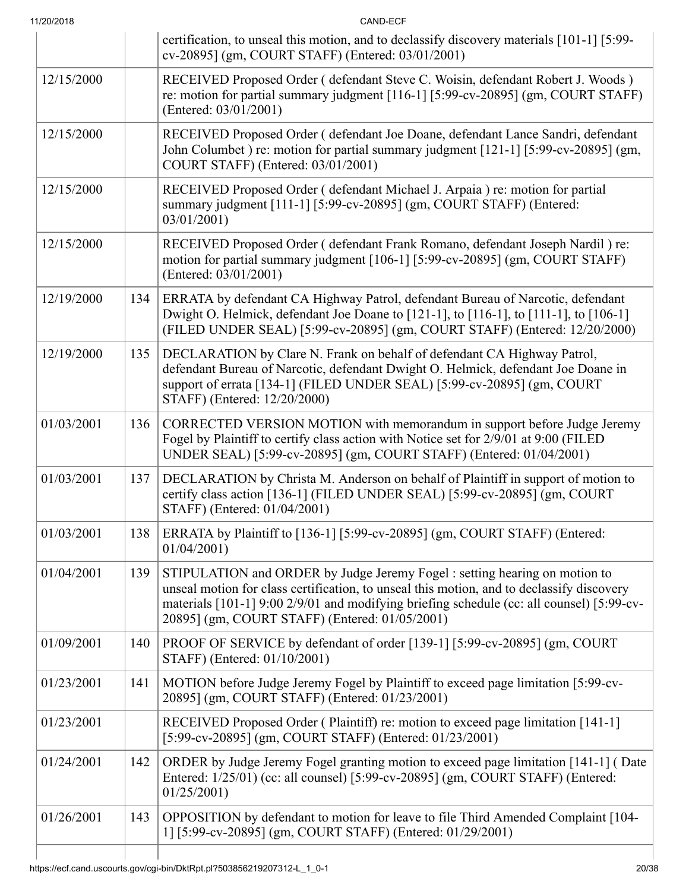| 11/20/2018 |     | CAND-ECF                                                                                                                                                                                                                                                                                                               |
|------------|-----|------------------------------------------------------------------------------------------------------------------------------------------------------------------------------------------------------------------------------------------------------------------------------------------------------------------------|
|            |     | certification, to unseal this motion, and to declassify discovery materials [101-1] [5:99-<br>cv-20895] (gm, COURT STAFF) (Entered: 03/01/2001)                                                                                                                                                                        |
| 12/15/2000 |     | RECEIVED Proposed Order (defendant Steve C. Woisin, defendant Robert J. Woods)<br>re: motion for partial summary judgment [116-1] [5:99-cv-20895] (gm, COURT STAFF)<br>(Entered: 03/01/2001)                                                                                                                           |
| 12/15/2000 |     | RECEIVED Proposed Order (defendant Joe Doane, defendant Lance Sandri, defendant<br>John Columbet) re: motion for partial summary judgment [121-1] [5:99-cv-20895] (gm,<br>COURT STAFF) (Entered: 03/01/2001)                                                                                                           |
| 12/15/2000 |     | RECEIVED Proposed Order (defendant Michael J. Arpaia) re: motion for partial<br>summary judgment [111-1] [5:99-cv-20895] (gm, COURT STAFF) (Entered:<br>03/01/2001                                                                                                                                                     |
| 12/15/2000 |     | RECEIVED Proposed Order (defendant Frank Romano, defendant Joseph Nardil) re:<br>motion for partial summary judgment [106-1] [5:99-cv-20895] (gm, COURT STAFF)<br>(Entered: 03/01/2001)                                                                                                                                |
| 12/19/2000 | 134 | ERRATA by defendant CA Highway Patrol, defendant Bureau of Narcotic, defendant<br>Dwight O. Helmick, defendant Joe Doane to [121-1], to [116-1], to [111-1], to [106-1]<br>(FILED UNDER SEAL) [5:99-cv-20895] (gm, COURT STAFF) (Entered: 12/20/2000)                                                                  |
| 12/19/2000 | 135 | DECLARATION by Clare N. Frank on behalf of defendant CA Highway Patrol,<br>defendant Bureau of Narcotic, defendant Dwight O. Helmick, defendant Joe Doane in<br>support of errata [134-1] (FILED UNDER SEAL) [5:99-cv-20895] (gm, COURT<br>STAFF) (Entered: 12/20/2000)                                                |
| 01/03/2001 | 136 | CORRECTED VERSION MOTION with memorandum in support before Judge Jeremy<br>Fogel by Plaintiff to certify class action with Notice set for 2/9/01 at 9:00 (FILED<br>UNDER SEAL) [5:99-cv-20895] (gm, COURT STAFF) (Entered: 01/04/2001)                                                                                 |
| 01/03/2001 | 137 | DECLARATION by Christa M. Anderson on behalf of Plaintiff in support of motion to<br>certify class action [136-1] (FILED UNDER SEAL) [5:99-cv-20895] (gm, COURT<br>STAFF) (Entered: 01/04/2001)                                                                                                                        |
| 01/03/2001 | 138 | ERRATA by Plaintiff to [136-1] [5:99-cv-20895] (gm, COURT STAFF) (Entered:<br>01/04/2001                                                                                                                                                                                                                               |
| 01/04/2001 | 139 | STIPULATION and ORDER by Judge Jeremy Fogel : setting hearing on motion to<br>unseal motion for class certification, to unseal this motion, and to declassify discovery<br>materials [101-1] 9:00 2/9/01 and modifying briefing schedule (cc: all counsel) [5:99-cv-<br>20895] (gm, COURT STAFF) (Entered: 01/05/2001) |
| 01/09/2001 | 140 | PROOF OF SERVICE by defendant of order [139-1] [5:99-cv-20895] (gm, COURT<br>STAFF) (Entered: 01/10/2001)                                                                                                                                                                                                              |
| 01/23/2001 | 141 | MOTION before Judge Jeremy Fogel by Plaintiff to exceed page limitation [5:99-cv-<br>20895] (gm, COURT STAFF) (Entered: 01/23/2001)                                                                                                                                                                                    |
| 01/23/2001 |     | RECEIVED Proposed Order (Plaintiff) re: motion to exceed page limitation [141-1]<br>[5:99-cv-20895] (gm, COURT STAFF) (Entered: 01/23/2001)                                                                                                                                                                            |
| 01/24/2001 | 142 | ORDER by Judge Jeremy Fogel granting motion to exceed page limitation [141-1] (Date<br>Entered: 1/25/01) (cc: all counsel) [5:99-cv-20895] (gm, COURT STAFF) (Entered:<br>01/25/2001                                                                                                                                   |
| 01/26/2001 | 143 | OPPOSITION by defendant to motion for leave to file Third Amended Complaint [104-<br>1] [5:99-cv-20895] (gm, COURT STAFF) (Entered: 01/29/2001)                                                                                                                                                                        |
|            |     |                                                                                                                                                                                                                                                                                                                        |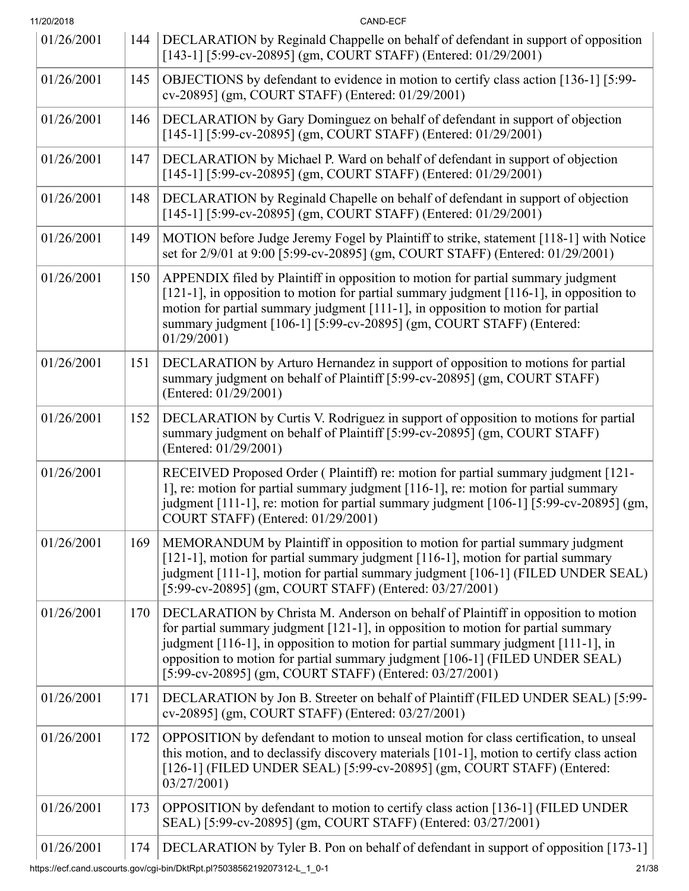| 11/20/2018 |     | CAND-ECF                                                                                                                                                                                                                                                                                                                                                                                                |  |
|------------|-----|---------------------------------------------------------------------------------------------------------------------------------------------------------------------------------------------------------------------------------------------------------------------------------------------------------------------------------------------------------------------------------------------------------|--|
| 01/26/2001 | 144 | DECLARATION by Reginald Chappelle on behalf of defendant in support of opposition<br>[143-1] [5:99-cv-20895] (gm, COURT STAFF) (Entered: 01/29/2001)                                                                                                                                                                                                                                                    |  |
| 01/26/2001 | 145 | OBJECTIONS by defendant to evidence in motion to certify class action [136-1] [5:99-<br>cv-20895] (gm, COURT STAFF) (Entered: 01/29/2001)                                                                                                                                                                                                                                                               |  |
| 01/26/2001 | 146 | DECLARATION by Gary Dominguez on behalf of defendant in support of objection<br>[145-1] [5:99-cv-20895] (gm, COURT STAFF) (Entered: 01/29/2001)                                                                                                                                                                                                                                                         |  |
| 01/26/2001 | 147 | DECLARATION by Michael P. Ward on behalf of defendant in support of objection<br>[145-1] [5:99-cv-20895] (gm, COURT STAFF) (Entered: 01/29/2001)                                                                                                                                                                                                                                                        |  |
| 01/26/2001 | 148 | DECLARATION by Reginald Chapelle on behalf of defendant in support of objection<br>[145-1] [5:99-cv-20895] (gm, COURT STAFF) (Entered: 01/29/2001)                                                                                                                                                                                                                                                      |  |
| 01/26/2001 | 149 | MOTION before Judge Jeremy Fogel by Plaintiff to strike, statement [118-1] with Notice<br>set for 2/9/01 at 9:00 [5:99-cv-20895] (gm, COURT STAFF) (Entered: 01/29/2001)                                                                                                                                                                                                                                |  |
| 01/26/2001 | 150 | APPENDIX filed by Plaintiff in opposition to motion for partial summary judgment<br>$[121-1]$ , in opposition to motion for partial summary judgment $[116-1]$ , in opposition to<br>motion for partial summary judgment [111-1], in opposition to motion for partial<br>summary judgment [106-1] [5:99-cv-20895] (gm, COURT STAFF) (Entered:<br>01/29/2001                                             |  |
| 01/26/2001 | 151 | DECLARATION by Arturo Hernandez in support of opposition to motions for partial<br>summary judgment on behalf of Plaintiff [5:99-cv-20895] (gm, COURT STAFF)<br>(Entered: 01/29/2001)                                                                                                                                                                                                                   |  |
| 01/26/2001 | 152 | DECLARATION by Curtis V. Rodriguez in support of opposition to motions for partial<br>summary judgment on behalf of Plaintiff [5:99-cv-20895] (gm, COURT STAFF)<br>(Entered: 01/29/2001)                                                                                                                                                                                                                |  |
| 01/26/2001 |     | RECEIVED Proposed Order (Plaintiff) re: motion for partial summary judgment [121-<br>1], re: motion for partial summary judgment [116-1], re: motion for partial summary<br>judgment [111-1], re: motion for partial summary judgment [106-1] [5:99-cv-20895] (gm,<br>COURT STAFF) (Entered: 01/29/2001)                                                                                                |  |
| 01/26/2001 | 169 | MEMORANDUM by Plaintiff in opposition to motion for partial summary judgment<br>[121-1], motion for partial summary judgment [116-1], motion for partial summary<br>judgment [111-1], motion for partial summary judgment [106-1] (FILED UNDER SEAL)<br>[5:99-cv-20895] (gm, COURT STAFF) (Entered: 03/27/2001)                                                                                         |  |
| 01/26/2001 | 170 | DECLARATION by Christa M. Anderson on behalf of Plaintiff in opposition to motion<br>for partial summary judgment [121-1], in opposition to motion for partial summary<br>judgment [116-1], in opposition to motion for partial summary judgment [111-1], in<br>opposition to motion for partial summary judgment [106-1] (FILED UNDER SEAL)<br>[5:99-cv-20895] (gm, COURT STAFF) (Entered: 03/27/2001) |  |
| 01/26/2001 | 171 | DECLARATION by Jon B. Streeter on behalf of Plaintiff (FILED UNDER SEAL) [5:99-<br>cv-20895] (gm, COURT STAFF) (Entered: 03/27/2001)                                                                                                                                                                                                                                                                    |  |
| 01/26/2001 | 172 | OPPOSITION by defendant to motion to unseal motion for class certification, to unseal<br>this motion, and to declassify discovery materials [101-1], motion to certify class action<br>[126-1] (FILED UNDER SEAL) [5:99-cv-20895] (gm, COURT STAFF) (Entered:<br>03/27/2001)                                                                                                                            |  |
| 01/26/2001 | 173 | OPPOSITION by defendant to motion to certify class action [136-1] (FILED UNDER<br>SEAL) [5:99-cv-20895] (gm, COURT STAFF) (Entered: 03/27/2001)                                                                                                                                                                                                                                                         |  |
| 01/26/2001 | 174 | DECLARATION by Tyler B. Pon on behalf of defendant in support of opposition [173-1]<br>21/38                                                                                                                                                                                                                                                                                                            |  |
|            |     | https://ecf.cand.uscourts.gov/cgi-bin/DktRpt.pl?503856219207312-L_1_0-1                                                                                                                                                                                                                                                                                                                                 |  |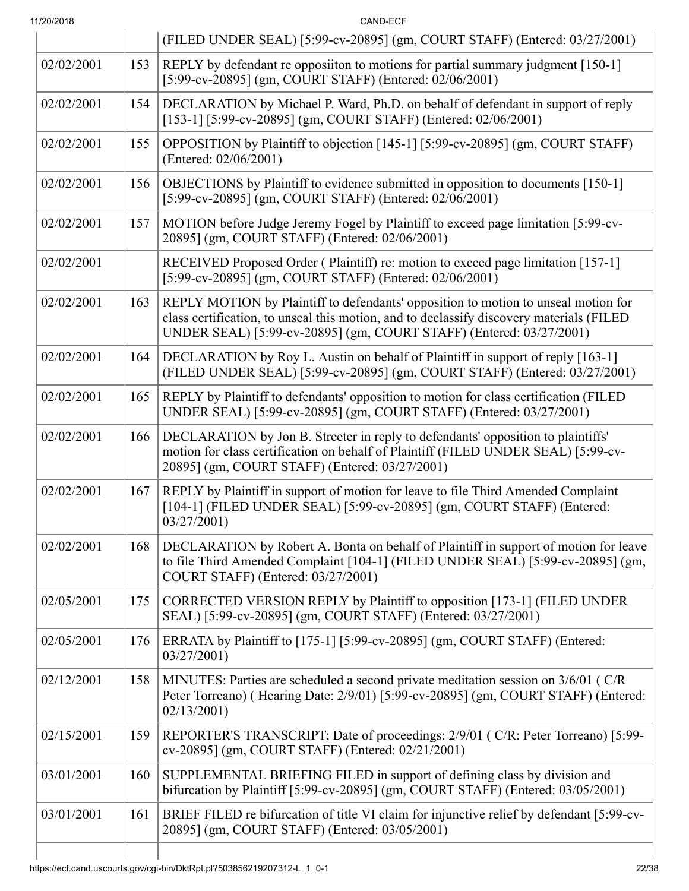| 11/20/2018 |     | CAND-ECF                                                                                                                                                                                                                                              |  |
|------------|-----|-------------------------------------------------------------------------------------------------------------------------------------------------------------------------------------------------------------------------------------------------------|--|
|            |     | (FILED UNDER SEAL) [5:99-cv-20895] (gm, COURT STAFF) (Entered: 03/27/2001)                                                                                                                                                                            |  |
| 02/02/2001 | 153 | REPLY by defendant re opposition to motions for partial summary judgment [150-1]<br>[5:99-cv-20895] (gm, COURT STAFF) (Entered: 02/06/2001)                                                                                                           |  |
| 02/02/2001 | 154 | DECLARATION by Michael P. Ward, Ph.D. on behalf of defendant in support of reply<br>[153-1] [5:99-cv-20895] (gm, COURT STAFF) (Entered: 02/06/2001)                                                                                                   |  |
| 02/02/2001 | 155 | OPPOSITION by Plaintiff to objection [145-1] [5:99-cv-20895] (gm, COURT STAFF)<br>(Entered: 02/06/2001)                                                                                                                                               |  |
| 02/02/2001 | 156 | OBJECTIONS by Plaintiff to evidence submitted in opposition to documents [150-1]<br>[5:99-cv-20895] (gm, COURT STAFF) (Entered: 02/06/2001)                                                                                                           |  |
| 02/02/2001 | 157 | MOTION before Judge Jeremy Fogel by Plaintiff to exceed page limitation [5:99-cv-<br>20895] (gm, COURT STAFF) (Entered: 02/06/2001)                                                                                                                   |  |
| 02/02/2001 |     | RECEIVED Proposed Order (Plaintiff) re: motion to exceed page limitation [157-1]<br>[5:99-cv-20895] (gm, COURT STAFF) (Entered: 02/06/2001)                                                                                                           |  |
| 02/02/2001 | 163 | REPLY MOTION by Plaintiff to defendants' opposition to motion to unseal motion for<br>class certification, to unseal this motion, and to declassify discovery materials (FILED<br>UNDER SEAL) [5:99-cv-20895] (gm, COURT STAFF) (Entered: 03/27/2001) |  |
| 02/02/2001 | 164 | DECLARATION by Roy L. Austin on behalf of Plaintiff in support of reply [163-1]<br>(FILED UNDER SEAL) [5:99-cv-20895] (gm, COURT STAFF) (Entered: 03/27/2001)                                                                                         |  |
| 02/02/2001 | 165 | REPLY by Plaintiff to defendants' opposition to motion for class certification (FILED<br>UNDER SEAL) [5:99-cv-20895] (gm, COURT STAFF) (Entered: 03/27/2001)                                                                                          |  |
| 02/02/2001 | 166 | DECLARATION by Jon B. Streeter in reply to defendants' opposition to plaintiffs'<br>motion for class certification on behalf of Plaintiff (FILED UNDER SEAL) [5:99-cv-<br>20895] (gm, COURT STAFF) (Entered: 03/27/2001)                              |  |
| 02/02/2001 | 167 | REPLY by Plaintiff in support of motion for leave to file Third Amended Complaint<br>[104-1] (FILED UNDER SEAL) [5:99-cv-20895] (gm, COURT STAFF) (Entered:<br>03/27/2001                                                                             |  |
| 02/02/2001 | 168 | DECLARATION by Robert A. Bonta on behalf of Plaintiff in support of motion for leave<br>to file Third Amended Complaint [104-1] (FILED UNDER SEAL) [5:99-cv-20895] (gm,<br>COURT STAFF) (Entered: 03/27/2001)                                         |  |
| 02/05/2001 | 175 | CORRECTED VERSION REPLY by Plaintiff to opposition [173-1] (FILED UNDER<br>SEAL) [5:99-cv-20895] (gm, COURT STAFF) (Entered: 03/27/2001)                                                                                                              |  |
| 02/05/2001 | 176 | ERRATA by Plaintiff to [175-1] [5:99-cv-20895] (gm, COURT STAFF) (Entered:<br>03/27/2001                                                                                                                                                              |  |
| 02/12/2001 | 158 | MINUTES: Parties are scheduled a second private meditation session on 3/6/01 (C/R)<br>Peter Torreano) (Hearing Date: 2/9/01) [5:99-cv-20895] (gm, COURT STAFF) (Entered:<br>02/13/2001                                                                |  |
| 02/15/2001 | 159 | REPORTER'S TRANSCRIPT; Date of proceedings: 2/9/01 (C/R: Peter Torreano) [5:99-<br>cv-20895] (gm, COURT STAFF) (Entered: 02/21/2001)                                                                                                                  |  |
| 03/01/2001 | 160 | SUPPLEMENTAL BRIEFING FILED in support of defining class by division and<br>bifurcation by Plaintiff [5:99-cv-20895] (gm, COURT STAFF) (Entered: 03/05/2001)                                                                                          |  |
| 03/01/2001 | 161 | BRIEF FILED re bifurcation of title VI claim for injunctive relief by defendant [5:99-cv-<br>20895] (gm, COURT STAFF) (Entered: 03/05/2001)                                                                                                           |  |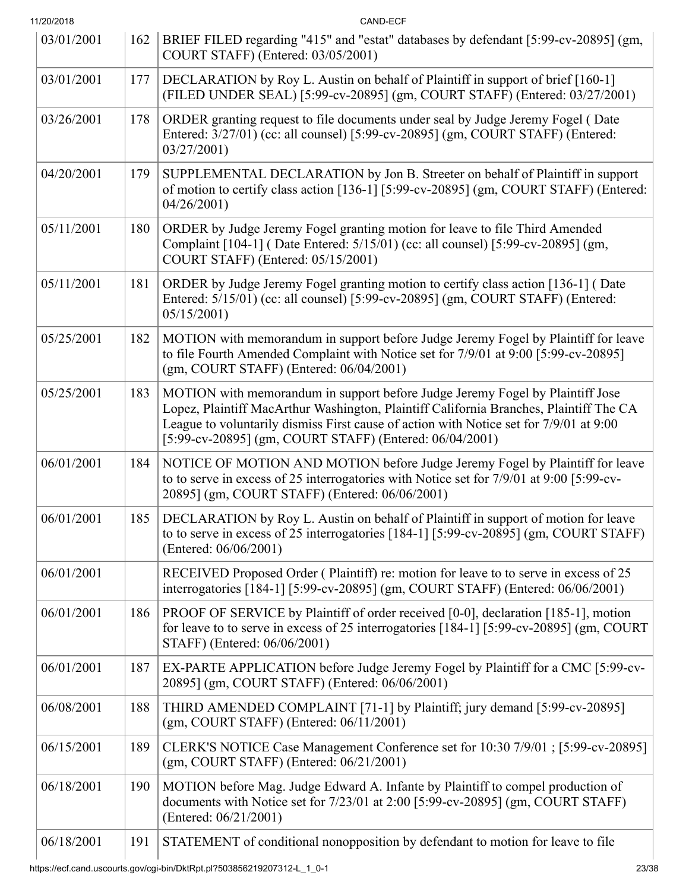| 11/20/2018 |     | CAND-ECF                                                                                                                                                                                                                                                                                                                     |  |
|------------|-----|------------------------------------------------------------------------------------------------------------------------------------------------------------------------------------------------------------------------------------------------------------------------------------------------------------------------------|--|
| 03/01/2001 | 162 | BRIEF FILED regarding "415" and "estat" databases by defendant [5:99-cv-20895] (gm,<br>COURT STAFF) (Entered: 03/05/2001)                                                                                                                                                                                                    |  |
| 03/01/2001 | 177 | DECLARATION by Roy L. Austin on behalf of Plaintiff in support of brief [160-1]<br>(FILED UNDER SEAL) [5:99-cv-20895] (gm, COURT STAFF) (Entered: 03/27/2001)                                                                                                                                                                |  |
| 03/26/2001 | 178 | ORDER granting request to file documents under seal by Judge Jeremy Fogel (Date<br>Entered: 3/27/01) (cc: all counsel) [5:99-cv-20895] (gm, COURT STAFF) (Entered:<br>03/27/2001                                                                                                                                             |  |
| 04/20/2001 | 179 | SUPPLEMENTAL DECLARATION by Jon B. Streeter on behalf of Plaintiff in support<br>of motion to certify class action [136-1] [5:99-cv-20895] (gm, COURT STAFF) (Entered:<br>04/26/2001                                                                                                                                         |  |
| 05/11/2001 | 180 | ORDER by Judge Jeremy Fogel granting motion for leave to file Third Amended<br>Complaint [104-1] (Date Entered: 5/15/01) (cc: all counsel) [5:99-cv-20895] (gm,<br>COURT STAFF) (Entered: 05/15/2001)                                                                                                                        |  |
| 05/11/2001 | 181 | ORDER by Judge Jeremy Fogel granting motion to certify class action [136-1] (Date<br>Entered: 5/15/01) (cc: all counsel) [5:99-cv-20895] (gm, COURT STAFF) (Entered:<br>05/15/2001                                                                                                                                           |  |
| 05/25/2001 | 182 | MOTION with memorandum in support before Judge Jeremy Fogel by Plaintiff for leave<br>to file Fourth Amended Complaint with Notice set for 7/9/01 at 9:00 [5:99-cv-20895]<br>$(gm, \text{COURT STATE})$ (Entered: $06/04/2001$ )                                                                                             |  |
| 05/25/2001 | 183 | MOTION with memorandum in support before Judge Jeremy Fogel by Plaintiff Jose<br>Lopez, Plaintiff MacArthur Washington, Plaintiff California Branches, Plaintiff The CA<br>League to voluntarily dismiss First cause of action with Notice set for 7/9/01 at 9:00<br>[5:99-cv-20895] (gm, COURT STAFF) (Entered: 06/04/2001) |  |
| 06/01/2001 | 184 | NOTICE OF MOTION AND MOTION before Judge Jeremy Fogel by Plaintiff for leave<br>to to serve in excess of 25 interrogatories with Notice set for 7/9/01 at 9:00 [5:99-cv-<br>20895] (gm, COURT STAFF) (Entered: 06/06/2001)                                                                                                   |  |
| 06/01/2001 | 185 | DECLARATION by Roy L. Austin on behalf of Plaintiff in support of motion for leave<br>to to serve in excess of 25 interrogatories [184-1] [5:99-cv-20895] (gm, COURT STAFF)<br>(Entered: 06/06/2001)                                                                                                                         |  |
| 06/01/2001 |     | RECEIVED Proposed Order (Plaintiff) re: motion for leave to to serve in excess of 25<br>interrogatories [184-1] [5:99-cv-20895] (gm, COURT STAFF) (Entered: 06/06/2001)                                                                                                                                                      |  |
| 06/01/2001 | 186 | PROOF OF SERVICE by Plaintiff of order received [0-0], declaration [185-1], motion<br>for leave to to serve in excess of 25 interrogatories [184-1] [5:99-cv-20895] (gm, COURT<br>STAFF) (Entered: 06/06/2001)                                                                                                               |  |
| 06/01/2001 | 187 | EX-PARTE APPLICATION before Judge Jeremy Fogel by Plaintiff for a CMC [5:99-cv-<br>20895] (gm, COURT STAFF) (Entered: 06/06/2001)                                                                                                                                                                                            |  |
| 06/08/2001 | 188 | THIRD AMENDED COMPLAINT [71-1] by Plaintiff; jury demand [5:99-cv-20895]<br>$(gm, \text{COURT STATE})$ (Entered: $06/11/2001$ )                                                                                                                                                                                              |  |
| 06/15/2001 | 189 | CLERK'S NOTICE Case Management Conference set for 10:30 7/9/01; [5:99-cv-20895]<br>$(gm, \text{COURT STATE})$ (Entered: $06/21/2001$ )                                                                                                                                                                                       |  |
| 06/18/2001 | 190 | MOTION before Mag. Judge Edward A. Infante by Plaintiff to compel production of<br>documents with Notice set for 7/23/01 at 2:00 [5:99-cv-20895] (gm, COURT STAFF)<br>(Entered: 06/21/2001)                                                                                                                                  |  |
| 06/18/2001 | 191 | STATEMENT of conditional nonopposition by defendant to motion for leave to file                                                                                                                                                                                                                                              |  |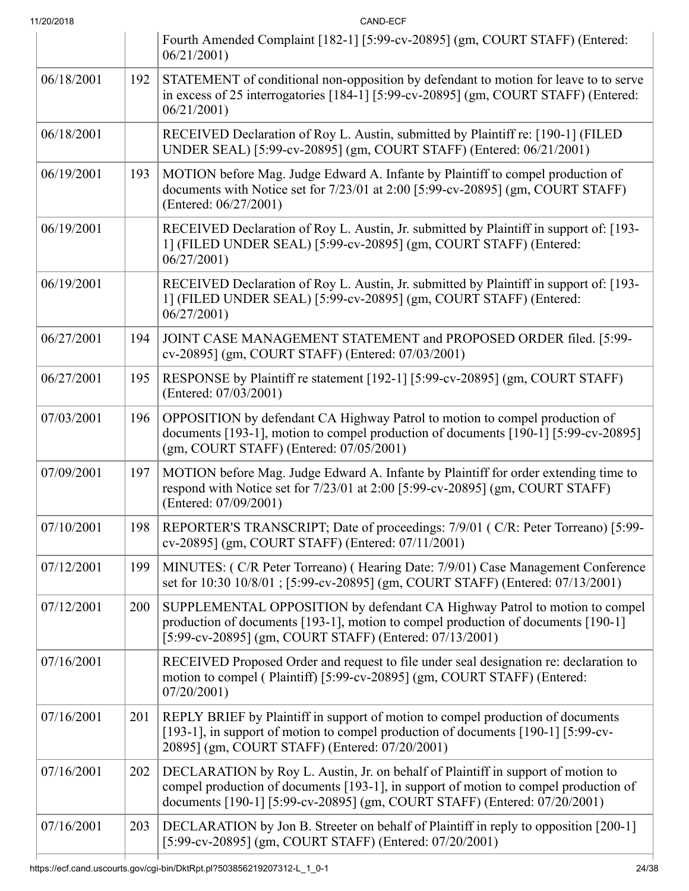| 11/20/2018 |     | CAND-ECF                                                                                                                                                                                                                                              |
|------------|-----|-------------------------------------------------------------------------------------------------------------------------------------------------------------------------------------------------------------------------------------------------------|
|            |     | Fourth Amended Complaint [182-1] [5:99-cv-20895] (gm, COURT STAFF) (Entered:<br>06/21/2001                                                                                                                                                            |
| 06/18/2001 | 192 | STATEMENT of conditional non-opposition by defendant to motion for leave to to serve<br>in excess of 25 interrogatories [184-1] [5:99-cv-20895] (gm, COURT STAFF) (Entered:<br>06/21/2001                                                             |
| 06/18/2001 |     | RECEIVED Declaration of Roy L. Austin, submitted by Plaintiff re: [190-1] (FILED<br>UNDER SEAL) [5:99-cv-20895] (gm, COURT STAFF) (Entered: 06/21/2001)                                                                                               |
| 06/19/2001 | 193 | MOTION before Mag. Judge Edward A. Infante by Plaintiff to compel production of<br>documents with Notice set for 7/23/01 at 2:00 [5:99-cv-20895] (gm, COURT STAFF)<br>(Entered: 06/27/2001)                                                           |
| 06/19/2001 |     | RECEIVED Declaration of Roy L. Austin, Jr. submitted by Plaintiff in support of: [193-<br>1] (FILED UNDER SEAL) [5:99-cv-20895] (gm, COURT STAFF) (Entered:<br>06/27/2001                                                                             |
| 06/19/2001 |     | RECEIVED Declaration of Roy L. Austin, Jr. submitted by Plaintiff in support of: [193-<br>1] (FILED UNDER SEAL) [5:99-cv-20895] (gm, COURT STAFF) (Entered:<br>06/27/2001                                                                             |
| 06/27/2001 | 194 | JOINT CASE MANAGEMENT STATEMENT and PROPOSED ORDER filed. [5:99-<br>cv-20895] (gm, COURT STAFF) (Entered: 07/03/2001)                                                                                                                                 |
| 06/27/2001 | 195 | RESPONSE by Plaintiff re statement [192-1] [5:99-cv-20895] (gm, COURT STAFF)<br>(Entered: 07/03/2001)                                                                                                                                                 |
| 07/03/2001 | 196 | OPPOSITION by defendant CA Highway Patrol to motion to compel production of<br>documents [193-1], motion to compel production of documents [190-1] [5:99-cv-20895]<br>(gm, COURT STAFF) (Entered: 07/05/2001)                                         |
| 07/09/2001 | 197 | MOTION before Mag. Judge Edward A. Infante by Plaintiff for order extending time to<br>respond with Notice set for 7/23/01 at 2:00 [5:99-cv-20895] (gm, COURT STAFF)<br>(Entered: 07/09/2001)                                                         |
| 07/10/2001 | 198 | REPORTER'S TRANSCRIPT; Date of proceedings: 7/9/01 (C/R: Peter Torreano) [5:99-<br>cv-20895] (gm, COURT STAFF) (Entered: 07/11/2001)                                                                                                                  |
| 07/12/2001 | 199 | MINUTES: (C/R Peter Torreano) (Hearing Date: 7/9/01) Case Management Conference<br>set for 10:30 10/8/01; [5:99-cv-20895] (gm, COURT STAFF) (Entered: 07/13/2001)                                                                                     |
| 07/12/2001 | 200 | SUPPLEMENTAL OPPOSITION by defendant CA Highway Patrol to motion to compel<br>production of documents [193-1], motion to compel production of documents [190-1]<br>[5:99-cv-20895] (gm, COURT STAFF) (Entered: 07/13/2001)                            |
| 07/16/2001 |     | RECEIVED Proposed Order and request to file under seal designation re: declaration to<br>motion to compel (Plaintiff) [5:99-cv-20895] (gm, COURT STAFF) (Entered:<br>07/20/2001                                                                       |
| 07/16/2001 | 201 | REPLY BRIEF by Plaintiff in support of motion to compel production of documents<br>[193-1], in support of motion to compel production of documents [190-1] [5:99-cv-<br>20895] (gm, COURT STAFF) (Entered: 07/20/2001)                                |
| 07/16/2001 | 202 | DECLARATION by Roy L. Austin, Jr. on behalf of Plaintiff in support of motion to<br>compel production of documents [193-1], in support of motion to compel production of<br>documents [190-1] [5:99-cv-20895] (gm, COURT STAFF) (Entered: 07/20/2001) |
| 07/16/2001 | 203 | DECLARATION by Jon B. Streeter on behalf of Plaintiff in reply to opposition [200-1]<br>[5:99-cv-20895] (gm, COURT STAFF) (Entered: 07/20/2001)                                                                                                       |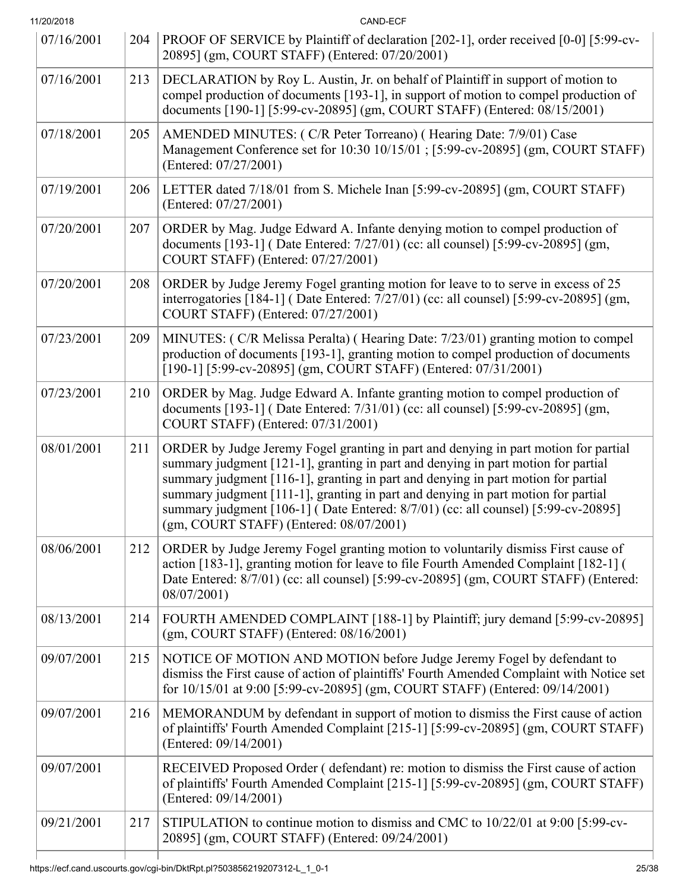| 11/20/2018 |     | CAND-ECF                                                                                                                                                                                                                                                                                                                                                                                                                                                                           |  |
|------------|-----|------------------------------------------------------------------------------------------------------------------------------------------------------------------------------------------------------------------------------------------------------------------------------------------------------------------------------------------------------------------------------------------------------------------------------------------------------------------------------------|--|
| 07/16/2001 | 204 | PROOF OF SERVICE by Plaintiff of declaration [202-1], order received [0-0] [5:99-cv-<br>20895] (gm, COURT STAFF) (Entered: 07/20/2001)                                                                                                                                                                                                                                                                                                                                             |  |
| 07/16/2001 | 213 | DECLARATION by Roy L. Austin, Jr. on behalf of Plaintiff in support of motion to<br>compel production of documents [193-1], in support of motion to compel production of<br>documents [190-1] [5:99-cv-20895] (gm, COURT STAFF) (Entered: 08/15/2001)                                                                                                                                                                                                                              |  |
| 07/18/2001 | 205 | AMENDED MINUTES: (C/R Peter Torreano) (Hearing Date: 7/9/01) Case<br>Management Conference set for 10:30 10/15/01 ; [5:99-cv-20895] (gm, COURT STAFF)<br>(Entered: 07/27/2001)                                                                                                                                                                                                                                                                                                     |  |
| 07/19/2001 | 206 | LETTER dated 7/18/01 from S. Michele Inan [5:99-cv-20895] (gm, COURT STAFF)<br>(Entered: 07/27/2001)                                                                                                                                                                                                                                                                                                                                                                               |  |
| 07/20/2001 | 207 | ORDER by Mag. Judge Edward A. Infante denying motion to compel production of<br>documents [193-1] (Date Entered: 7/27/01) (cc: all counsel) [5:99-cv-20895] (gm,<br>COURT STAFF) (Entered: 07/27/2001)                                                                                                                                                                                                                                                                             |  |
| 07/20/2001 | 208 | ORDER by Judge Jeremy Fogel granting motion for leave to to serve in excess of 25<br>interrogatories [184-1] (Date Entered: 7/27/01) (cc: all counsel) [5:99-cv-20895] (gm,<br>COURT STAFF) (Entered: 07/27/2001)                                                                                                                                                                                                                                                                  |  |
| 07/23/2001 | 209 | MINUTES: (C/R Melissa Peralta) (Hearing Date: 7/23/01) granting motion to compel<br>production of documents [193-1], granting motion to compel production of documents<br>[190-1] [5:99-cv-20895] (gm, COURT STAFF) (Entered: 07/31/2001)                                                                                                                                                                                                                                          |  |
| 07/23/2001 | 210 | ORDER by Mag. Judge Edward A. Infante granting motion to compel production of<br>documents [193-1] (Date Entered: 7/31/01) (cc: all counsel) [5:99-cv-20895] (gm,<br>COURT STAFF) (Entered: 07/31/2001)                                                                                                                                                                                                                                                                            |  |
| 08/01/2001 | 211 | ORDER by Judge Jeremy Fogel granting in part and denying in part motion for partial<br>summary judgment [121-1], granting in part and denying in part motion for partial<br>summary judgment [116-1], granting in part and denying in part motion for partial<br>summary judgment [111-1], granting in part and denying in part motion for partial<br>summary judgment [106-1] (Date Entered: 8/7/01) (cc: all counsel) [5:99-cv-20895]<br>(gm, COURT STAFF) (Entered: 08/07/2001) |  |
| 08/06/2001 | 212 | ORDER by Judge Jeremy Fogel granting motion to voluntarily dismiss First cause of<br>action [183-1], granting motion for leave to file Fourth Amended Complaint [182-1] (<br>Date Entered: 8/7/01) (cc: all counsel) [5:99-cv-20895] (gm, COURT STAFF) (Entered:<br>08/07/2001)                                                                                                                                                                                                    |  |
| 08/13/2001 | 214 | FOURTH AMENDED COMPLAINT [188-1] by Plaintiff; jury demand [5:99-cv-20895]<br>$(gm, \text{COURT STATE})$ (Entered: $08/16/2001$ )                                                                                                                                                                                                                                                                                                                                                  |  |
| 09/07/2001 | 215 | NOTICE OF MOTION AND MOTION before Judge Jeremy Fogel by defendant to<br>dismiss the First cause of action of plaintiffs' Fourth Amended Complaint with Notice set<br>for 10/15/01 at 9:00 [5:99-cv-20895] (gm, COURT STAFF) (Entered: 09/14/2001)                                                                                                                                                                                                                                 |  |
| 09/07/2001 | 216 | MEMORANDUM by defendant in support of motion to dismiss the First cause of action<br>of plaintiffs' Fourth Amended Complaint [215-1] [5:99-cv-20895] (gm, COURT STAFF)<br>(Entered: 09/14/2001)                                                                                                                                                                                                                                                                                    |  |
| 09/07/2001 |     | RECEIVED Proposed Order (defendant) re: motion to dismiss the First cause of action<br>of plaintiffs' Fourth Amended Complaint [215-1] [5:99-cv-20895] (gm, COURT STAFF)<br>(Entered: 09/14/2001)                                                                                                                                                                                                                                                                                  |  |
| 09/21/2001 | 217 | STIPULATION to continue motion to dismiss and CMC to 10/22/01 at 9:00 [5:99-cv-<br>20895] (gm, COURT STAFF) (Entered: 09/24/2001)                                                                                                                                                                                                                                                                                                                                                  |  |
|            |     |                                                                                                                                                                                                                                                                                                                                                                                                                                                                                    |  |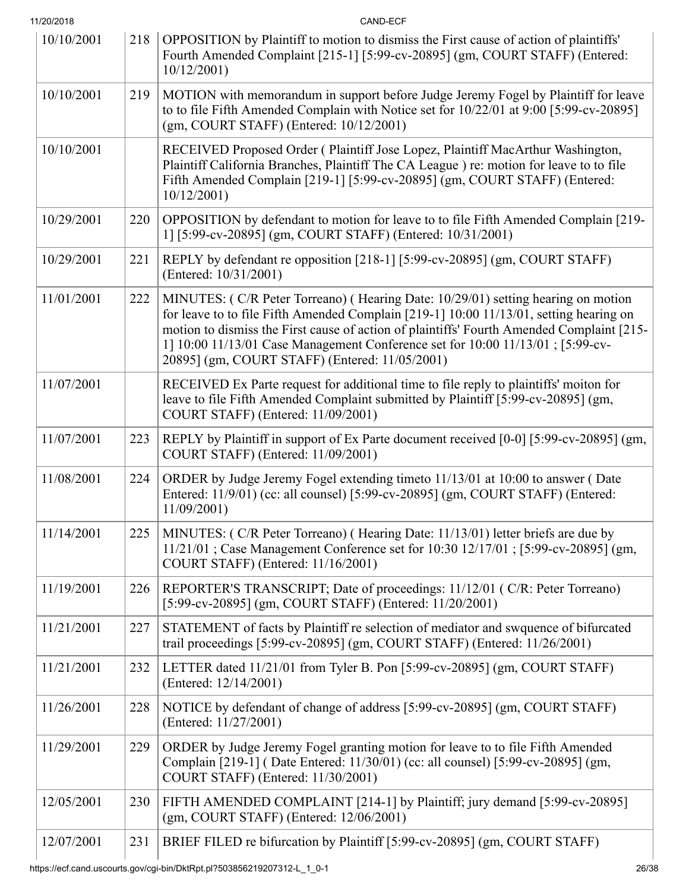| 11/20/2018 |     | CAND-ECF                                                                                                                                                                                                                                                                                                                                                                                                     |
|------------|-----|--------------------------------------------------------------------------------------------------------------------------------------------------------------------------------------------------------------------------------------------------------------------------------------------------------------------------------------------------------------------------------------------------------------|
| 10/10/2001 | 218 | OPPOSITION by Plaintiff to motion to dismiss the First cause of action of plaintiffs'<br>Fourth Amended Complaint [215-1] [5:99-cv-20895] (gm, COURT STAFF) (Entered:<br>10/12/2001                                                                                                                                                                                                                          |
| 10/10/2001 | 219 | MOTION with memorandum in support before Judge Jeremy Fogel by Plaintiff for leave<br>to to file Fifth Amended Complain with Notice set for 10/22/01 at 9:00 [5:99-cv-20895]<br>(gm, COURT STAFF) (Entered: 10/12/2001)                                                                                                                                                                                      |
| 10/10/2001 |     | RECEIVED Proposed Order (Plaintiff Jose Lopez, Plaintiff MacArthur Washington,<br>Plaintiff California Branches, Plaintiff The CA League ) re: motion for leave to to file<br>Fifth Amended Complain [219-1] [5:99-cv-20895] (gm, COURT STAFF) (Entered:<br>10/12/2001                                                                                                                                       |
| 10/29/2001 | 220 | OPPOSITION by defendant to motion for leave to to file Fifth Amended Complain [219-<br>1] [5:99-cv-20895] (gm, COURT STAFF) (Entered: 10/31/2001)                                                                                                                                                                                                                                                            |
| 10/29/2001 | 221 | REPLY by defendant re opposition [218-1] [5:99-cv-20895] (gm, COURT STAFF)<br>(Entered: 10/31/2001)                                                                                                                                                                                                                                                                                                          |
| 11/01/2001 | 222 | MINUTES: (C/R Peter Torreano) (Hearing Date: 10/29/01) setting hearing on motion<br>for leave to to file Fifth Amended Complain [219-1] 10:00 11/13/01, setting hearing on<br>motion to dismiss the First cause of action of plaintiffs' Fourth Amended Complaint [215-<br>1] 10:00 11/13/01 Case Management Conference set for 10:00 11/13/01 ; [5:99-cv-<br>20895] (gm, COURT STAFF) (Entered: 11/05/2001) |
| 11/07/2001 |     | RECEIVED Ex Parte request for additional time to file reply to plaintiffs' moiton for<br>leave to file Fifth Amended Complaint submitted by Plaintiff [5:99-cv-20895] (gm,<br>COURT STAFF) (Entered: 11/09/2001)                                                                                                                                                                                             |
| 11/07/2001 | 223 | REPLY by Plaintiff in support of Ex Parte document received [0-0] [5:99-cv-20895] (gm,<br>COURT STAFF) (Entered: 11/09/2001)                                                                                                                                                                                                                                                                                 |
| 11/08/2001 | 224 | ORDER by Judge Jeremy Fogel extending timeto 11/13/01 at 10:00 to answer (Date<br>Entered: 11/9/01) (cc: all counsel) [5:99-cv-20895] (gm, COURT STAFF) (Entered:<br>$11/09/2001$ )                                                                                                                                                                                                                          |
| 11/14/2001 | 225 | MINUTES: (C/R Peter Torreano) (Hearing Date: 11/13/01) letter briefs are due by<br>11/21/01; Case Management Conference set for 10:30 12/17/01; [5:99-cv-20895] (gm,<br>COURT STAFF) (Entered: 11/16/2001)                                                                                                                                                                                                   |
| 11/19/2001 | 226 | REPORTER'S TRANSCRIPT; Date of proceedings: 11/12/01 (C/R: Peter Torreano)<br>[5:99-cv-20895] (gm, COURT STAFF) (Entered: 11/20/2001)                                                                                                                                                                                                                                                                        |
| 11/21/2001 | 227 | STATEMENT of facts by Plaintiff re selection of mediator and swquence of bifurcated<br>trail proceedings [5:99-cv-20895] (gm, COURT STAFF) (Entered: 11/26/2001)                                                                                                                                                                                                                                             |
| 11/21/2001 | 232 | LETTER dated 11/21/01 from Tyler B. Pon [5:99-cv-20895] (gm, COURT STAFF)<br>(Entered: 12/14/2001)                                                                                                                                                                                                                                                                                                           |
| 11/26/2001 | 228 | NOTICE by defendant of change of address [5:99-cv-20895] (gm, COURT STAFF)<br>(Entered: 11/27/2001)                                                                                                                                                                                                                                                                                                          |
| 11/29/2001 | 229 | ORDER by Judge Jeremy Fogel granting motion for leave to to file Fifth Amended<br>Complain [219-1] (Date Entered: 11/30/01) (cc: all counsel) [5:99-cv-20895] (gm,<br>COURT STAFF) (Entered: 11/30/2001)                                                                                                                                                                                                     |
| 12/05/2001 | 230 | FIFTH AMENDED COMPLAINT [214-1] by Plaintiff; jury demand [5:99-cv-20895]<br>$(gm, \text{COURT STATE})$ (Entered: $12/06/2001$ )                                                                                                                                                                                                                                                                             |
| 12/07/2001 | 231 | BRIEF FILED re bifurcation by Plaintiff [5:99-cv-20895] (gm, COURT STAFF)                                                                                                                                                                                                                                                                                                                                    |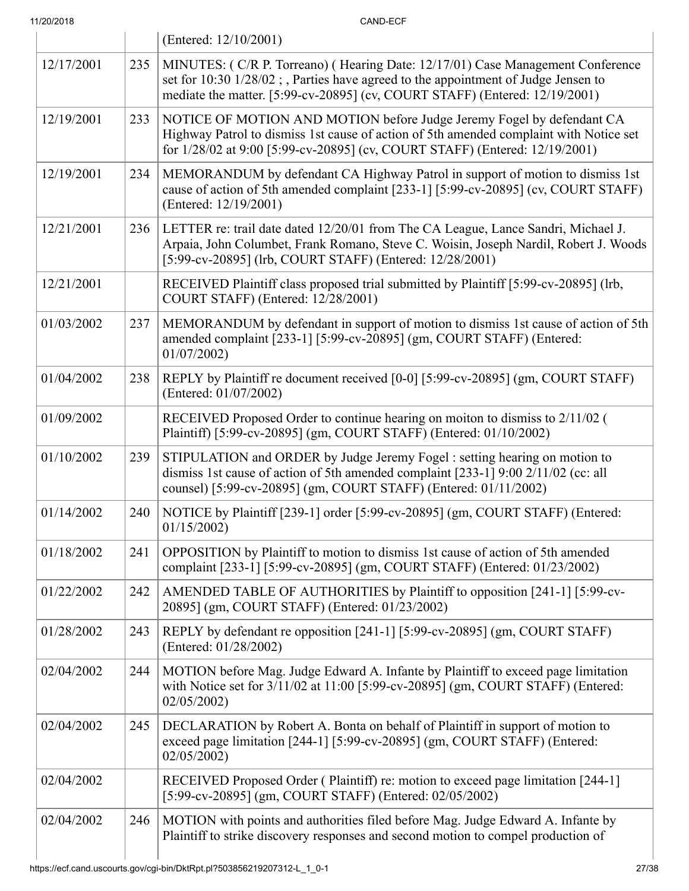11/20/2018 CAND-ECF (Entered: 12/10/2001) 12/17/2001 235 MINUTES: ( C/R P. Torreano) ( Hearing Date: 12/17/01) Case Management Conference set for 10:30 1/28/02 ; , Parties have agreed to the appointment of Judge Jensen to mediate the matter. [5:99-cv-20895] (cv, COURT STAFF) (Entered: 12/19/2001) 12/19/2001 233 NOTICE OF MOTION AND MOTION before Judge Jeremy Fogel by defendant CA Highway Patrol to dismiss 1st cause of action of 5th amended complaint with Notice set for 1/28/02 at 9:00 [5:99-cv-20895] (cv, COURT STAFF) (Entered: 12/19/2001) 12/19/2001 234 MEMORANDUM by defendant CA Highway Patrol in support of motion to dismiss 1st cause of action of 5th amended complaint [233-1] [5:99-cv-20895] (cv, COURT STAFF) (Entered: 12/19/2001) 12/21/2001 236 LETTER re: trail date dated 12/20/01 from The CA League, Lance Sandri, Michael J. Arpaia, John Columbet, Frank Romano, Steve C. Woisin, Joseph Nardil, Robert J. Woods [5:99-cv-20895] (lrb, COURT STAFF) (Entered: 12/28/2001) 12/21/2001 RECEIVED Plaintiff class proposed trial submitted by Plaintiff [5:99-cv-20895] (lrb, COURT STAFF) (Entered: 12/28/2001) 01/03/2002 237 MEMORANDUM by defendant in support of motion to dismiss 1st cause of action of 5th amended complaint [233-1] [5:99-cv-20895] (gm, COURT STAFF) (Entered: 01/07/2002)  $01/04/2002$  238 REPLY by Plaintiff re document received [0-0] [5:99-cv-20895] (gm, COURT STAFF) (Entered: 01/07/2002) 01/09/2002 RECEIVED Proposed Order to continue hearing on moiton to dismiss to 2/11/02 (

01/10/2002 239 STIPULATION and ORDER by Judge Jeremy Fogel : setting hearing on motion to dismiss 1st cause of action of 5th amended complaint [233-1] 9:00 2/11/02 (cc: all counsel) [5:99-cv-20895] (gm, COURT STAFF) (Entered: 01/11/2002)

01/14/2002 | 240 | NOTICE by Plaintiff [239-1] order [5:99-cv-20895] (gm, COURT STAFF) (Entered: 01/15/2002)

 $01/18/2002$  241 OPPOSITION by Plaintiff to motion to dismiss 1st cause of action of 5th amended complaint [233-1] [5:99-cv-20895] (gm, COURT STAFF) (Entered: 01/23/2002)

Plaintiff) [5:99-cv-20895] (gm, COURT STAFF) (Entered: 01/10/2002)

01/22/2002 242 | AMENDED TABLE OF AUTHORITIES by Plaintiff to opposition [241-1] [5:99-cv-20895] (gm, COURT STAFF) (Entered: 01/23/2002)

01/28/2002 243 REPLY by defendant re opposition  $[241-1]$  [5:99-cv-20895] (gm, COURT STAFF) (Entered: 01/28/2002)

 $02/04/2002$  244 MOTION before Mag. Judge Edward A. Infante by Plaintiff to exceed page limitation with Notice set for 3/11/02 at 11:00 [5:99-cv-20895] (gm, COURT STAFF) (Entered: 02/05/2002)

 $02/04/2002$  | 245 | DECLARATION by Robert A. Bonta on behalf of Plaintiff in support of motion to exceed page limitation [244-1] [5:99-cv-20895] (gm, COURT STAFF) (Entered: 02/05/2002)

 $02/04/2002$  246 MOTION with points and authorities filed before Mag. Judge Edward A. Infante by Plaintiff to strike discovery responses and second motion to compel production of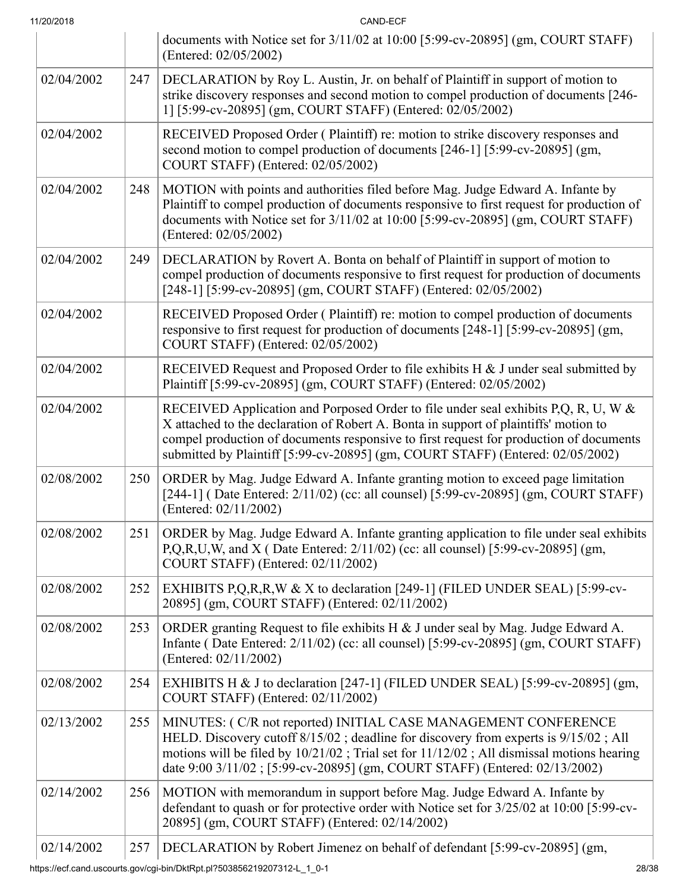| 11/20/2018 |     | CAND-ECF                                                                                                                                                                                                                                                                                                                                               |
|------------|-----|--------------------------------------------------------------------------------------------------------------------------------------------------------------------------------------------------------------------------------------------------------------------------------------------------------------------------------------------------------|
|            |     | documents with Notice set for $3/11/02$ at 10:00 [5:99-cv-20895] (gm, COURT STAFF)<br>(Entered: 02/05/2002)                                                                                                                                                                                                                                            |
| 02/04/2002 | 247 | DECLARATION by Roy L. Austin, Jr. on behalf of Plaintiff in support of motion to<br>strike discovery responses and second motion to compel production of documents [246-<br>1] [5:99-cv-20895] (gm, COURT STAFF) (Entered: 02/05/2002)                                                                                                                 |
| 02/04/2002 |     | RECEIVED Proposed Order (Plaintiff) re: motion to strike discovery responses and<br>second motion to compel production of documents [246-1] [5:99-cv-20895] (gm,<br>COURT STAFF) (Entered: 02/05/2002)                                                                                                                                                 |
| 02/04/2002 | 248 | MOTION with points and authorities filed before Mag. Judge Edward A. Infante by<br>Plaintiff to compel production of documents responsive to first request for production of<br>documents with Notice set for 3/11/02 at 10:00 [5:99-cv-20895] (gm, COURT STAFF)<br>(Entered: 02/05/2002)                                                              |
| 02/04/2002 | 249 | DECLARATION by Rovert A. Bonta on behalf of Plaintiff in support of motion to<br>compel production of documents responsive to first request for production of documents<br>[248-1] [5:99-cv-20895] (gm, COURT STAFF) (Entered: 02/05/2002)                                                                                                             |
| 02/04/2002 |     | RECEIVED Proposed Order (Plaintiff) re: motion to compel production of documents<br>responsive to first request for production of documents [248-1] [5:99-cv-20895] (gm,<br>COURT STAFF) (Entered: 02/05/2002)                                                                                                                                         |
| 02/04/2002 |     | RECEIVED Request and Proposed Order to file exhibits H & J under seal submitted by<br>Plaintiff [5:99-cv-20895] (gm, COURT STAFF) (Entered: 02/05/2002)                                                                                                                                                                                                |
| 02/04/2002 |     | RECEIVED Application and Porposed Order to file under seal exhibits P,Q, R, U, W &<br>X attached to the declaration of Robert A. Bonta in support of plaintiffs' motion to<br>compel production of documents responsive to first request for production of documents<br>submitted by Plaintiff [5:99-cv-20895] (gm, COURT STAFF) (Entered: 02/05/2002) |
| 02/08/2002 | 250 | ORDER by Mag. Judge Edward A. Infante granting motion to exceed page limitation<br>[244-1] (Date Entered: 2/11/02) (cc: all counsel) [5:99-cv-20895] (gm, COURT STAFF)<br>(Entered: 02/11/2002)                                                                                                                                                        |
| 02/08/2002 | 251 | ORDER by Mag. Judge Edward A. Infante granting application to file under seal exhibits<br>P,Q,R,U,W, and X (Date Entered: 2/11/02) (cc: all counsel) [5:99-cv-20895] (gm,<br>COURT STAFF) (Entered: 02/11/2002)                                                                                                                                        |
| 02/08/2002 | 252 | EXHIBITS P,Q,R,R,W & X to declaration [249-1] (FILED UNDER SEAL) [5:99-cv-<br>20895] (gm, COURT STAFF) (Entered: 02/11/2002)                                                                                                                                                                                                                           |
| 02/08/2002 | 253 | ORDER granting Request to file exhibits H & J under seal by Mag. Judge Edward A.<br>Infante (Date Entered: 2/11/02) (cc: all counsel) [5:99-cv-20895] (gm, COURT STAFF)<br>(Entered: 02/11/2002)                                                                                                                                                       |
| 02/08/2002 | 254 | EXHIBITS H & J to declaration [247-1] (FILED UNDER SEAL) [5:99-cv-20895] (gm,<br>COURT STAFF) (Entered: 02/11/2002)                                                                                                                                                                                                                                    |
| 02/13/2002 | 255 | MINUTES: (C/R not reported) INITIAL CASE MANAGEMENT CONFERENCE<br>HELD. Discovery cutoff 8/15/02; deadline for discovery from experts is 9/15/02; All<br>motions will be filed by 10/21/02; Trial set for 11/12/02; All dismissal motions hearing<br>date 9:00 3/11/02; [5:99-cv-20895] (gm, COURT STAFF) (Entered: 02/13/2002)                        |
| 02/14/2002 | 256 | MOTION with memorandum in support before Mag. Judge Edward A. Infante by<br>defendant to quash or for protective order with Notice set for 3/25/02 at 10:00 [5:99-cv-<br>20895] (gm, COURT STAFF) (Entered: 02/14/2002)                                                                                                                                |
| 02/14/2002 | 257 | DECLARATION by Robert Jimenez on behalf of defendant [5:99-cv-20895] (gm,                                                                                                                                                                                                                                                                              |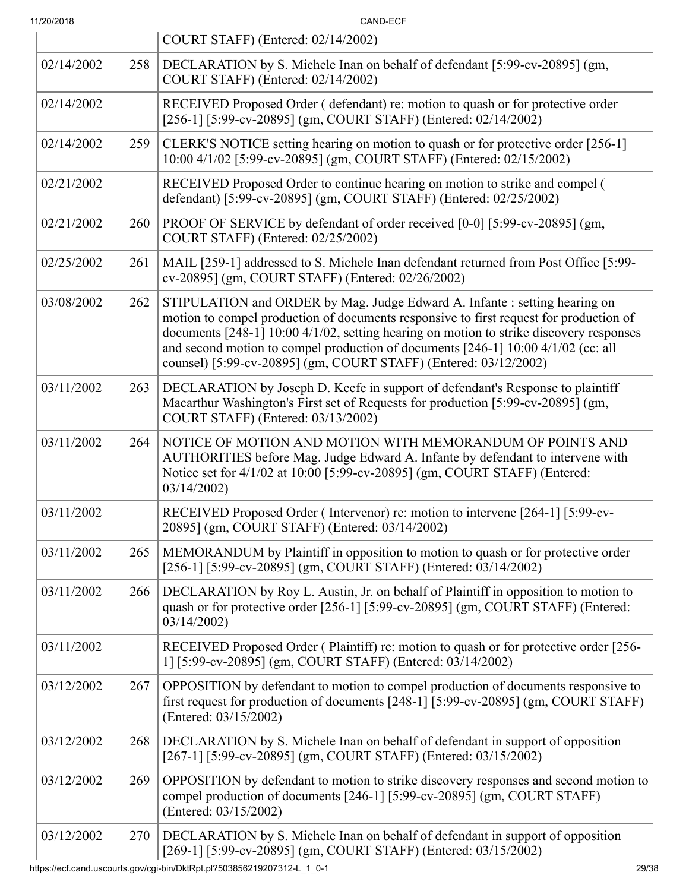| 11/20/2018 |  |
|------------|--|

| 11/20/2018 |     | CAND-ECF                                                                                                                                                                                                                                                                                                                                                                                                                |
|------------|-----|-------------------------------------------------------------------------------------------------------------------------------------------------------------------------------------------------------------------------------------------------------------------------------------------------------------------------------------------------------------------------------------------------------------------------|
|            |     | COURT STAFF) (Entered: 02/14/2002)                                                                                                                                                                                                                                                                                                                                                                                      |
| 02/14/2002 | 258 | DECLARATION by S. Michele Inan on behalf of defendant [5:99-cv-20895] (gm,<br>COURT STAFF) (Entered: 02/14/2002)                                                                                                                                                                                                                                                                                                        |
| 02/14/2002 |     | RECEIVED Proposed Order (defendant) re: motion to quash or for protective order<br>[256-1] [5:99-cv-20895] (gm, COURT STAFF) (Entered: 02/14/2002)                                                                                                                                                                                                                                                                      |
| 02/14/2002 | 259 | CLERK'S NOTICE setting hearing on motion to quash or for protective order [256-1]<br>10:00 4/1/02 [5:99-cv-20895] (gm, COURT STAFF) (Entered: 02/15/2002)                                                                                                                                                                                                                                                               |
| 02/21/2002 |     | RECEIVED Proposed Order to continue hearing on motion to strike and compel (<br>defendant) [5:99-cv-20895] (gm, COURT STAFF) (Entered: 02/25/2002)                                                                                                                                                                                                                                                                      |
| 02/21/2002 | 260 | PROOF OF SERVICE by defendant of order received [0-0] [5:99-cv-20895] (gm,<br>COURT STAFF) (Entered: 02/25/2002)                                                                                                                                                                                                                                                                                                        |
| 02/25/2002 | 261 | MAIL [259-1] addressed to S. Michele Inan defendant returned from Post Office [5:99-<br>cv-20895] (gm, COURT STAFF) (Entered: 02/26/2002)                                                                                                                                                                                                                                                                               |
| 03/08/2002 | 262 | STIPULATION and ORDER by Mag. Judge Edward A. Infante: setting hearing on<br>motion to compel production of documents responsive to first request for production of<br>documents [248-1] 10:00 4/1/02, setting hearing on motion to strike discovery responses<br>and second motion to compel production of documents [246-1] 10:00 4/1/02 (cc: all<br>counsel) [5:99-cv-20895] (gm, COURT STAFF) (Entered: 03/12/2002) |
| 03/11/2002 | 263 | DECLARATION by Joseph D. Keefe in support of defendant's Response to plaintiff<br>Macarthur Washington's First set of Requests for production [5:99-cv-20895] (gm,<br>COURT STAFF) (Entered: 03/13/2002)                                                                                                                                                                                                                |
| 03/11/2002 | 264 | NOTICE OF MOTION AND MOTION WITH MEMORANDUM OF POINTS AND<br>AUTHORITIES before Mag. Judge Edward A. Infante by defendant to intervene with<br>Notice set for 4/1/02 at 10:00 [5:99-cv-20895] (gm, COURT STAFF) (Entered:<br>03/14/2002                                                                                                                                                                                 |
| 03/11/2002 |     | RECEIVED Proposed Order (Intervenor) re: motion to intervene [264-1] [5:99-cv-<br>20895] (gm, COURT STAFF) (Entered: 03/14/2002)                                                                                                                                                                                                                                                                                        |
| 03/11/2002 | 265 | MEMORANDUM by Plaintiff in opposition to motion to quash or for protective order<br>[256-1] [5:99-cv-20895] (gm, COURT STAFF) (Entered: 03/14/2002)                                                                                                                                                                                                                                                                     |
| 03/11/2002 | 266 | DECLARATION by Roy L. Austin, Jr. on behalf of Plaintiff in opposition to motion to<br>quash or for protective order [256-1] [5:99-cv-20895] (gm, COURT STAFF) (Entered:<br>03/14/2002                                                                                                                                                                                                                                  |
| 03/11/2002 |     | RECEIVED Proposed Order (Plaintiff) re: motion to quash or for protective order [256-<br>1] [5:99-cv-20895] (gm, COURT STAFF) (Entered: 03/14/2002)                                                                                                                                                                                                                                                                     |
| 03/12/2002 | 267 | OPPOSITION by defendant to motion to compel production of documents responsive to<br>first request for production of documents [248-1] [5:99-cv-20895] (gm, COURT STAFF)<br>(Entered: 03/15/2002)                                                                                                                                                                                                                       |
| 03/12/2002 | 268 | DECLARATION by S. Michele Inan on behalf of defendant in support of opposition<br>[267-1] [5:99-cv-20895] (gm, COURT STAFF) (Entered: 03/15/2002)                                                                                                                                                                                                                                                                       |
| 03/12/2002 | 269 | OPPOSITION by defendant to motion to strike discovery responses and second motion to<br>compel production of documents [246-1] [5:99-cv-20895] (gm, COURT STAFF)<br>(Entered: 03/15/2002)                                                                                                                                                                                                                               |
| 03/12/2002 | 270 | DECLARATION by S. Michele Inan on behalf of defendant in support of opposition<br>[269-1] [5:99-cv-20895] (gm, COURT STAFF) (Entered: 03/15/2002)                                                                                                                                                                                                                                                                       |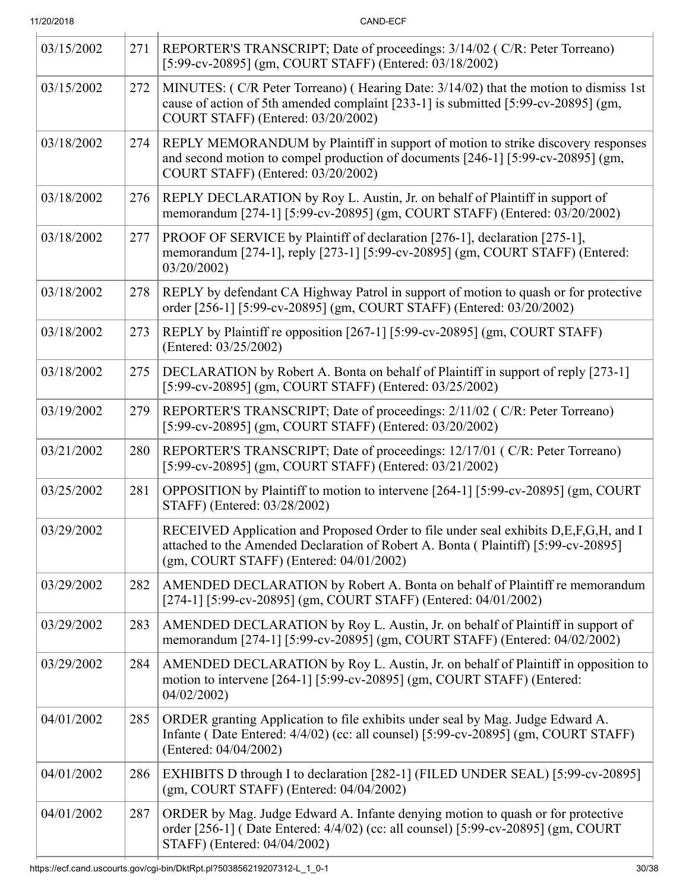| 11/20/2018 |  |
|------------|--|
|            |  |

CAND-ECF

| 03/15/2002 | 271 | REPORTER'S TRANSCRIPT; Date of proceedings: 3/14/02 (C/R: Peter Torreano)<br>[5:99-cv-20895] (gm, COURT STAFF) (Entered: 03/18/2002)                                                                                              |  |
|------------|-----|-----------------------------------------------------------------------------------------------------------------------------------------------------------------------------------------------------------------------------------|--|
| 03/15/2002 | 272 | MINUTES: (C/R Peter Torreano) (Hearing Date: 3/14/02) that the motion to dismiss 1st<br>cause of action of 5th amended complaint [233-1] is submitted [5:99-cv-20895] (gm,<br>COURT STAFF) (Entered: 03/20/2002)                  |  |
| 03/18/2002 | 274 | REPLY MEMORANDUM by Plaintiff in support of motion to strike discovery responses<br>and second motion to compel production of documents [246-1] [5:99-cv-20895] (gm,<br>COURT STAFF) (Entered: 03/20/2002)                        |  |
| 03/18/2002 | 276 | REPLY DECLARATION by Roy L. Austin, Jr. on behalf of Plaintiff in support of<br>memorandum [274-1] [5:99-cv-20895] (gm, COURT STAFF) (Entered: 03/20/2002)                                                                        |  |
| 03/18/2002 | 277 | PROOF OF SERVICE by Plaintiff of declaration [276-1], declaration [275-1],<br>memorandum [274-1], reply [273-1] [5:99-cv-20895] (gm, COURT STAFF) (Entered:<br>03/20/2002)                                                        |  |
| 03/18/2002 | 278 | REPLY by defendant CA Highway Patrol in support of motion to quash or for protective<br>order [256-1] [5:99-cv-20895] (gm, COURT STAFF) (Entered: 03/20/2002)                                                                     |  |
| 03/18/2002 | 273 | REPLY by Plaintiff re opposition [267-1] [5:99-cv-20895] (gm, COURT STAFF)<br>(Entered: 03/25/2002)                                                                                                                               |  |
| 03/18/2002 | 275 | DECLARATION by Robert A. Bonta on behalf of Plaintiff in support of reply [273-1]<br>[5:99-cv-20895] (gm, COURT STAFF) (Entered: 03/25/2002)                                                                                      |  |
| 03/19/2002 | 279 | REPORTER'S TRANSCRIPT; Date of proceedings: 2/11/02 (C/R: Peter Torreano)<br>[5:99-cv-20895] (gm, COURT STAFF) (Entered: 03/20/2002)                                                                                              |  |
| 03/21/2002 | 280 | REPORTER'S TRANSCRIPT; Date of proceedings: 12/17/01 (C/R: Peter Torreano)<br>[5:99-cv-20895] (gm, COURT STAFF) (Entered: 03/21/2002)                                                                                             |  |
| 03/25/2002 | 281 | OPPOSITION by Plaintiff to motion to intervene [264-1] [5:99-cv-20895] (gm, COURT<br>STAFF) (Entered: 03/28/2002)                                                                                                                 |  |
| 03/29/2002 |     | RECEIVED Application and Proposed Order to file under seal exhibits D,E,F,G,H, and I<br>attached to the Amended Declaration of Robert A. Bonta (Plaintiff) [5:99-cv-20895]<br>$(gm, \text{COURT STATE})$ (Entered: $04/01/2002$ ) |  |
| 03/29/2002 | 282 | AMENDED DECLARATION by Robert A. Bonta on behalf of Plaintiff re memorandum<br>[274-1] [5:99-cv-20895] (gm, COURT STAFF) (Entered: 04/01/2002)                                                                                    |  |
| 03/29/2002 | 283 | AMENDED DECLARATION by Roy L. Austin, Jr. on behalf of Plaintiff in support of<br>memorandum [274-1] [5:99-cv-20895] (gm, COURT STAFF) (Entered: 04/02/2002)                                                                      |  |
| 03/29/2002 | 284 | AMENDED DECLARATION by Roy L. Austin, Jr. on behalf of Plaintiff in opposition to<br>motion to intervene [264-1] [5:99-cv-20895] (gm, COURT STAFF) (Entered:<br>04/02/2002)                                                       |  |
| 04/01/2002 | 285 | ORDER granting Application to file exhibits under seal by Mag. Judge Edward A.<br>Infante (Date Entered: 4/4/02) (cc: all counsel) [5:99-cv-20895] (gm, COURT STAFF)<br>(Entered: 04/04/2002)                                     |  |
| 04/01/2002 | 286 | EXHIBITS D through I to declaration [282-1] (FILED UNDER SEAL) [5:99-cv-20895]<br>$(gm, COURT STATE)$ (Entered: $04/04/2002$ )                                                                                                    |  |
| 04/01/2002 | 287 | ORDER by Mag. Judge Edward A. Infante denying motion to quash or for protective<br>order [256-1] (Date Entered: 4/4/02) (cc: all counsel) [5:99-cv-20895] (gm, COURT<br>STAFF) (Entered: 04/04/2002)                              |  |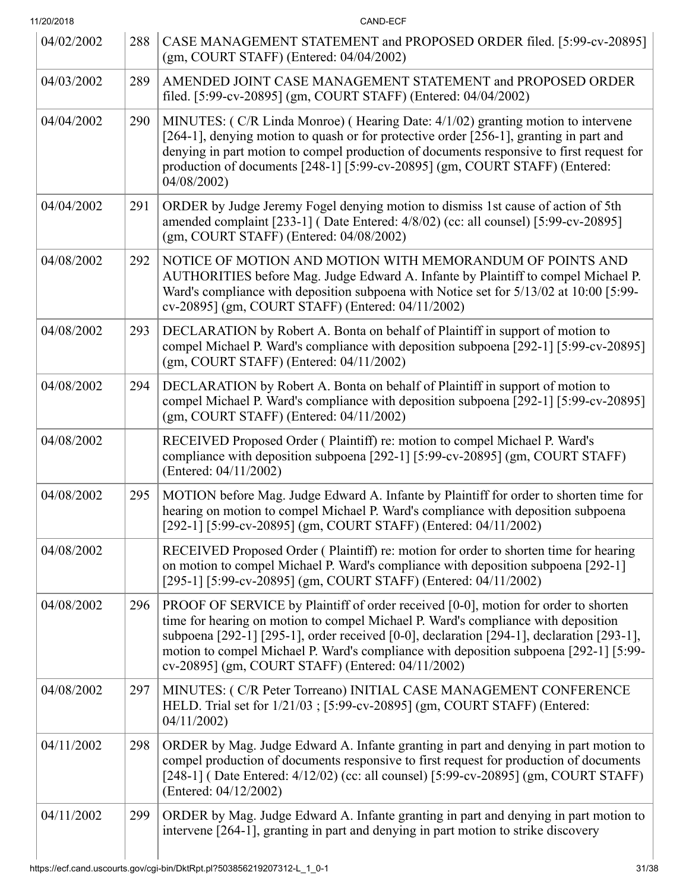| 11/20/2018 |     | CAND-ECF                                                                                                                                                                                                                                                                                                                                                                                                           |  |
|------------|-----|--------------------------------------------------------------------------------------------------------------------------------------------------------------------------------------------------------------------------------------------------------------------------------------------------------------------------------------------------------------------------------------------------------------------|--|
| 04/02/2002 | 288 | CASE MANAGEMENT STATEMENT and PROPOSED ORDER filed. [5:99-cv-20895]<br>$(gm, \text{COURT STATE})$ (Entered: $04/04/2002$ )                                                                                                                                                                                                                                                                                         |  |
| 04/03/2002 | 289 | AMENDED JOINT CASE MANAGEMENT STATEMENT and PROPOSED ORDER<br>filed. [5:99-cv-20895] (gm, COURT STAFF) (Entered: 04/04/2002)                                                                                                                                                                                                                                                                                       |  |
| 04/04/2002 | 290 | MINUTES: (C/R Linda Monroe) (Hearing Date: 4/1/02) granting motion to intervene<br>[264-1], denying motion to quash or for protective order [256-1], granting in part and<br>denying in part motion to compel production of documents responsive to first request for<br>production of documents [248-1] [5:99-cv-20895] (gm, COURT STAFF) (Entered:<br>04/08/2002)                                                |  |
| 04/04/2002 | 291 | ORDER by Judge Jeremy Fogel denying motion to dismiss 1st cause of action of 5th<br>amended complaint [233-1] (Date Entered: 4/8/02) (cc: all counsel) [5:99-cv-20895]<br>(gm, COURT STAFF) (Entered: 04/08/2002)                                                                                                                                                                                                  |  |
| 04/08/2002 | 292 | NOTICE OF MOTION AND MOTION WITH MEMORANDUM OF POINTS AND<br>AUTHORITIES before Mag. Judge Edward A. Infante by Plaintiff to compel Michael P.<br>Ward's compliance with deposition subpoena with Notice set for 5/13/02 at 10:00 [5:99-<br>cv-20895] (gm, COURT STAFF) (Entered: 04/11/2002)                                                                                                                      |  |
| 04/08/2002 | 293 | DECLARATION by Robert A. Bonta on behalf of Plaintiff in support of motion to<br>compel Michael P. Ward's compliance with deposition subpoena [292-1] [5:99-cv-20895]<br>$(gm, \text{COURT STATE})$ (Entered: 04/11/2002)                                                                                                                                                                                          |  |
| 04/08/2002 | 294 | DECLARATION by Robert A. Bonta on behalf of Plaintiff in support of motion to<br>compel Michael P. Ward's compliance with deposition subpoena [292-1] [5:99-cv-20895]<br>(gm, COURT STAFF) (Entered: 04/11/2002)                                                                                                                                                                                                   |  |
| 04/08/2002 |     | RECEIVED Proposed Order (Plaintiff) re: motion to compel Michael P. Ward's<br>compliance with deposition subpoena [292-1] [5:99-cv-20895] (gm, COURT STAFF)<br>(Entered: 04/11/2002)                                                                                                                                                                                                                               |  |
| 04/08/2002 | 295 | MOTION before Mag. Judge Edward A. Infante by Plaintiff for order to shorten time for<br>hearing on motion to compel Michael P. Ward's compliance with deposition subpoena<br>[292-1] [5:99-cv-20895] (gm, COURT STAFF) (Entered: 04/11/2002)                                                                                                                                                                      |  |
| 04/08/2002 |     | RECEIVED Proposed Order (Plaintiff) re: motion for order to shorten time for hearing<br>on motion to compel Michael P. Ward's compliance with deposition subpoena [292-1]<br>[295-1] [5:99-cv-20895] (gm, COURT STAFF) (Entered: 04/11/2002)                                                                                                                                                                       |  |
| 04/08/2002 | 296 | PROOF OF SERVICE by Plaintiff of order received [0-0], motion for order to shorten<br>time for hearing on motion to compel Michael P. Ward's compliance with deposition<br>subpoena [292-1] [295-1], order received [0-0], declaration [294-1], declaration [293-1],<br>motion to compel Michael P. Ward's compliance with deposition subpoena [292-1] [5:99-<br>cv-20895] (gm, COURT STAFF) (Entered: 04/11/2002) |  |
| 04/08/2002 | 297 | MINUTES: (C/R Peter Torreano) INITIAL CASE MANAGEMENT CONFERENCE<br>HELD. Trial set for 1/21/03; [5:99-cv-20895] (gm, COURT STAFF) (Entered:<br>04/11/2002                                                                                                                                                                                                                                                         |  |
| 04/11/2002 | 298 | ORDER by Mag. Judge Edward A. Infante granting in part and denying in part motion to<br>compel production of documents responsive to first request for production of documents<br>[248-1] (Date Entered: 4/12/02) (cc: all counsel) [5:99-cv-20895] (gm, COURT STAFF)<br>(Entered: 04/12/2002)                                                                                                                     |  |
| 04/11/2002 | 299 | ORDER by Mag. Judge Edward A. Infante granting in part and denying in part motion to<br>intervene [264-1], granting in part and denying in part motion to strike discovery                                                                                                                                                                                                                                         |  |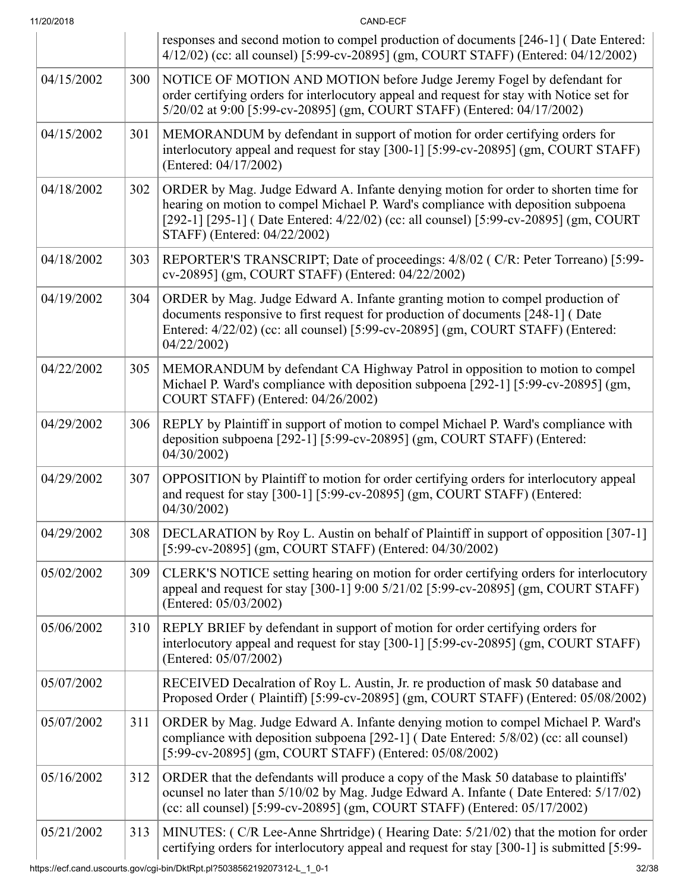| 11/20/2018 |     | CAND-ECF                                                                                                                                                                                                                                                                                        |  |
|------------|-----|-------------------------------------------------------------------------------------------------------------------------------------------------------------------------------------------------------------------------------------------------------------------------------------------------|--|
|            |     | responses and second motion to compel production of documents [246-1] (Date Entered:<br>4/12/02) (cc: all counsel) [5:99-cv-20895] (gm, COURT STAFF) (Entered: 04/12/2002)                                                                                                                      |  |
| 04/15/2002 | 300 | NOTICE OF MOTION AND MOTION before Judge Jeremy Fogel by defendant for<br>order certifying orders for interlocutory appeal and request for stay with Notice set for<br>5/20/02 at 9:00 [5:99-cv-20895] (gm, COURT STAFF) (Entered: 04/17/2002)                                                  |  |
| 04/15/2002 | 301 | MEMORANDUM by defendant in support of motion for order certifying orders for<br>interlocutory appeal and request for stay [300-1] [5:99-cv-20895] (gm, COURT STAFF)<br>(Entered: 04/17/2002)                                                                                                    |  |
| 04/18/2002 | 302 | ORDER by Mag. Judge Edward A. Infante denying motion for order to shorten time for<br>hearing on motion to compel Michael P. Ward's compliance with deposition subpoena<br>[292-1] [295-1] (Date Entered: 4/22/02) (cc: all counsel) [5:99-cv-20895] (gm, COURT<br>STAFF) (Entered: 04/22/2002) |  |
| 04/18/2002 | 303 | REPORTER'S TRANSCRIPT; Date of proceedings: 4/8/02 (C/R: Peter Torreano) [5:99-<br>cv-20895] (gm, COURT STAFF) (Entered: 04/22/2002)                                                                                                                                                            |  |
| 04/19/2002 | 304 | ORDER by Mag. Judge Edward A. Infante granting motion to compel production of<br>documents responsive to first request for production of documents [248-1] (Date<br>Entered: 4/22/02) (cc: all counsel) [5:99-cv-20895] (gm, COURT STAFF) (Entered:<br>04/22/2002)                              |  |
| 04/22/2002 | 305 | MEMORANDUM by defendant CA Highway Patrol in opposition to motion to compel<br>Michael P. Ward's compliance with deposition subpoena [292-1] [5:99-cv-20895] (gm,<br>COURT STAFF) (Entered: 04/26/2002)                                                                                         |  |
| 04/29/2002 | 306 | REPLY by Plaintiff in support of motion to compel Michael P. Ward's compliance with<br>deposition subpoena [292-1] [5:99-cv-20895] (gm, COURT STAFF) (Entered:<br>04/30/2002)                                                                                                                   |  |
| 04/29/2002 | 307 | OPPOSITION by Plaintiff to motion for order certifying orders for interlocutory appeal<br>and request for stay [300-1] [5:99-cv-20895] (gm, COURT STAFF) (Entered:<br>04/30/2002)                                                                                                               |  |
| 04/29/2002 | 308 | DECLARATION by Roy L. Austin on behalf of Plaintiff in support of opposition [307-1]<br>[5:99-cv-20895] (gm, COURT STAFF) (Entered: 04/30/2002)                                                                                                                                                 |  |
| 05/02/2002 | 309 | CLERK'S NOTICE setting hearing on motion for order certifying orders for interlocutory<br>appeal and request for stay [300-1] 9:00 5/21/02 [5:99-cv-20895] (gm, COURT STAFF)<br>(Entered: 05/03/2002)                                                                                           |  |
| 05/06/2002 | 310 | REPLY BRIEF by defendant in support of motion for order certifying orders for<br>interlocutory appeal and request for stay [300-1] [5:99-cv-20895] (gm, COURT STAFF)<br>(Entered: 05/07/2002)                                                                                                   |  |
| 05/07/2002 |     | RECEIVED Decalration of Roy L. Austin, Jr. re production of mask 50 database and<br>Proposed Order (Plaintiff) [5:99-cv-20895] (gm, COURT STAFF) (Entered: 05/08/2002)                                                                                                                          |  |
| 05/07/2002 | 311 | ORDER by Mag. Judge Edward A. Infante denying motion to compel Michael P. Ward's<br>compliance with deposition subpoena [292-1] (Date Entered: 5/8/02) (cc: all counsel)<br>[5:99-cv-20895] (gm, COURT STAFF) (Entered: 05/08/2002)                                                             |  |
| 05/16/2002 | 312 | ORDER that the defendants will produce a copy of the Mask 50 database to plaintiffs'<br>ocunsel no later than 5/10/02 by Mag. Judge Edward A. Infante (Date Entered: 5/17/02)<br>(cc: all counsel) [5:99-cv-20895] (gm, COURT STAFF) (Entered: 05/17/2002)                                      |  |
| 05/21/2002 | 313 | MINUTES: (C/R Lee-Anne Shrtridge) (Hearing Date: 5/21/02) that the motion for order<br>certifying orders for interlocutory appeal and request for stay [300-1] is submitted [5:99-                                                                                                              |  |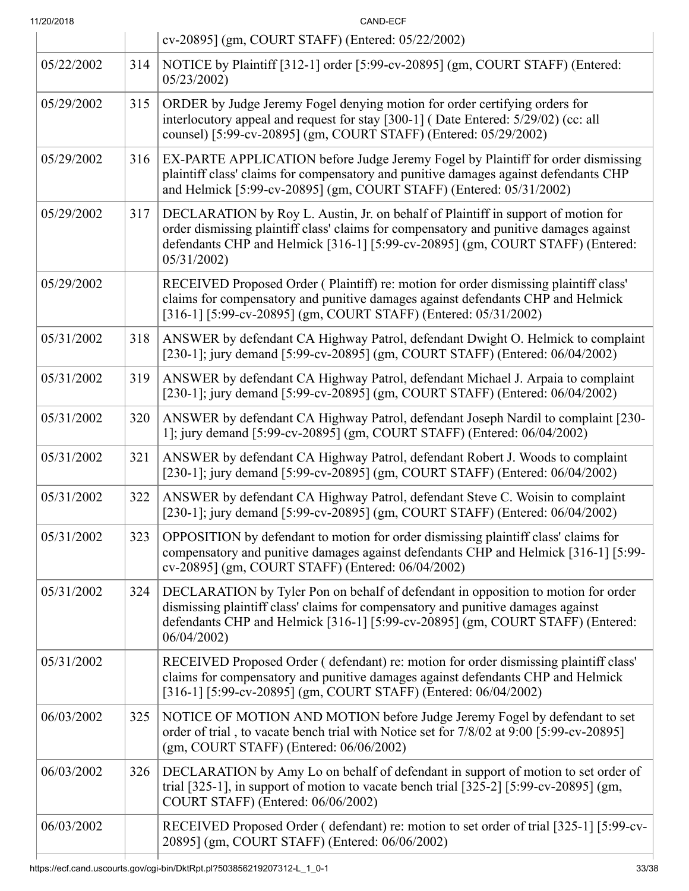| 11/20/2018 |     | CAND-ECF                                                                                                                                                                                                                                                                    |  |  |  |
|------------|-----|-----------------------------------------------------------------------------------------------------------------------------------------------------------------------------------------------------------------------------------------------------------------------------|--|--|--|
|            |     | cv-20895] (gm, COURT STAFF) (Entered: 05/22/2002)                                                                                                                                                                                                                           |  |  |  |
| 05/22/2002 | 314 | NOTICE by Plaintiff [312-1] order [5:99-cv-20895] (gm, COURT STAFF) (Entered:<br>05/23/2002                                                                                                                                                                                 |  |  |  |
| 05/29/2002 | 315 | ORDER by Judge Jeremy Fogel denying motion for order certifying orders for<br>interlocutory appeal and request for stay [300-1] (Date Entered: 5/29/02) (cc: all<br>counsel) [5:99-cv-20895] (gm, COURT STAFF) (Entered: 05/29/2002)                                        |  |  |  |
| 05/29/2002 | 316 | EX-PARTE APPLICATION before Judge Jeremy Fogel by Plaintiff for order dismissing<br>plaintiff class' claims for compensatory and punitive damages against defendants CHP<br>and Helmick [5:99-cv-20895] (gm, COURT STAFF) (Entered: 05/31/2002)                             |  |  |  |
| 05/29/2002 | 317 | DECLARATION by Roy L. Austin, Jr. on behalf of Plaintiff in support of motion for<br>order dismissing plaintiff class' claims for compensatory and punitive damages against<br>defendants CHP and Helmick [316-1] [5:99-cv-20895] (gm, COURT STAFF) (Entered:<br>05/31/2002 |  |  |  |
| 05/29/2002 |     | RECEIVED Proposed Order (Plaintiff) re: motion for order dismissing plaintiff class'<br>claims for compensatory and punitive damages against defendants CHP and Helmick<br>[316-1] [5:99-cv-20895] (gm, COURT STAFF) (Entered: 05/31/2002)                                  |  |  |  |
| 05/31/2002 | 318 | ANSWER by defendant CA Highway Patrol, defendant Dwight O. Helmick to complaint<br>[230-1]; jury demand [5:99-cv-20895] (gm, COURT STAFF) (Entered: 06/04/2002)                                                                                                             |  |  |  |
| 05/31/2002 | 319 | ANSWER by defendant CA Highway Patrol, defendant Michael J. Arpaia to complaint<br>[230-1]; jury demand [5:99-cv-20895] (gm, COURT STAFF) (Entered: 06/04/2002)                                                                                                             |  |  |  |
| 05/31/2002 | 320 | ANSWER by defendant CA Highway Patrol, defendant Joseph Nardil to complaint [230-<br>1]; jury demand [5:99-cv-20895] (gm, COURT STAFF) (Entered: 06/04/2002)                                                                                                                |  |  |  |
| 05/31/2002 | 321 | ANSWER by defendant CA Highway Patrol, defendant Robert J. Woods to complaint<br>[230-1]; jury demand [5:99-cv-20895] (gm, COURT STAFF) (Entered: 06/04/2002)                                                                                                               |  |  |  |
| 05/31/2002 | 322 | ANSWER by defendant CA Highway Patrol, defendant Steve C. Woisin to complaint<br>[230-1]; jury demand [5:99-cv-20895] (gm, COURT STAFF) (Entered: 06/04/2002)                                                                                                               |  |  |  |
| 05/31/2002 | 323 | OPPOSITION by defendant to motion for order dismissing plaintiff class' claims for<br>compensatory and punitive damages against defendants CHP and Helmick [316-1] [5:99-<br>cv-20895] (gm, COURT STAFF) (Entered: 06/04/2002)                                              |  |  |  |
| 05/31/2002 | 324 | DECLARATION by Tyler Pon on behalf of defendant in opposition to motion for order<br>dismissing plaintiff class' claims for compensatory and punitive damages against<br>defendants CHP and Helmick [316-1] [5:99-cv-20895] (gm, COURT STAFF) (Entered:<br>06/04/2002       |  |  |  |
| 05/31/2002 |     | RECEIVED Proposed Order (defendant) re: motion for order dismissing plaintiff class'<br>claims for compensatory and punitive damages against defendants CHP and Helmick<br>[316-1] [5:99-cv-20895] (gm, COURT STAFF) (Entered: 06/04/2002)                                  |  |  |  |
| 06/03/2002 | 325 | NOTICE OF MOTION AND MOTION before Judge Jeremy Fogel by defendant to set<br>order of trial, to vacate bench trial with Notice set for 7/8/02 at 9:00 [5:99-cv-20895]<br>$(gm, \text{COURT STATE})$ (Entered: $06/06/2002$ )                                                |  |  |  |
| 06/03/2002 | 326 | DECLARATION by Amy Lo on behalf of defendant in support of motion to set order of<br>trial [325-1], in support of motion to vacate bench trial $[325-2]$ [5:99-cv-20895] (gm,<br>COURT STAFF) (Entered: 06/06/2002)                                                         |  |  |  |
| 06/03/2002 |     | RECEIVED Proposed Order (defendant) re: motion to set order of trial [325-1] [5:99-cv-<br>20895] (gm, COURT STAFF) (Entered: 06/06/2002)                                                                                                                                    |  |  |  |
|            |     |                                                                                                                                                                                                                                                                             |  |  |  |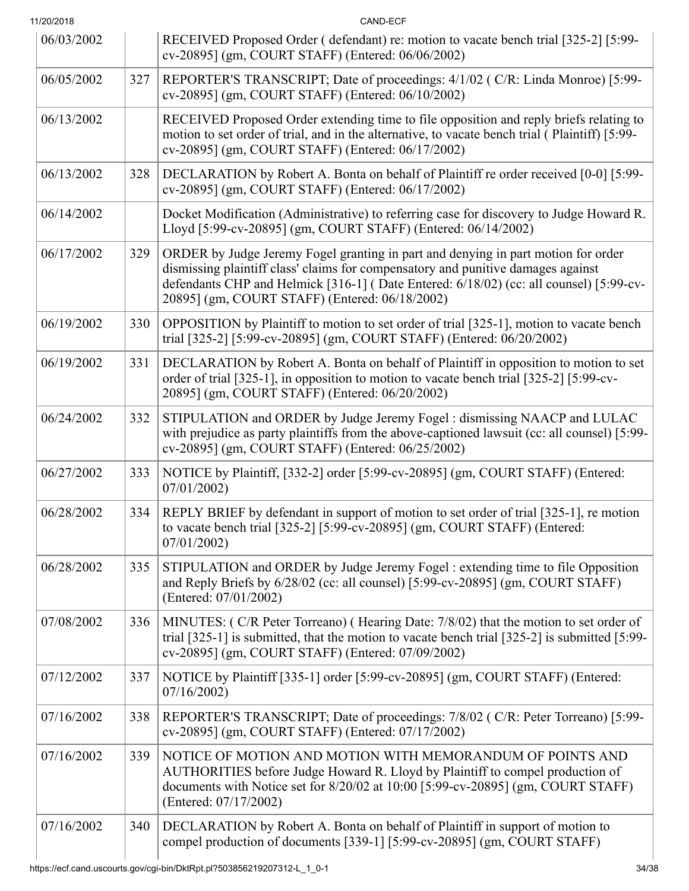| 11/20/2018 |     | CAND-ECF                                                                                                                                                                                                                                                                                                          |  |  |
|------------|-----|-------------------------------------------------------------------------------------------------------------------------------------------------------------------------------------------------------------------------------------------------------------------------------------------------------------------|--|--|
| 06/03/2002 |     | RECEIVED Proposed Order (defendant) re: motion to vacate bench trial [325-2] [5:99-<br>cv-20895] (gm, COURT STAFF) (Entered: 06/06/2002)                                                                                                                                                                          |  |  |
| 06/05/2002 | 327 | REPORTER'S TRANSCRIPT; Date of proceedings: 4/1/02 (C/R: Linda Monroe) [5:99-<br>cv-20895] (gm, COURT STAFF) (Entered: 06/10/2002)                                                                                                                                                                                |  |  |
| 06/13/2002 |     | RECEIVED Proposed Order extending time to file opposition and reply briefs relating to<br>motion to set order of trial, and in the alternative, to vacate bench trial (Plaintiff) [5:99-<br>cv-20895] (gm, COURT STAFF) (Entered: 06/17/2002)                                                                     |  |  |
| 06/13/2002 | 328 | DECLARATION by Robert A. Bonta on behalf of Plaintiff re order received [0-0] [5:99-<br>cv-20895] (gm, COURT STAFF) (Entered: 06/17/2002)                                                                                                                                                                         |  |  |
| 06/14/2002 |     | Docket Modification (Administrative) to referring case for discovery to Judge Howard R.<br>Lloyd [5:99-cv-20895] (gm, COURT STAFF) (Entered: 06/14/2002)                                                                                                                                                          |  |  |
| 06/17/2002 | 329 | ORDER by Judge Jeremy Fogel granting in part and denying in part motion for order<br>dismissing plaintiff class' claims for compensatory and punitive damages against<br>defendants CHP and Helmick [316-1] (Date Entered: 6/18/02) (cc: all counsel) [5:99-cv-<br>20895] (gm, COURT STAFF) (Entered: 06/18/2002) |  |  |
| 06/19/2002 | 330 | OPPOSITION by Plaintiff to motion to set order of trial [325-1], motion to vacate bench<br>trial [325-2] [5:99-cv-20895] (gm, COURT STAFF) (Entered: 06/20/2002)                                                                                                                                                  |  |  |
| 06/19/2002 | 331 | DECLARATION by Robert A. Bonta on behalf of Plaintiff in opposition to motion to set<br>order of trial [325-1], in opposition to motion to vacate bench trial [325-2] [5:99-cv-<br>20895] (gm, COURT STAFF) (Entered: 06/20/2002)                                                                                 |  |  |
| 06/24/2002 | 332 | STIPULATION and ORDER by Judge Jeremy Fogel : dismissing NAACP and LULAC<br>with prejudice as party plaintiffs from the above-captioned lawsuit (cc: all counsel) [5:99-<br>cv-20895] (gm, COURT STAFF) (Entered: 06/25/2002)                                                                                     |  |  |
| 06/27/2002 | 333 | NOTICE by Plaintiff, [332-2] order [5:99-cv-20895] (gm, COURT STAFF) (Entered:<br>07/01/2002                                                                                                                                                                                                                      |  |  |
| 06/28/2002 | 334 | REPLY BRIEF by defendant in support of motion to set order of trial [325-1], re motion<br>to vacate bench trial [325-2] [5:99-cv-20895] (gm, COURT STAFF) (Entered:<br>07/01/2002                                                                                                                                 |  |  |
| 06/28/2002 | 335 | STIPULATION and ORDER by Judge Jeremy Fogel : extending time to file Opposition<br>and Reply Briefs by 6/28/02 (cc: all counsel) [5:99-cv-20895] (gm, COURT STAFF)<br>(Entered: 07/01/2002)                                                                                                                       |  |  |
| 07/08/2002 | 336 | MINUTES: (C/R Peter Torreano) (Hearing Date: 7/8/02) that the motion to set order of<br>trial $[325-1]$ is submitted, that the motion to vacate bench trial $[325-2]$ is submitted $[5:99-$<br>cv-20895] (gm, COURT STAFF) (Entered: 07/09/2002)                                                                  |  |  |
| 07/12/2002 | 337 | NOTICE by Plaintiff [335-1] order [5:99-cv-20895] (gm, COURT STAFF) (Entered:<br>07/16/2002                                                                                                                                                                                                                       |  |  |
| 07/16/2002 | 338 | REPORTER'S TRANSCRIPT; Date of proceedings: 7/8/02 (C/R: Peter Torreano) [5:99-<br>cv-20895] (gm, COURT STAFF) (Entered: 07/17/2002)                                                                                                                                                                              |  |  |
| 07/16/2002 | 339 | NOTICE OF MOTION AND MOTION WITH MEMORANDUM OF POINTS AND<br>AUTHORITIES before Judge Howard R. Lloyd by Plaintiff to compel production of<br>documents with Notice set for 8/20/02 at 10:00 [5:99-cv-20895] (gm, COURT STAFF)<br>(Entered: 07/17/2002)                                                           |  |  |
| 07/16/2002 | 340 | DECLARATION by Robert A. Bonta on behalf of Plaintiff in support of motion to<br>compel production of documents [339-1] [5:99-cv-20895] (gm, COURT STAFF)                                                                                                                                                         |  |  |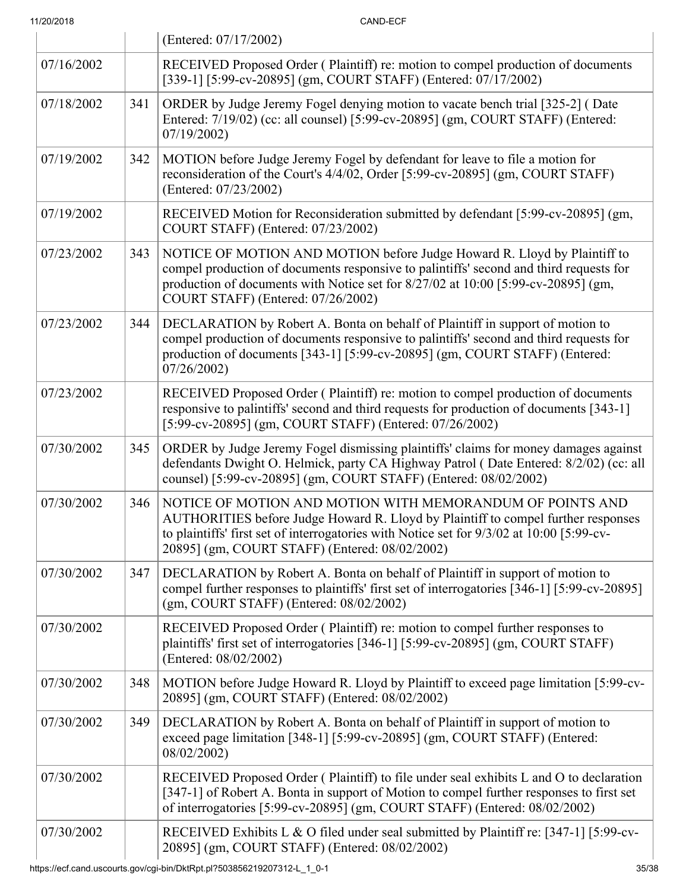|            |     | (Entered: 07/17/2002)                                                                                                                                                                                                                                                                         |  |
|------------|-----|-----------------------------------------------------------------------------------------------------------------------------------------------------------------------------------------------------------------------------------------------------------------------------------------------|--|
| 07/16/2002 |     | RECEIVED Proposed Order (Plaintiff) re: motion to compel production of documents<br>[339-1] [5:99-cv-20895] (gm, COURT STAFF) (Entered: 07/17/2002)                                                                                                                                           |  |
| 07/18/2002 | 341 | ORDER by Judge Jeremy Fogel denying motion to vacate bench trial [325-2] (Date<br>Entered: 7/19/02) (cc: all counsel) [5:99-cv-20895] (gm, COURT STAFF) (Entered:<br>07/19/2002                                                                                                               |  |
| 07/19/2002 | 342 | MOTION before Judge Jeremy Fogel by defendant for leave to file a motion for<br>reconsideration of the Court's 4/4/02, Order [5:99-cv-20895] (gm, COURT STAFF)<br>(Entered: 07/23/2002)                                                                                                       |  |
| 07/19/2002 |     | RECEIVED Motion for Reconsideration submitted by defendant [5:99-cv-20895] (gm,<br>COURT STAFF) (Entered: 07/23/2002)                                                                                                                                                                         |  |
| 07/23/2002 | 343 | NOTICE OF MOTION AND MOTION before Judge Howard R. Lloyd by Plaintiff to<br>compel production of documents responsive to palintiffs' second and third requests for<br>production of documents with Notice set for 8/27/02 at 10:00 [5:99-cv-20895] (gm,<br>COURT STAFF) (Entered: 07/26/2002) |  |
| 07/23/2002 | 344 | DECLARATION by Robert A. Bonta on behalf of Plaintiff in support of motion to<br>compel production of documents responsive to palintiffs' second and third requests for<br>production of documents [343-1] [5:99-cv-20895] (gm, COURT STAFF) (Entered:<br>07/26/2002                          |  |
| 07/23/2002 |     | RECEIVED Proposed Order (Plaintiff) re: motion to compel production of documents<br>responsive to palintiffs' second and third requests for production of documents [343-1]<br>[5:99-cv-20895] (gm, COURT STAFF) (Entered: 07/26/2002)                                                        |  |
| 07/30/2002 | 345 | ORDER by Judge Jeremy Fogel dismissing plaintiffs' claims for money damages against<br>defendants Dwight O. Helmick, party CA Highway Patrol (Date Entered: 8/2/02) (cc: all<br>counsel) [5:99-cv-20895] (gm, COURT STAFF) (Entered: 08/02/2002)                                              |  |
| 07/30/2002 | 346 | NOTICE OF MOTION AND MOTION WITH MEMORANDUM OF POINTS AND<br>AUTHORITIES before Judge Howard R. Lloyd by Plaintiff to compel further responses<br>to plaintiffs' first set of interrogatories with Notice set for 9/3/02 at 10:00 [5:99-cv-<br>20895] (gm, COURT STAFF) (Entered: 08/02/2002) |  |
| 07/30/2002 | 347 | DECLARATION by Robert A. Bonta on behalf of Plaintiff in support of motion to<br>compel further responses to plaintiffs' first set of interrogatories [346-1] [5:99-cv-20895]<br>(gm, COURT STAFF) (Entered: 08/02/2002)                                                                      |  |
| 07/30/2002 |     | RECEIVED Proposed Order (Plaintiff) re: motion to compel further responses to<br>plaintiffs' first set of interrogatories [346-1] [5:99-cv-20895] (gm, COURT STAFF)<br>(Entered: 08/02/2002)                                                                                                  |  |
| 07/30/2002 | 348 | MOTION before Judge Howard R. Lloyd by Plaintiff to exceed page limitation [5:99-cv-<br>20895] (gm, COURT STAFF) (Entered: 08/02/2002)                                                                                                                                                        |  |
| 07/30/2002 | 349 | DECLARATION by Robert A. Bonta on behalf of Plaintiff in support of motion to<br>exceed page limitation [348-1] [5:99-cv-20895] (gm, COURT STAFF) (Entered:<br>08/02/2002)                                                                                                                    |  |
| 07/30/2002 |     | RECEIVED Proposed Order (Plaintiff) to file under seal exhibits L and O to declaration<br>[347-1] of Robert A. Bonta in support of Motion to compel further responses to first set<br>of interrogatories [5:99-cv-20895] (gm, COURT STAFF) (Entered: 08/02/2002)                              |  |
| 07/30/2002 |     | RECEIVED Exhibits L & O filed under seal submitted by Plaintiff re: [347-1] [5:99-cv-<br>20895] (gm, COURT STAFF) (Entered: 08/02/2002)                                                                                                                                                       |  |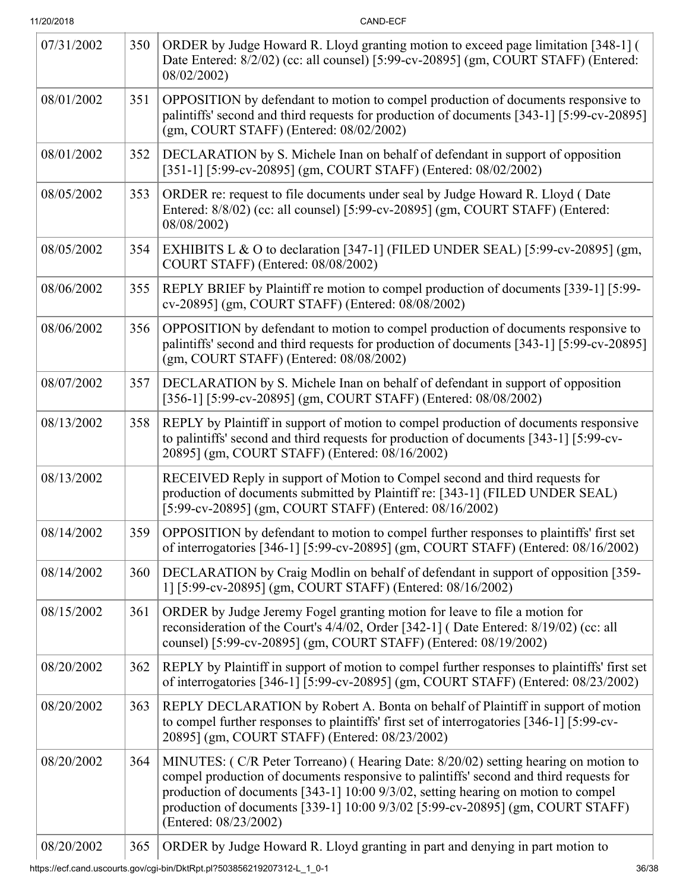| 11/20/2018 |  |
|------------|--|
|            |  |

CAND-ECF

| 07/31/2002 | 350 | ORDER by Judge Howard R. Lloyd granting motion to exceed page limitation [348-1] (<br>Date Entered: 8/2/02) (cc: all counsel) [5:99-cv-20895] (gm, COURT STAFF) (Entered:<br>08/02/2002)                                                                                                                                                                                     |  |
|------------|-----|------------------------------------------------------------------------------------------------------------------------------------------------------------------------------------------------------------------------------------------------------------------------------------------------------------------------------------------------------------------------------|--|
| 08/01/2002 | 351 | OPPOSITION by defendant to motion to compel production of documents responsive to<br>palintiffs' second and third requests for production of documents [343-1] [5:99-cv-20895]<br>(gm, COURT STAFF) (Entered: 08/02/2002)                                                                                                                                                    |  |
| 08/01/2002 | 352 | DECLARATION by S. Michele Inan on behalf of defendant in support of opposition<br>[351-1] [5:99-cv-20895] (gm, COURT STAFF) (Entered: 08/02/2002)                                                                                                                                                                                                                            |  |
| 08/05/2002 | 353 | ORDER re: request to file documents under seal by Judge Howard R. Lloyd (Date<br>Entered: 8/8/02) (cc: all counsel) [5:99-cv-20895] (gm, COURT STAFF) (Entered:<br>08/08/2002)                                                                                                                                                                                               |  |
| 08/05/2002 | 354 | EXHIBITS L & O to declaration [347-1] (FILED UNDER SEAL) [5:99-cv-20895] (gm,<br>COURT STAFF) (Entered: 08/08/2002)                                                                                                                                                                                                                                                          |  |
| 08/06/2002 | 355 | REPLY BRIEF by Plaintiff re motion to compel production of documents [339-1] [5:99-<br>cv-20895] (gm, COURT STAFF) (Entered: 08/08/2002)                                                                                                                                                                                                                                     |  |
| 08/06/2002 | 356 | OPPOSITION by defendant to motion to compel production of documents responsive to<br>palintiffs' second and third requests for production of documents [343-1] [5:99-cv-20895]<br>(gm, COURT STAFF) (Entered: 08/08/2002)                                                                                                                                                    |  |
| 08/07/2002 | 357 | DECLARATION by S. Michele Inan on behalf of defendant in support of opposition<br>[356-1] [5:99-cv-20895] (gm, COURT STAFF) (Entered: 08/08/2002)                                                                                                                                                                                                                            |  |
| 08/13/2002 | 358 | REPLY by Plaintiff in support of motion to compel production of documents responsive<br>to palintiffs' second and third requests for production of documents [343-1] [5:99-cv-<br>20895] (gm, COURT STAFF) (Entered: 08/16/2002)                                                                                                                                             |  |
| 08/13/2002 |     | RECEIVED Reply in support of Motion to Compel second and third requests for<br>production of documents submitted by Plaintiff re: [343-1] (FILED UNDER SEAL)<br>[5:99-cv-20895] (gm, COURT STAFF) (Entered: 08/16/2002)                                                                                                                                                      |  |
| 08/14/2002 | 359 | OPPOSITION by defendant to motion to compel further responses to plaintiffs' first set<br>of interrogatories [346-1] [5:99-cv-20895] (gm, COURT STAFF) (Entered: 08/16/2002)                                                                                                                                                                                                 |  |
| 08/14/2002 | 360 | DECLARATION by Craig Modlin on behalf of defendant in support of opposition [359-<br>1] [5:99-cv-20895] (gm, COURT STAFF) (Entered: 08/16/2002)                                                                                                                                                                                                                              |  |
| 08/15/2002 | 361 | ORDER by Judge Jeremy Fogel granting motion for leave to file a motion for<br>reconsideration of the Court's 4/4/02, Order [342-1] (Date Entered: 8/19/02) (cc: all<br>counsel) [5:99-cv-20895] (gm, COURT STAFF) (Entered: 08/19/2002)                                                                                                                                      |  |
| 08/20/2002 | 362 | REPLY by Plaintiff in support of motion to compel further responses to plaintiffs' first set<br>of interrogatories [346-1] [5:99-cv-20895] (gm, COURT STAFF) (Entered: 08/23/2002)                                                                                                                                                                                           |  |
| 08/20/2002 | 363 | REPLY DECLARATION by Robert A. Bonta on behalf of Plaintiff in support of motion<br>to compel further responses to plaintiffs' first set of interrogatories [346-1] [5:99-cv-<br>20895] (gm, COURT STAFF) (Entered: 08/23/2002)                                                                                                                                              |  |
| 08/20/2002 | 364 | MINUTES: (C/R Peter Torreano) (Hearing Date: 8/20/02) setting hearing on motion to<br>compel production of documents responsive to palintiffs' second and third requests for<br>production of documents [343-1] 10:00 9/3/02, setting hearing on motion to compel<br>production of documents [339-1] 10:00 9/3/02 [5:99-cv-20895] (gm, COURT STAFF)<br>(Entered: 08/23/2002) |  |
| 08/20/2002 | 365 | ORDER by Judge Howard R. Lloyd granting in part and denying in part motion to                                                                                                                                                                                                                                                                                                |  |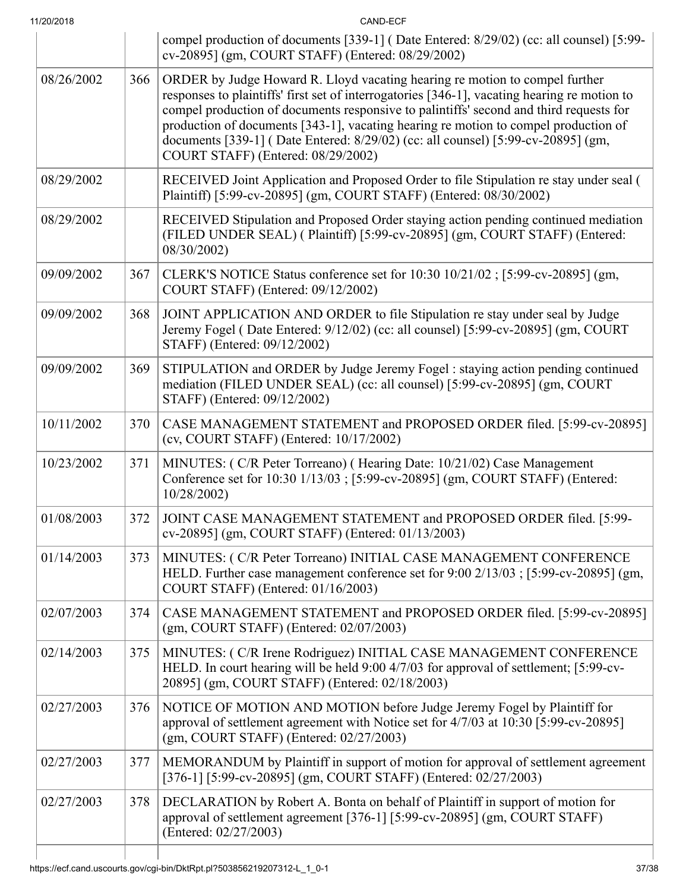| 11/20/2018 |     | CAND-ECF                                                                                                                                                                                                                                                                                                                                                                                                                                                                               |  |  |
|------------|-----|----------------------------------------------------------------------------------------------------------------------------------------------------------------------------------------------------------------------------------------------------------------------------------------------------------------------------------------------------------------------------------------------------------------------------------------------------------------------------------------|--|--|
|            |     | compel production of documents [339-1] (Date Entered: 8/29/02) (cc: all counsel) [5:99-<br>cv-20895] (gm, COURT STAFF) (Entered: 08/29/2002)                                                                                                                                                                                                                                                                                                                                           |  |  |
| 08/26/2002 | 366 | ORDER by Judge Howard R. Lloyd vacating hearing re motion to compel further<br>responses to plaintiffs' first set of interrogatories [346-1], vacating hearing re motion to<br>compel production of documents responsive to palintiffs' second and third requests for<br>production of documents [343-1], vacating hearing re motion to compel production of<br>documents [339-1] (Date Entered: 8/29/02) (cc: all counsel) [5:99-cv-20895] (gm,<br>COURT STAFF) (Entered: 08/29/2002) |  |  |
| 08/29/2002 |     | RECEIVED Joint Application and Proposed Order to file Stipulation re stay under seal (<br>Plaintiff) [5:99-cv-20895] (gm, COURT STAFF) (Entered: 08/30/2002)                                                                                                                                                                                                                                                                                                                           |  |  |
| 08/29/2002 |     | RECEIVED Stipulation and Proposed Order staying action pending continued mediation<br>(FILED UNDER SEAL) ( Plaintiff) [5:99-cv-20895] (gm, COURT STAFF) (Entered:<br>08/30/2002)                                                                                                                                                                                                                                                                                                       |  |  |
| 09/09/2002 | 367 | CLERK'S NOTICE Status conference set for 10:30 10/21/02 ; [5:99-cv-20895] (gm,<br>COURT STAFF) (Entered: 09/12/2002)                                                                                                                                                                                                                                                                                                                                                                   |  |  |
| 09/09/2002 | 368 | JOINT APPLICATION AND ORDER to file Stipulation re stay under seal by Judge<br>Jeremy Fogel (Date Entered: 9/12/02) (cc: all counsel) [5:99-cv-20895] (gm, COURT<br>STAFF) (Entered: 09/12/2002)                                                                                                                                                                                                                                                                                       |  |  |
| 09/09/2002 | 369 | STIPULATION and ORDER by Judge Jeremy Fogel : staying action pending continued<br>mediation (FILED UNDER SEAL) (cc: all counsel) [5:99-cv-20895] (gm, COURT<br>STAFF) (Entered: 09/12/2002)                                                                                                                                                                                                                                                                                            |  |  |
| 10/11/2002 | 370 | CASE MANAGEMENT STATEMENT and PROPOSED ORDER filed. [5:99-cv-20895]<br>(cv, COURT STAFF) (Entered: 10/17/2002)                                                                                                                                                                                                                                                                                                                                                                         |  |  |
| 10/23/2002 | 371 | MINUTES: (C/R Peter Torreano) (Hearing Date: 10/21/02) Case Management<br>Conference set for 10:30 1/13/03 ; [5:99-cv-20895] (gm, COURT STAFF) (Entered:<br>10/28/2002)                                                                                                                                                                                                                                                                                                                |  |  |
| 01/08/2003 | 372 | JOINT CASE MANAGEMENT STATEMENT and PROPOSED ORDER filed. [5:99-<br>cv-20895] (gm, COURT STAFF) (Entered: 01/13/2003)                                                                                                                                                                                                                                                                                                                                                                  |  |  |
| 01/14/2003 | 373 | MINUTES: (C/R Peter Torreano) INITIAL CASE MANAGEMENT CONFERENCE<br>HELD. Further case management conference set for 9:00 2/13/03 ; [5:99-cv-20895] (gm,<br>COURT STAFF) (Entered: 01/16/2003)                                                                                                                                                                                                                                                                                         |  |  |
| 02/07/2003 | 374 | CASE MANAGEMENT STATEMENT and PROPOSED ORDER filed. [5:99-cv-20895]<br>$(gm, COURT STATE)$ (Entered: $02/07/2003$ )                                                                                                                                                                                                                                                                                                                                                                    |  |  |
| 02/14/2003 | 375 | MINUTES: (C/R Irene Rodriguez) INITIAL CASE MANAGEMENT CONFERENCE<br>HELD. In court hearing will be held 9:00 4/7/03 for approval of settlement; [5:99-cv-<br>20895] (gm, COURT STAFF) (Entered: 02/18/2003)                                                                                                                                                                                                                                                                           |  |  |
| 02/27/2003 | 376 | NOTICE OF MOTION AND MOTION before Judge Jeremy Fogel by Plaintiff for<br>approval of settlement agreement with Notice set for 4/7/03 at 10:30 [5:99-cv-20895]<br>(gm, COURT STAFF) (Entered: 02/27/2003)                                                                                                                                                                                                                                                                              |  |  |
| 02/27/2003 | 377 | MEMORANDUM by Plaintiff in support of motion for approval of settlement agreement<br>[376-1] [5:99-cv-20895] (gm, COURT STAFF) (Entered: 02/27/2003)                                                                                                                                                                                                                                                                                                                                   |  |  |
| 02/27/2003 | 378 | DECLARATION by Robert A. Bonta on behalf of Plaintiff in support of motion for<br>approval of settlement agreement [376-1] [5:99-cv-20895] (gm, COURT STAFF)<br>(Entered: 02/27/2003)                                                                                                                                                                                                                                                                                                  |  |  |

 $\overline{\phantom{a}}$ 

 $\overline{\phantom{a}}$